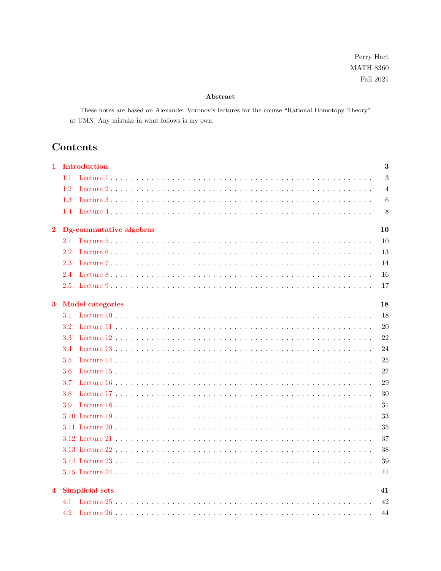Perry Hart  $\rm{MATH}$ 8360 Fall  $2021\,$ 

## Abstract

These notes are based on Alexander Voronov's lectures for the course "Rational Homotopy Theory" at UMN. Any mistake in what follows is my own.

# Contents

| 1                                   | Introduction                 |                |  |  |  |
|-------------------------------------|------------------------------|----------------|--|--|--|
|                                     | 1.1                          | 3              |  |  |  |
|                                     | 1.2                          | $\overline{4}$ |  |  |  |
|                                     | 1.3                          | 6              |  |  |  |
|                                     | 1.4                          | 8              |  |  |  |
| Dg-commutative algebras<br>$\bf{2}$ |                              |                |  |  |  |
|                                     | 2.1                          | 10             |  |  |  |
|                                     | 2.2                          | 13             |  |  |  |
|                                     | 2.3                          | 14             |  |  |  |
|                                     | 2.4                          | 16             |  |  |  |
|                                     | 2.5                          | 17             |  |  |  |
| $\bf{3}$                            | <b>Model categories</b>      |                |  |  |  |
|                                     | 3.1                          | 18             |  |  |  |
|                                     | 3.2                          | 20             |  |  |  |
|                                     | 3.3                          | 22             |  |  |  |
|                                     | 3.4                          | 24             |  |  |  |
|                                     | 3.5                          | 25             |  |  |  |
|                                     | 3.6                          | 27             |  |  |  |
|                                     | 3.7                          | 29             |  |  |  |
|                                     | 3.8                          | 30             |  |  |  |
|                                     | 3.9                          | 31             |  |  |  |
|                                     |                              | 33             |  |  |  |
|                                     |                              | 35             |  |  |  |
|                                     |                              | 37             |  |  |  |
|                                     |                              | 38             |  |  |  |
|                                     |                              | 39             |  |  |  |
|                                     |                              | 41             |  |  |  |
| $\overline{4}$                      | <b>Simplicial sets</b><br>41 |                |  |  |  |
| 4.1                                 |                              |                |  |  |  |
|                                     | 4.2                          | 42<br>44       |  |  |  |
|                                     |                              |                |  |  |  |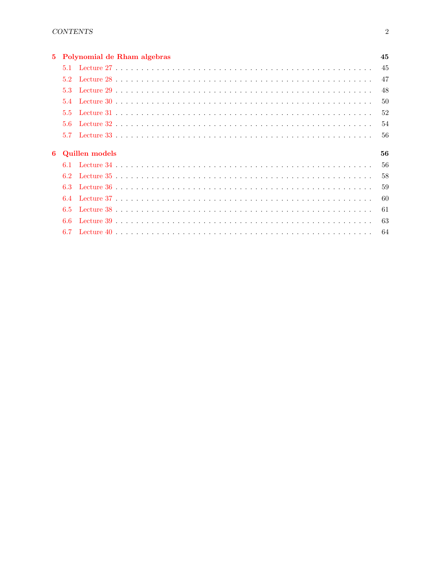| 5. |                             | Polynomial de Rham algebras | 45  |  |
|----|-----------------------------|-----------------------------|-----|--|
|    |                             |                             | 45  |  |
|    | $5.2^{\circ}$               |                             | 47  |  |
|    | 53                          |                             | 48  |  |
|    | 5.4                         |                             | 50  |  |
|    | 5.5                         |                             | 52  |  |
|    | $5.6^{\circ}$               |                             | -54 |  |
|    | 5.7                         |                             | -56 |  |
| 6  | <b>Quillen models</b><br>56 |                             |     |  |
|    |                             |                             | 56  |  |
|    | 62                          |                             | 58  |  |
|    | 6.3                         |                             | 59  |  |
|    | 64                          |                             | 60  |  |
|    | 6.5                         |                             | 61  |  |
|    | 6.6                         |                             | 63  |  |
|    |                             |                             | 64  |  |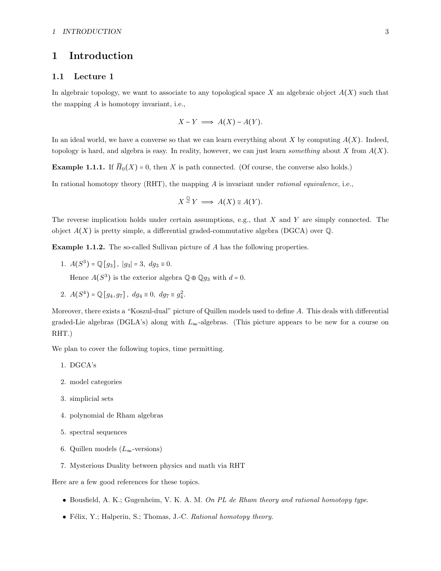# <span id="page-2-0"></span>1 Introduction

## <span id="page-2-1"></span>1.1 Lecture 1

In algebraic topology, we want to associate to any topological space X an algebraic object  $A(X)$  such that the mapping A is homotopy invariant, i.e.,

$$
X \sim Y \implies A(X) \sim A(Y).
$$

In an ideal world, we have a converse so that we can learn everything about X by computing  $A(X)$ . Indeed, topology is hard, and algebra is easy. In reality, however, we can just learn *something* about X from  $A(X)$ .

**Example 1.1.1.** If  $\widetilde{H}_0(X) = 0$ , then X is path connected. (Of course, the converse also holds.)

In rational homotopy theory  $(RHT)$ , the mapping A is invariant under *rational equivalence*, i.e.,

$$
X \stackrel{Q}{\sim} Y \implies A(X) \cong A(Y).
$$

The reverse implication holds under certain assumptions, e.g., that  $X$  and  $Y$  are simply connected. The object  $A(X)$  is pretty simple, a differential graded-commutative algebra (DGCA) over  $\mathbb{Q}$ .

Example 1.1.2. The so-called Sullivan picture of A has the following properties.

1.  $A(S^3) = \mathbb{Q}[g_3], |g_3| = 3, dg_3 \equiv 0.$ 

Hence  $A(S^3)$  is the exterior algebra  $\mathbb{Q} \oplus \mathbb{Q} g_3$  with  $d = 0$ .

2.  $A(S^4) = \mathbb{Q}[g_4, g_7], dg_4 \equiv 0, dg_7 \equiv g_4^2$ .

Moreover, there exists a "Koszul-dual" picture of Quillen models used to define A. This deals with differential graded-Lie algebras (DGLA's) along with  $L_{\infty}$ -algebras. (This picture appears to be new for a course on RHT.)

We plan to cover the following topics, time permitting.

- 1. DGCA's
- 2. model categories
- 3. simplicial sets
- 4. polynomial de Rham algebras
- 5. spectral sequences
- 6. Quillen models ( $L_{\infty}$ -versions)
- 7. Mysterious Duality between physics and math via RHT

Here are a few good references for these topics.

- Bousfield, A. K.; Gugenheim, V. K. A. M. On PL de Rham theory and rational homotopy type.
- Félix, Y.; Halperin, S.; Thomas, J.-C. Rational homotopy theory.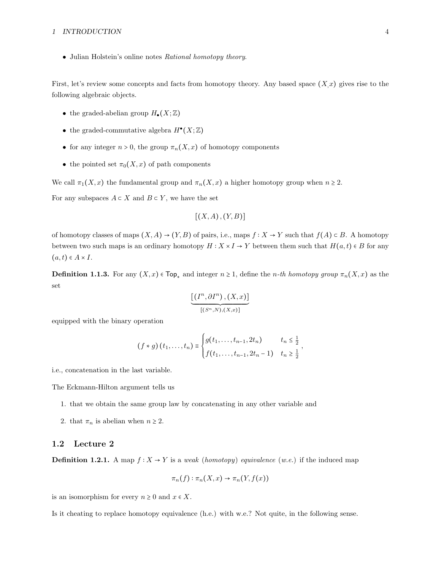## 1 INTRODUCTION 4

• Julian Holstein's online notes Rational homotopy theory.

First, let's review some concepts and facts from homotopy theory. Any based space  $(X, x)$  gives rise to the following algebraic objects.

- the graded-abelian group  $H_{\bullet}(X;\mathbb{Z})$
- the graded-commutative algebra  $H^{\bullet}(X;\mathbb{Z})$
- for any integer  $n > 0$ , the group  $\pi_n(X, x)$  of homotopy components
- the pointed set  $\pi_0(X, x)$  of path components

We call  $\pi_1(X, x)$  the fundamental group and  $\pi_n(X, x)$  a higher homotopy group when  $n \geq 2$ .

For any subspaces  $A \subset X$  and  $B \subset Y$ , we have the set

$$
[(X,A),(Y,B)]
$$

of homotopy classes of maps  $(X, A) \to (Y, B)$  of pairs, i.e., maps  $f : X \to Y$  such that  $f(A) \subset B$ . A homotopy between two such maps is an ordinary homotopy  $H : X \times I \to Y$  between them such that  $H(a, t) \in B$  for any  $(a, t) \in A \times I$ .

**Definition 1.1.3.** For any  $(X, x) \in \text{Top}_*$  and integer  $n \geq 1$ , define the *n*-th homotopy group  $\pi_n(X, x)$  as the set

$$
\underbrace{\big[(I^n,\partial I^n)\,,(X,x)\big]}_{[(S^n,N),(X,x)]}
$$

equipped with the binary operation

$$
(f * g) (t_1, ..., t_n) \equiv \begin{cases} g(t_1, ..., t_{n-1}, 2t_n) & t_n \leq \frac{1}{2} \\ f(t_1, ..., t_{n-1}, 2t_n - 1) & t_n \geq \frac{1}{2} \end{cases}
$$

,

i.e., concatenation in the last variable.

The Eckmann-Hilton argument tells us

- 1. that we obtain the same group law by concatenating in any other variable and
- 2. that  $\pi_n$  is abelian when  $n \geq 2$ .

## <span id="page-3-0"></span>1.2 Lecture 2

**Definition 1.2.1.** A map  $f: X \to Y$  is a weak (homotopy) equivalence (w.e.) if the induced map

$$
\pi_n(f) : \pi_n(X, x) \to \pi_n(Y, f(x))
$$

is an isomorphism for every  $n \geq 0$  and  $x \in X$ .

<span id="page-3-1"></span>Is it cheating to replace homotopy equivalence (h.e.) with w.e.? Not quite, in the following sense.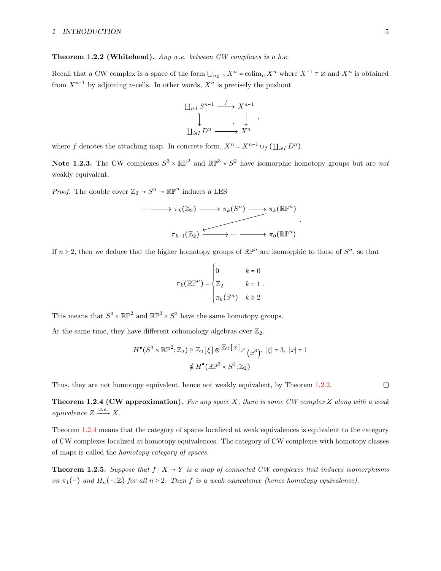## **Theorem 1.2.2 (Whitehead).** Any w.e. between CW complexes is a h.e.

Recall that a CW complex is a space of the form  $\bigcup_{n\geq -1} X^n$  = colim<sub>n</sub>  $X^n$  where  $X^{-1} \equiv \emptyset$  and  $X^n$  is obtained from  $X^{n-1}$  by adjoining n-cells. In other words,  $X^n$  is precisely the pushout

$$
\begin{array}{ccc}\n\coprod_{i\in I} S^{n-1} & \xrightarrow{f} & X^{n-1} \\
\downarrow & & \downarrow \\
\coprod_{i\in I} D^n & \xrightarrow{f} & X^n\n\end{array},
$$

<span id="page-4-1"></span>where f denotes the attaching map. In concrete form,  $X^n = X^{n-1} \cup_f (\coprod_{i \in I} D^n)$ .

**Note 1.2.3.** The CW complexes  $S^3 \times \mathbb{RP}^2$  and  $\mathbb{RP}^3 \times S^2$  have isomorphic homotopy groups but are not weakly equivalent.

*Proof.* The double cover  $\mathbb{Z}_2 \to S^n \to \mathbb{RP}^n$  induces a LES

$$
\cdots \longrightarrow \pi_k(\mathbb{Z}_2) \longrightarrow \pi_k(S^n) \longrightarrow \pi_k(\mathbb{RP}^n)
$$
  

$$
\pi_{k-1}(\mathbb{Z}_2) \xrightarrow{\longleftarrow} \cdots \longrightarrow \pi_0(\mathbb{RP}^n)
$$

.

If  $n \geq 2$ , then we deduce that the higher homotopy groups of  $\mathbb{RP}^n$  are isomorphic to those of  $S^n$ , so that

$$
\pi_k(\mathbb{R}\mathbb{P}^n) = \begin{cases}\n0 & k = 0 \\
\mathbb{Z}_2 & k = 1 \\
\pi_k(S^n) & k \ge 2\n\end{cases}
$$

This means that  $S^3 \times \mathbb{RP}^2$  and  $\mathbb{RP}^3 \times S^2$  have the same homotopy groups.

At the same time, they have different cohomology algebras over  $\mathbb{Z}_2$ .

$$
H^{\bullet}(S^3 \times \mathbb{RP}^2; \mathbb{Z}_2) \cong \mathbb{Z}_2 \left[\xi\right] \otimes \mathbb{Z}_2 \left[x\right] \diagup \left(x^3\right), \ |\xi| = 3, \ |x| = 1
$$

$$
\not\equiv H^{\bullet}(\mathbb{RP}^3 \times S^2; \mathbb{Z}_2)
$$

Thus, they are not homotopy equivalent, hence not weakly equivalent, by Theorem [1.2.2.](#page-3-1)

<span id="page-4-0"></span>**Theorem 1.2.4 (CW approximation).** For any space X, there is some CW complex Z along with a weak equivalence  $Z \xrightarrow{w.e.} X$ .

Theorem [1.2.4](#page-4-0) means that the category of spaces localized at weak equivalences is equivalent to the category of CW complexes localized at homotopy equivalences. The category of CW complexes with homotopy classes of maps is called the homotopy category of spaces.

**Theorem 1.2.5.** Suppose that  $f : X \to Y$  is a map of connected CW complexes that induces isomorphisms on  $\pi_1(-)$  and  $H_n(-;\mathbb{Z})$  for all  $n \geq 2$ . Then f is a weak equivalence (hence homotopy equivalence).

 $\Box$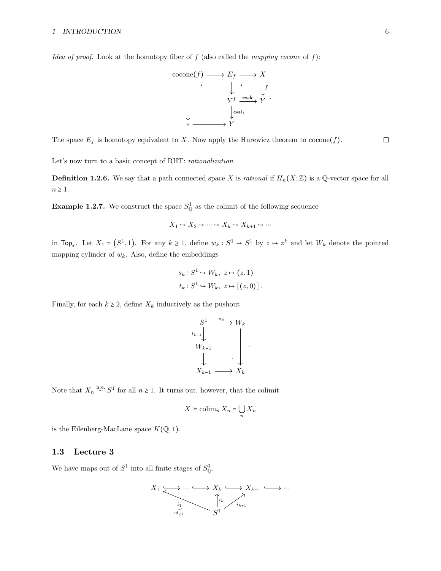*Idea of proof.* Look at the homotopy fiber of f (also called the mapping cocone of f):



The space  $E_f$  is homotopy equivalent to X. Now apply the Hurewicz theorem to  $\operatorname{cocone}(f)$ .

Let's now turn to a basic concept of RHT: *rationalization*.

**Definition 1.2.6.** We say that a path connected space X is *rational* if  $H_n(X;\mathbb{Z})$  is a Q-vector space for all  $n \geq 1$ .

<span id="page-5-1"></span>**Example 1.2.7.** We construct the space  $S^1_{\mathbb{Q}}$  as the colimit of the following sequence

$$
X_1 \hookrightarrow X_2 \hookrightarrow \cdots \hookrightarrow X_k \hookrightarrow X_{k+1} \hookrightarrow \cdots
$$

in Top<sub>\*</sub>. Let  $X_1 = (S^1, 1)$ . For any  $k \ge 1$ , define  $w_k : S^1 \to S^1$  by  $z \mapsto z^k$  and let  $W_k$  denote the pointed mapping cylinder of  $w_k$ . Also, define the embeddings

$$
s_k: S^1 \hookrightarrow W_k, \ z \mapsto (z,1)
$$
  

$$
t_k: S^1 \hookrightarrow W_k, \ z \mapsto [(z,0)].
$$

Finally, for each  $k \geq 2$ , define  $X_k$  inductively as the pushout



Note that  $X_n \stackrel{\text{h.e.}}{\sim} S^1$  for all  $n \ge 1$ . It turns out, however, that the colimit

$$
X \coloneqq \operatorname{colim}_n X_n = \bigcup_n X_n
$$

is the Eilenberg-MacLane space  $K(\mathbb{Q}, 1)$ .

## <span id="page-5-0"></span>1.3 Lecture 3

We have maps out of  $S^1$  into all finite stages of  $S^1_{\mathbb{Q}}$ .

$$
X_1 \xrightarrow[i_1]{\cdots} \cdots \xrightarrow[X_k \xrightarrow[X_{k+1}]{\cdots} \cdots
$$

$$
\downarrow[i_k]{\cdots}
$$

$$
\downarrow[i_{k+1}]
$$

$$
S^1
$$

 $\Box$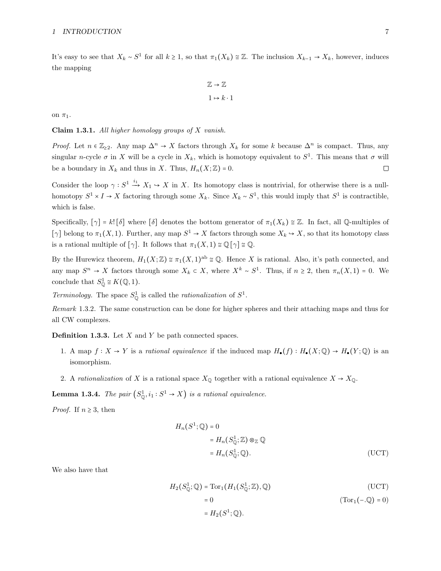It's easy to see that  $X_k \sim S^1$  for all  $k \ge 1$ , so that  $\pi_1(X_k) \cong \mathbb{Z}$ . The inclusion  $X_{k-1} \to X_k$ , however, induces the mapping

$$
\mathbb{Z} \to \mathbb{Z}
$$

$$
1 \mapsto k \cdot 1
$$

on  $\pi_1$ .

**Claim 1.3.1.** All higher homology groups of  $X$  vanish.

*Proof.* Let  $n \in \mathbb{Z}_{\geq 2}$ . Any map  $\Delta^n \to X$  factors through  $X_k$  for some k because  $\Delta^n$  is compact. Thus, any singular n-cycle  $\sigma$  in X will be a cycle in  $X_k$ , which is homotopy equivalent to  $S^1$ . This means that  $\sigma$  will  $\Box$ be a boundary in  $X_k$  and thus in X. Thus,  $H_n(X;\mathbb{Z}) = 0$ .

Consider the loop  $\gamma : S^1 \xrightarrow{i_1} X_1 \hookrightarrow X$  in X. Its homotopy class is nontrivial, for otherwise there is a nullhomotopy  $S^1 \times I \to X$  factoring through some  $X_k$ . Since  $X_k \sim S^1$ , this would imply that  $S^1$  is contractible, which is false.

Specifically,  $[\gamma] = k! [\delta]$  where  $[\delta]$  denotes the bottom generator of  $\pi_1(X_k) \cong \mathbb{Z}$ . In fact, all Q-multiples of [ $\gamma$ ] belong to  $\pi_1(X, 1)$ . Further, any map  $S^1 \to X$  factors through some  $X_k \to X$ , so that its homotopy class is a rational multiple of  $[\gamma]$ . It follows that  $\pi_1(X, 1) \cong \mathbb{Q}[\gamma] \cong \mathbb{Q}$ .

By the Hurewicz theorem,  $H_1(X;\mathbb{Z}) \cong \pi_1(X,1)^{ab} \cong \mathbb{Q}$ . Hence X is rational. Also, it's path connected, and any map  $S^n \to X$  factors through some  $X_k \subset X$ , where  $X^k \sim S^1$ . Thus, if  $n \geq 2$ , then  $\pi_n(X, 1) = 0$ . We conclude that  $S^1_{\mathbb{Q}} \cong K(\mathbb{Q}, 1)$ .

Terminology. The space  $S^1_{\mathbb{Q}}$  is called the *rationalization* of  $S^1$ .

Remark 1.3.2. The same construction can be done for higher spheres and their attaching maps and thus for all CW complexes.

<span id="page-6-0"></span>**Definition 1.3.3.** Let  $X$  and  $Y$  be path connected spaces.

- 1. A map  $f: X \to Y$  is a rational equivalence if the induced map  $H_{\bullet}(f): H_{\bullet}(X; \mathbb{Q}) \to H_{\bullet}(Y; \mathbb{Q})$  is an isomorphism.
- 2. A rationalization of X is a rational space  $X_{\mathbb{Q}}$  together with a rational equivalence  $X \to X_{\mathbb{Q}}$ .

**Lemma 1.3.4.** The pair  $(S^1_{\mathbb{Q}}, i_1 : S^1 \to X)$  is a rational equivalence.

*Proof.* If  $n \geq 3$ , then

$$
H_n(S^1; \mathbb{Q}) = 0
$$
  
=  $H_n(S^1_{\mathbb{Q}}; \mathbb{Z}) \otimes_{\mathbb{Z}} \mathbb{Q}$   
=  $H_n(S^1_{\mathbb{Q}}; \mathbb{Q}).$  (UCT)

We also have that

$$
H_2(S^1_{\mathbb{Q}};\mathbb{Q}) = \text{Tor}_1(H_1(S^1_{\mathbb{Q}};\mathbb{Z}),\mathbb{Q})
$$
(UCT)  
= 0  
=  $H_2(S^1;\mathbb{Q}).$  (Tor<sub>1</sub>(- $\mathbb{Q}$ ) = 0)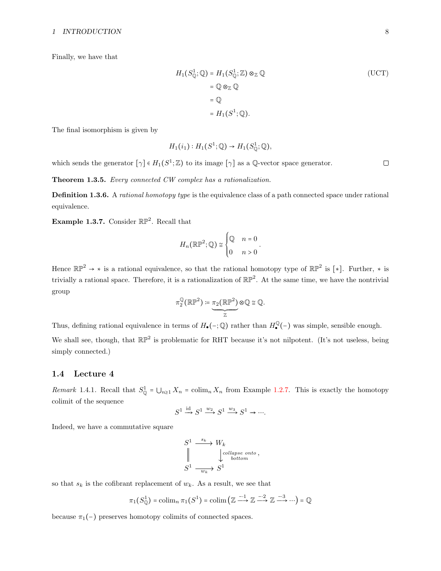#### 1 INTRODUCTION 8

Finally, we have that

$$
H_1(S^1_{\mathbb{Q}};\mathbb{Q}) = H_1(S^1_{\mathbb{Q}};\mathbb{Z}) \otimes_{\mathbb{Z}} \mathbb{Q}
$$
  
=  $\mathbb{Q} \otimes_{\mathbb{Z}} \mathbb{Q}$   
=  $\mathbb{Q}$   
=  $H_1(S^1;\mathbb{Q}).$  (UCT)

The final isomorphism is given by

$$
H_1(i_1): H_1(S^1; \mathbb{Q}) \to H_1(S^1_{\mathbb{Q}}; \mathbb{Q}),
$$

which sends the generator  $[\gamma] \in H_1(S^1; \mathbb{Z})$  to its image  $[\gamma]$  as a Q-vector space generator.

Theorem 1.3.5. Every connected CW complex has a rationalization.

**Definition 1.3.6.** A rational homotopy type is the equivalence class of a path connected space under rational equivalence.

**Example 1.3.7.** Consider  $\mathbb{RP}^2$ . Recall that

$$
H_n(\mathbb{RP}^2; \mathbb{Q}) \cong \begin{cases} \mathbb{Q} & n = 0 \\ 0 & n > 0 \end{cases}.
$$

Hence  $\mathbb{RP}^2 \to *$  is a rational equivalence, so that the rational homotopy type of  $\mathbb{RP}^2$  is [\*]. Further, \* is trivially a rational space. Therefore, it is a rationalization of  $\mathbb{RP}^2$ . At the same time, we have the nontrivial group

$$
\pi_2^{\mathbb{Q}}(\mathbb{RP}^2) \coloneqq \underbrace{\pi_2(\mathbb{RP}^2)}_{\mathbb{Z}} \otimes \mathbb{Q} \cong \mathbb{Q}.
$$

Thus, defining rational equivalence in terms of  $H_{\bullet}(-;\mathbb{Q})$  rather than  $H_{\bullet}^{\mathbb{Q}}(-)$  was simple, sensible enough.

We shall see, though, that  $\mathbb{RP}^2$  is problematic for RHT because it's not nilpotent. (It's not useless, being simply connected.)

#### <span id="page-7-0"></span>1.4 Lecture 4

Remark 1.4.1. Recall that  $S^1_{\mathbb{Q}} = \bigcup_{n\geq 1} X_n = \text{colim}_n X_n$  from Example [1.2.7.](#page-5-1) This is exactly the homotopy colimit of the sequence

$$
S^1 \xrightarrow{\text{id}} S^1 \xrightarrow{w_2} S^1 \xrightarrow{w_3} S^1 \to \cdots
$$

Indeed, we have a commutative square

$$
S^1 \xrightarrow{\ s_k \ } W_k
$$
  
\n
$$
\parallel \qquad \qquad \downarrow^{collapse~onto}_{bottom},
$$
  
\n
$$
S^1 \xrightarrow{\cdot \ } W_k S^1
$$

so that  $s_k$  is the cofibrant replacement of  $w_k$ . As a result, we see that

$$
\pi_1(S^1_{\mathbb{Q}}) = \operatorname{colim}_n \pi_1(S^1) = \operatorname{colim}\left(\mathbb{Z} \xrightarrow{-1} \mathbb{Z} \xrightarrow{-2} \mathbb{Z} \xrightarrow{-3} \cdots\right) = \mathbb{Q}
$$

because  $\pi_1(-)$  preserves homotopy colimits of connected spaces.

 $\hfill \square$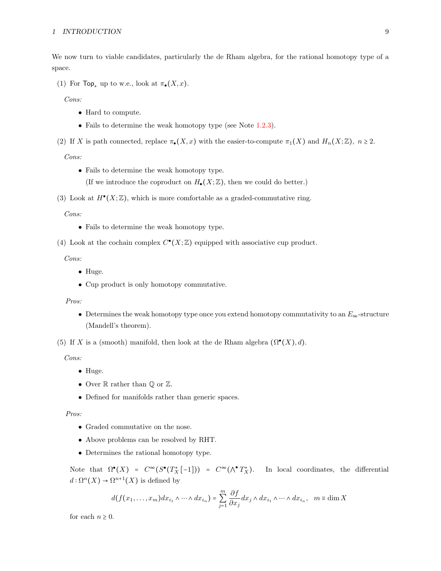We now turn to viable candidates, particularly the de Rham algebra, for the rational homotopy type of a space.

(1) For  $\text{Top}_*$  up to w.e., look at  $\pi_{\bullet}(X, x)$ .

Cons:

- Hard to compute.
- Fails to determine the weak homotopy type (see Note [1.2.3\)](#page-4-1).
- (2) If X is path connected, replace  $\pi_{\bullet}(X, x)$  with the easier-to-compute  $\pi_1(X)$  and  $H_n(X; \mathbb{Z})$ ,  $n \geq 2$ .

#### Cons:

- Fails to determine the weak homotopy type. (If we introduce the coproduct on  $H_{\bullet}(X;\mathbb{Z})$ , then we could do better.)
- (3) Look at  $H^{\bullet}(X;\mathbb{Z})$ , which is more comfortable as a graded-commutative ring.

#### Cons:

- Fails to determine the weak homotopy type.
- (4) Look at the cochain complex  $C^{\bullet}(X;\mathbb{Z})$  equipped with associative cup product.

#### Cons:

- Huge.
- Cup product is only homotopy commutative.

#### Pros:

• Determines the weak homotopy type once you extend homotopy commutativity to an  $E_{\infty}$ -structure (Mandell's theorem).

(5) If X is a (smooth) manifold, then look at the de Rham algebra  $(\Omega^{\bullet}(X), d)$ .

Cons:

- Huge.
- Over  $\mathbb R$  rather than  $\mathbb Q$  or  $\mathbb Z$ .
- Defined for manifolds rather than generic spaces.

#### Pros:

- Graded commutative on the nose.
- Above problems can be resolved by RHT.
- Determines the rational homotopy type.

Note that  $\Omega^{\bullet}(X) = C^{\infty}(S^{\bullet}(T_X^*[-1])) = C^{\infty}(\Lambda^{\bullet}T_X^*)$ . In local coordinates, the differential  $d: \Omega^n(X) \to \Omega^{n+1}(X)$  is defined by

$$
d(f(x_1,\ldots,x_m)dx_{i_1}\wedge\cdots\wedge dx_{i_n})=\sum_{j=1}^m\frac{\partial f}{\partial x_j}dx_j\wedge dx_{i_1}\wedge\cdots\wedge dx_{i_n},\ \ m\equiv\dim X
$$

for each  $n \geq 0$ .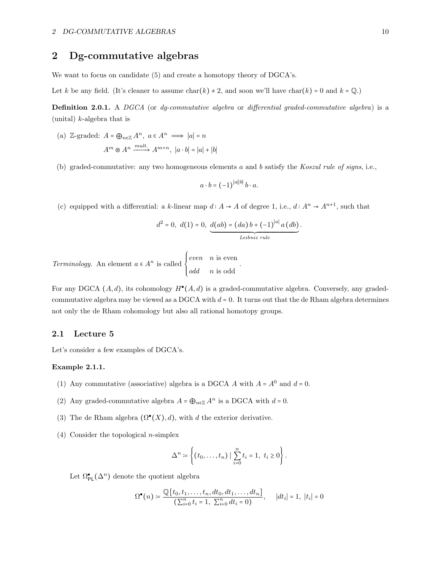# <span id="page-9-0"></span>2 Dg-commutative algebras

We want to focus on candidate (5) and create a homotopy theory of DGCA's.

Let k be any field. (It's cleaner to assume char(k)  $\neq$  2, and soon we'll have char(k) = 0 and k = Q.)

Definition 2.0.1. A DGCA (or dg-commutative algebra or differential graded-commutative algebra) is a (unital)  $k$ -algebra that is

(a)  $\mathbb{Z}\text{-graded: } A = \bigoplus_{n \in \mathbb{Z}} A^n, \ a \in A^n \implies |a| = n$  $A^m \otimes A^n \xrightarrow{mult.} A^{m+n}, \ |a \cdot b| = |a| + |b|$ 

(b) graded-commutative: any two homogeneous elements a and b satisfy the Koszul rule of signs, i.e.,

$$
a \cdot b = (-1)^{|a||b|} b \cdot a.
$$

(c) equipped with a differential: a k-linear map  $d: A \to A$  of degree 1, i.e.,  $d: A^n \to A^{n+1}$ , such that

$$
d^{2} = 0, d(1) = 0, \underbrace{d(ab) = (da) b + (-1)^{|a|} a (db)}_{Leibniz rule}.
$$

.

Terminology. An element  $a \in A^n$  is called  $\left\{$ even n is even odd n is odd

For any DGCA  $(A, d)$ , its cohomology  $H^{\bullet}(A, d)$  is a graded-commutative algebra. Conversely, any gradedcommutative algebra may be viewed as a DGCA with  $d = 0$ . It turns out that the de Rham algebra determines not only the de Rham cohomology but also all rational homotopy groups.

## <span id="page-9-1"></span>2.1 Lecture 5

<span id="page-9-2"></span>Let's consider a few examples of DGCA's.

#### Example 2.1.1.

- (1) Any commutative (associative) algebra is a DGCA  $A$  with  $A = A^0$  and  $d = 0$ .
- (2) Any graded-commutative algebra  $A = \bigoplus_{n \in \mathbb{Z}} A^n$  is a DGCA with  $d = 0$ .
- (3) The de Rham algebra  $(\Omega^{\bullet}(X), d)$ , with d the exterior derivative.
- (4) Consider the topological *n*-simplex

$$
\Delta^n \coloneqq \left\{ (t_0, \dots, t_n) \mid \sum_{i=0}^n t_i = 1, \ t_i \ge 0 \right\}.
$$

Let  $\Omega_{\text{PL}}^{\bullet}(\Delta^n)$  denote the quotient algebra

$$
\Omega^{\bullet}(n) \coloneqq \frac{\mathbb{Q}[t_0, t_1, \dots, t_n, dt_0, dt_1, \dots, dt_n]}{\left(\sum_{i=0}^n t_i = 1, \ \sum_{i=0}^n dt_i = 0\right)}, \quad |dt_i| = 1, \ |t_i| = 0
$$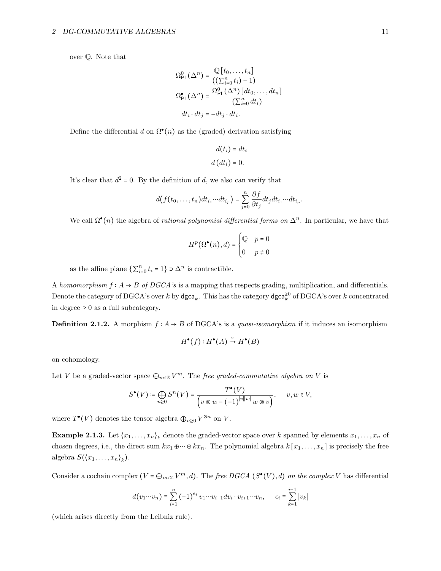over Q. Note that

$$
\Omega_{\text{PL}}^0(\Delta^n) = \frac{\mathbb{Q}[t_0, \dots, t_n]}{((\sum_{i=0}^n t_i) - 1)}
$$

$$
\Omega_{\text{PL}}^{\bullet}(\Delta^n) = \frac{\Omega_{\text{PL}}^0(\Delta^n) [dt_0, \dots, dt_n]}{(\sum_{i=0}^n dt_i)}
$$

$$
dt_i \cdot dt_j = -dt_j \cdot dt_i.
$$

Define the differential  $d$  on  $\Omega^{\bullet}(n)$  as the (graded) derivation satisfying

$$
d(t_i) = dt_i
$$

$$
d (dt_i) = 0.
$$

It's clear that  $d^2 = 0$ . By the definition of d, we also can verify that

$$
d(f(t_0,\ldots,t_n)dt_{i_1}\cdots dt_{i_p})=\sum_{j=0}^n\frac{\partial f}{\partial t_j}dt_jdt_{i_1}\cdots dt_{i_p}.
$$

We call  $\Omega^{\bullet}(n)$  the algebra of *rational polynomial differential forms on*  $\Delta^n$ . In particular, we have that

$$
H^p(\Omega^\bullet(n), d) = \begin{cases} \mathbb{Q} & p = 0 \\ 0 & p \neq 0 \end{cases}
$$

as the affine plane  $\{\sum_{i=0}^{n} t_i = 1\} \supset \Delta^n$  is contractible.

A homomorphism  $f : A \rightarrow B$  of DGCA's is a mapping that respects grading, multiplication, and differentials. Denote the category of DGCA's over  $k$  by dgca<sub>k</sub>. This has the category dgca<sup>20</sup> of DGCA's over  $k$  concentrated in degree  $\geq 0$  as a full subcategory.

**Definition 2.1.2.** A morphism  $f : A \rightarrow B$  of DGCA's is a *quasi-isomorphism* if it induces an isomorphism

$$
H^{\bullet}(f): H^{\bullet}(A) \stackrel{\sim}{\to} H^{\bullet}(B)
$$

on cohomology.

Let V be a graded-vector space  $\bigoplus_{m\in\mathbb{Z}}V^m$ . The *free graded-commutative algebra on* V is

$$
S^{\bullet}(V) \coloneqq \bigoplus_{n \geq 0} S^n(V) = \frac{T^{\bullet}(V)}{\left(v \otimes w - (-1)^{|v||w|} w \otimes v\right)}, \qquad v, w \in V,
$$

where  $T^{\bullet}(V)$  denotes the tensor algebra  $\bigoplus_{n\geq 0} V^{\otimes n}$  on V.

**Example 2.1.3.** Let  $\langle x_1, \ldots, x_n \rangle_k$  denote the graded-vector space over k spanned by elements  $x_1, \ldots, x_n$  of chosen degrees, i.e., the direct sum  $kx_1 \oplus \cdots \oplus kx_n$ . The polynomial algebra  $k[x_1, \ldots, x_n]$  is precisely the free algebra  $S(\langle x_1,\ldots,x_n\rangle_k)$ .

Consider a cochain complex  $(V = \bigoplus_{m \in \mathbb{Z}} V^m, d)$ . The free DGCA  $(S^{\bullet}(V), d)$  on the complex V has differential

$$
d(v_1 \cdots v_n) \equiv \sum_{i=1}^n (-1)^{\epsilon_i} v_1 \cdots v_{i-1} dv_i \cdot v_{i+1} \cdots v_n, \qquad \epsilon_i \equiv \sum_{k=1}^{i-1} |v_k|
$$

(which arises directly from the Leibniz rule).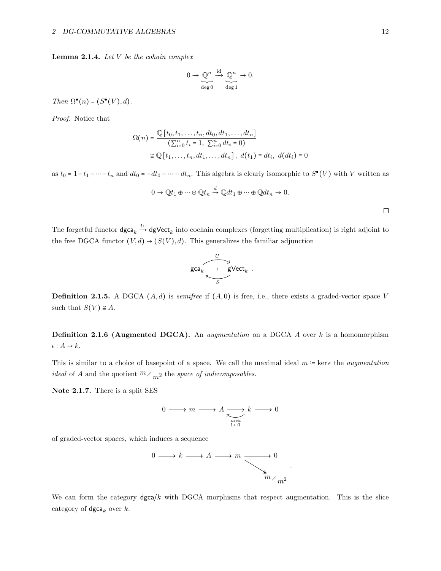#### 2 DG-COMMUTATIVE ALGEBRAS 12

**Lemma 2.1.4.** Let  $V$  be the cohain complex

$$
0 \to \underbrace{\mathbb{Q}^n}_{\deg 0} \xrightarrow{\mathrm{id}} \underbrace{\mathbb{Q}^n}_{\deg 1} \to 0.
$$

Then  $\Omega^{\bullet}(n) = (S^{\bullet}(V), d)$ .

Proof. Notice that

$$
\Omega(n) = \frac{\mathbb{Q}[t_0, t_1, \dots, t_n, dt_0, dt_1, \dots, dt_n]}{\left(\sum_{i=0}^n t_i = 1, \sum_{i=0}^n dt_i = 0\right)}
$$
  

$$
\cong \mathbb{Q}[t_1, \dots, t_n, dt_1, \dots, dt_n], d(t_1) \equiv dt_i, d(dt_i) \equiv 0
$$

as  $t_0 = 1 - t_1 - \dots - t_n$  and  $dt_0 = -dt_0 - \dots - dt_n$ . This algebra is clearly isomorphic to  $S^{\bullet}(V)$  with V written as

$$
0 \to \mathbb{Q}t_1 \oplus \cdots \oplus \mathbb{Q}t_n \xrightarrow{d} \mathbb{Q}dt_1 \oplus \cdots \oplus \mathbb{Q}dt_n \to 0.
$$

 $\Box$ 

The forgetful functor  $deg_a \xrightarrow{U} dgVect_k$  into cochain complexes (forgetting multiplication) is right adjoint to the free DGCA functor  $(V, d) \mapsto (S(V), d)$ . This generalizes the familiar adjunction



**Definition 2.1.5.** A DGCA  $(A, d)$  is *semifree* if  $(A, 0)$  is free, i.e., there exists a graded-vector space V such that  $S(V) \cong A$ .

**Definition 2.1.6 (Augmented DGCA).** An *augmentation* on a DGCA A over  $k$  is a homomorphism  $\epsilon: A \rightarrow k.$ 

This is similar to a choice of basepoint of a space. We call the maximal ideal  $m = \text{ker } \epsilon$  the *augmentation ideal* of A and the quotient  $m \n\sim_{m^2}$  the space of indecomposables.

Note 2.1.7. There is a split SES

$$
0 \longrightarrow m \longrightarrow A \underset{\underset{1 \leftarrow 1}{\text{unit}}} {\longrightarrow} k \longrightarrow 0
$$

of graded-vector spaces, which induces a sequence



We can form the category  $\text{dgca}/k$  with DGCA morphisms that respect augmentation. This is the slice category of  $\deg a_k$  over  $k$ .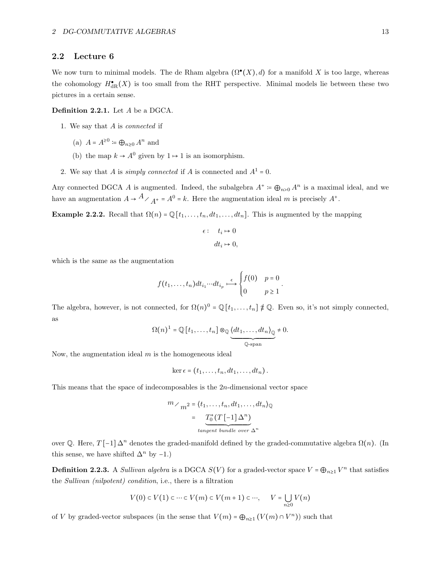## <span id="page-12-0"></span>2.2 Lecture 6

We now turn to minimal models. The de Rham algebra  $(\Omega^{\bullet}(X), d)$  for a manifold X is too large, whereas the cohomology  $H_{\text{dR}}^{\bullet}(X)$  is too small from the RHT perspective. Minimal models lie between these two pictures in a certain sense.

#### Definition 2.2.1. Let A be a DGCA.

- 1. We say that A is connected if
	- (a)  $A = A^{\geq 0} \coloneqq \bigoplus_{n \geq 0} A^n$  and
	- (b) the map  $k \to A^0$  given by  $1 \to 1$  is an isomorphism.
- 2. We say that A is *simply connected* if A is connected and  $A^1 = 0$ .

Any connected DGCA A is augmented. Indeed, the subalgebra  $A^+ \coloneqq \bigoplus_{n>0} A^n$  is a maximal ideal, and we have an augmentation  $A \to A$  /  $A^+ = A^0 = k$ . Here the augmentation ideal m is precisely  $A^+$ .

Example 2.2.2. Recall that  $\Omega(n) = \mathbb{Q}[t_1, \ldots, t_n, dt_1, \ldots, dt_n]$ . This is augmented by the mapping

$$
\epsilon: \quad t_i \mapsto 0
$$

$$
dt_i \mapsto 0,
$$

which is the same as the augmentation

$$
f(t_1,\ldots,t_n)dt_{i_1}\cdots dt_{i_p} \stackrel{\epsilon}{\longmapsto} \begin{cases} f(0) & p=0\\ 0 & p\geq 1 \end{cases}.
$$

The algebra, however, is not connected, for  $\Omega(n)^0 = \mathbb{Q}[t_1, \ldots, t_n] \not\equiv \mathbb{Q}$ . Even so, it's not simply connected, as

$$
\Omega(n)^{1} = \mathbb{Q}[t_1,\ldots,t_n] \otimes_{\mathbb{Q}} \underbrace{\langle dt_1,\ldots, dt_n \rangle_{\mathbb{Q}}}_{\mathbb{Q}\text{-span}} \neq 0.
$$

Now, the augmentation ideal  $m$  is the homogeneous ideal

$$
\ker \epsilon = (t_1,\ldots,t_n,dt_1,\ldots,dt_n).
$$

This means that the space of indecomposables is the 2n-dimensional vector space

$$
m \nearrow m^2 = \langle t_1, \dots, t_n, dt_1, \dots, dt_n \rangle_{\mathbb{Q}}
$$

$$
= \underbrace{T_0^*(T[-1]\Delta^n)}_{tangent\ bundle\ over\ \Delta^n}
$$

over Q. Here,  $T[-1]\Delta^n$  denotes the graded-manifold defined by the graded-commutative algebra  $\Omega(n)$ . (In this sense, we have shifted  $\Delta^n$  by -1.)

<span id="page-12-1"></span>**Definition 2.2.3.** A Sullivan algebra is a DGCA  $S(V)$  for a graded-vector space  $V = \bigoplus_{n \geq 1} V^n$  that satisfies the Sullivan (nilpotent) condition, i.e., there is a filtration

$$
V(0) \subset V(1) \subset \dots \subset V(m) \subset V(m+1) \subset \dots, \qquad V = \bigcup_{n \ge 0} V(n)
$$

of V by graded-vector subspaces (in the sense that  $V(m) = \bigoplus_{n \geq 1} (V(m) \cap V^n)$ ) such that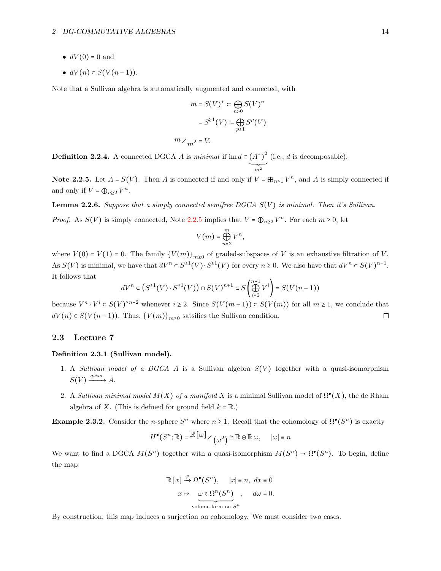- $dV(0) = 0$  and
- $dV(n) \subset S(V(n-1)).$

Note that a Sullivan algebra is automatically augmented and connected, with

$$
m = S(V)^{+} \coloneqq \bigoplus_{n>0} S(V)^{n}
$$

$$
= S^{\geq 1}(V) \coloneqq \bigoplus_{p\geq 1} S^{p}(V)
$$

$$
m \nearrow_{m^{2}} = V.
$$

**Definition 2.2.4.** A connected DGCA A is minimal if im  $d \in (A^+)$ 2  $(i.e., d is decomposable).$ 

<span id="page-13-1"></span>**Note 2.2.5.** Let  $A = S(V)$ . Then A is connected if and only if  $V = \bigoplus_{n \geq 1} V^n$ , and A is simply connected if and only if  $V = \bigoplus_{n \geq 2} V^n$ .

 $\sum_{m^2}$ 

<span id="page-13-3"></span>**Lemma 2.2.6.** Suppose that a simply connected semifree DGCA  $S(V)$  is minimal. Then it's Sullivan.

*Proof.* As  $S(V)$  is simply connected, Note [2.2.5](#page-13-1) implies that  $V = \bigoplus_{n \geq 2} V^n$ . For each  $m \geq 0$ , let

$$
V(m) = \bigoplus_{n=2}^{m} V^n,
$$

where  $V(0) = V(1) = 0$ . The family  ${V(m)}_{m\geq 0}$  of graded-subspaces of V is an exhaustive filtration of V. As  $S(V)$  is minimal, we have that  $dV^n \subset S^{21}(V) \cdot S^{21}(V)$  for every  $n \ge 0$ . We also have that  $dV^n \subset S(V)^{n+1}$ . It follows that

$$
dV^n\subset \left(S^{\geq 1}(V)\cdot S^{\geq 1}(V)\right)\cap S(V)^{n+1}\subset S\left(\bigoplus\limits_{i=2}^{n-1}V^i\right)=S\big(V(n-1)\big)
$$

because  $V^n \cdot V^i \subset S(V)^{\geq n+2}$  whenever  $i \geq 2$ . Since  $S(V(m-1)) \subset S(V(m))$  for all  $m \geq 1$ , we conclude that  $dV(n) \subset S(V(n-1))$ . Thus,  ${V(m)}_{m\geq 0}$  satsifies the Sullivan condition.

## <span id="page-13-0"></span>2.3 Lecture 7

#### Definition 2.3.1 (Sullivan model).

- 1. A Sullivan model of a DGCA A is a Sullivan algebra  $S(V)$  together with a quasi-isomorphism  $S(V) \xrightarrow{q-iso.} A.$
- 2. A Sullivan minimal model  $M(X)$  of a manifold X is a minimal Sullivan model of  $\Omega^{\bullet}(X)$ , the de Rham algebra of X. (This is defined for ground field  $k = \mathbb{R}$ .)

<span id="page-13-2"></span>Example 2.3.2. Consider the *n*-sphere  $S^n$  where  $n \ge 1$ . Recall that the cohomology of  $\Omega^{\bullet}(S^n)$  is exactly

$$
H^{\bullet}(S^n; \mathbb{R}) = \mathbb{R}[\omega] \times (\omega^2) \cong \mathbb{R} \oplus \mathbb{R} \omega, \quad |\omega| \equiv n
$$

We want to find a DGCA  $M(S^n)$  together with a quasi-isomorphism  $M(S^n) \to \Omega^{\bullet}(S^n)$ . To begin, define the map

$$
\mathbb{R}[x] \xrightarrow{\varphi} \Omega^{\bullet}(S^n), \quad |x| \equiv n, dx \equiv 0
$$
  

$$
x \mapsto \underbrace{\omega \in \Omega^n(S^n)}_{\text{volume form on } S^n}, \quad d\omega = 0.
$$

By construction, this map induces a surjection on cohomology. We must consider two cases.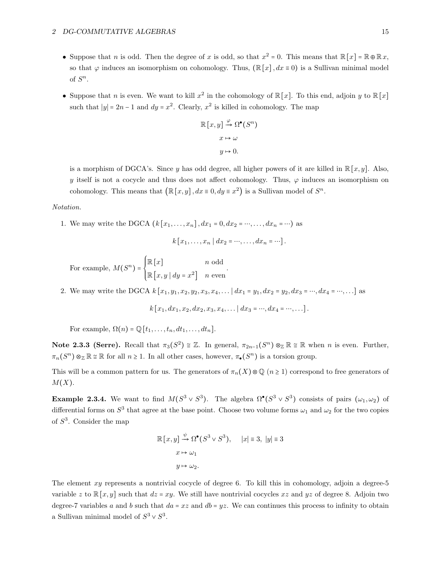- Suppose that *n* is odd. Then the degree of *x* is odd, so that  $x^2 = 0$ . This means that  $\mathbb{R}[x] = \mathbb{R} \oplus \mathbb{R} x$ , so that  $\varphi$  induces an isomorphism on cohomology. Thus,  $(\mathbb{R}[x], dx \equiv 0)$  is a Sullivan minimal model of  $S^n$ .
- Suppose that *n* is even. We want to kill  $x^2$  in the cohomology of  $\mathbb{R}[x]$ . To this end, adjoin y to  $\mathbb{R}[x]$ such that  $|y| = 2n - 1$  and  $dy = x^2$ . Clearly,  $x^2$  is killed in cohomology. The map

$$
\mathbb{R}[x, y] \xrightarrow{\varphi} \Omega^{\bullet}(S^n)
$$

$$
x \mapsto \omega
$$

$$
y \mapsto 0.
$$

is a morphism of DGCA's. Since y has odd degree, all higher powers of it are killed in  $\mathbb{R}[x, y]$ . Also, y itself is not a cocycle and thus does not affect cohomology. Thus,  $\varphi$  induces an isomorphism on cohomology. This means that  $(\mathbb{R}[x, y], dx \equiv 0, dy \equiv x^2)$  is a Sullivan model of  $S^n$ .

#### Notation.

1. We may write the DGCA  $(k [x_1, ..., x_n], dx_1 = 0, dx_2 = ..., ..., dx_n = ...)$  as

$$
k[x_1,\ldots,x_n\mid dx_2=\cdots,\ldots,dx_n=\cdots].
$$

.

For example,  $M(S^n) = \begin{cases}$  $\mathbb{R}[x]$  n odd  $\mathbb{R}\left[x, y \mid dy = x^2\right]$  n even

2. We may write the DGCA  $k[x_1, y_1, x_2, y_2, x_3, x_4, \ldots | dx_1 = y_1, dx_2 = y_2, dx_3 = \cdots, dx_4 = \cdots, \ldots]$  as

$$
k[x_1, dx_1, x_2, dx_2, x_3, x_4, \dots | dx_3 = \dots, dx_4 = \dots, \dots].
$$

For example,  $\Omega(n) = \mathbb{Q}[t_1, \ldots, t_n, dt_1, \ldots, dt_n].$ 

Note 2.3.3 (Serre). Recall that  $\pi_3(S^2) \cong \mathbb{Z}$ . In general,  $\pi_{2n-1}(S^n) \otimes_{\mathbb{Z}} \mathbb{R} \cong \mathbb{R}$  when *n* is even. Further,  $\pi_n(S^n) \otimes_{\mathbb{Z}} \mathbb{R} \cong \mathbb{R}$  for all  $n \geq 1$ . In all other cases, however,  $\pi_{\bullet}(S^n)$  is a torsion group.

This will be a common pattern for us. The generators of  $\pi_n(X)\otimes\mathbb{Q}$   $(n \geq 1)$  correspond to free generators of  $M(X)$ .

<span id="page-14-0"></span>**Example 2.3.4.** We want to find  $M(S^3 \vee S^3)$ . The algebra  $\Omega^{\bullet}(S^3 \vee S^3)$  consists of pairs  $(\omega_1, \omega_2)$  of differential forms on  $S^3$  that agree at the base point. Choose two volume forms  $\omega_1$  and  $\omega_2$  for the two copies of  $S^3$ . Consider the map

$$
\mathbb{R}[x, y] \xrightarrow{\psi} \Omega^{\bullet}(S^{3} \vee S^{3}), \quad |x| \equiv 3, |y| \equiv 3
$$

$$
x \mapsto \omega_{1}
$$

$$
y \mapsto \omega_{2}.
$$

The element  $xy$  represents a nontrivial cocycle of degree 6. To kill this in cohomology, adjoin a degree-5 variable z to  $\mathbb{R}[x, y]$  such that  $dz = xy$ . We still have nontrivial cocycles xz and yz of degree 8. Adjoin two degree-7 variables a and b such that  $da = xz$  and  $db = yz$ . We can continues this process to infinity to obtain a Sullivan minimal model of  $S^3 \vee S^3$ .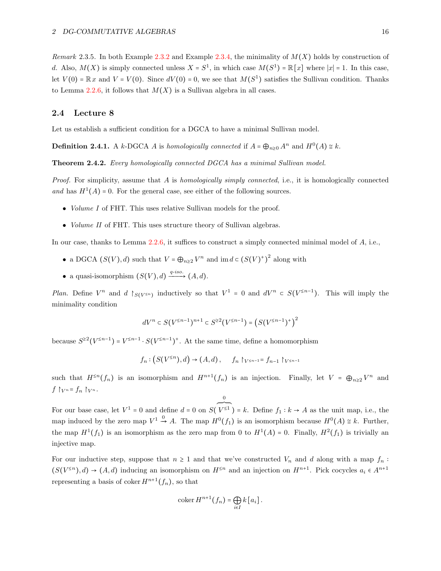Remark 2.3.5. In both Example [2.3.2](#page-13-2) and Example [2.3.4,](#page-14-0) the minimality of  $M(X)$  holds by construction of d. Also,  $M(X)$  is simply connected unless  $X = S^1$ , in which case  $M(S^1) = \mathbb{R}[x]$  where  $|x| = 1$ . In this case, let  $V(0) = \mathbb{R} x$  and  $V = V(0)$ . Since  $dV(0) = 0$ , we see that  $M(S^1)$  satisfies the Sullivan condition. Thanks to Lemma [2.2.6,](#page-13-3) it follows that  $M(X)$  is a Sullivan algebra in all cases.

## <span id="page-15-0"></span>2.4 Lecture 8

Let us establish a sufficient condition for a DGCA to have a minimal Sullivan model.

**Definition 2.4.1.** A k-DGCA A is homologically connected if  $A = \bigoplus_{n\geq 0} A^n$  and  $H^0(A) \cong k$ .

<span id="page-15-1"></span>Theorem 2.4.2. Every homologically connected DGCA has a minimal Sullivan model.

Proof. For simplicity, assume that A is homologically simply connected, i.e., it is homologically connected and has  $H^1(A) = 0$ . For the general case, see either of the following sources.

- *Volume I* of FHT. This uses relative Sullivan models for the proof.
- *Volume II* of FHT. This uses structure theory of Sullivan algebras.

In our case, thanks to Lemma  $2.2.6$ , it suffices to construct a simply connected minimal model of  $A$ , i.e.,

- a DGCA  $(S(V), d)$  such that  $V = \bigoplus_{n \geq 2} V^n$  and  $\text{im } d \in (S(V)^+)$ 2 along with
- a quasi-isomorphism  $(S(V), d) \xrightarrow{q-iso.} (A, d)$ .

Plan. Define  $V^n$  and  $d \mid_{S(V^{\leq n})}$  inductively so that  $V^1 = 0$  and  $dV^n \subset S(V^{\leq n-1})$ . This will imply the minimality condition

$$
dV^n \subset S(V^{\leq n-1})^{n+1} \subset S^{\geq 2}(V^{\leq n-1}) = (S(V^{\leq n-1})^+)^2
$$

because  $S^{\geq 2}(V^{\leq n-1}) = V^{\leq n-1} \cdot S(V^{\leq n-1})^+$ . At the same time, define a homomorphism

$$
f_n: (S(V^{\leq n}), d) \to (A, d), \quad f_n \upharpoonright_{V^{\leq n-1}} = f_{n-1} \upharpoonright_{V^{\leq n-1}}
$$

such that  $H^{\leq n}(f_n)$  is an isomorphism and  $H^{n+1}(f_n)$  is an injection. Finally, let  $V = \bigoplus_{n \geq 2} V^n$  and  $f \upharpoonright_{V^n} = f_n \upharpoonright_{V^n}$ .

For our base case, let  $V^1 = 0$  and define  $d = 0$  on  $S($  $\overbrace{V^{\leq 1}}^{0}$  = k. Define  $f_1 : k \to A$  as the unit map, i.e., the map induced by the zero map  $V^1 \xrightarrow{0} A$ . The map  $H^0(f_1)$  is an isomorphism because  $H^0(A) \cong k$ . Further, the map  $H^1(f_1)$  is an isomorphism as the zero map from 0 to  $H^1(A) = 0$ . Finally,  $H^2(f_1)$  is trivially an injective map.

For our inductive step, suppose that  $n \ge 1$  and that we've constructed  $V_n$  and d along with a map  $f_n$ :  $(S(V^{\leq n}), d) \to (A, d)$  inducing an isomorphism on  $H^{\leq n}$  and an injection on  $H^{n+1}$ . Pick cocycles  $a_i \in A^{n+1}$ representing a basis of coker  $H^{n+1}(f_n)$ , so that

$$
\operatorname{coker} H^{n+1}(f_n) = \bigoplus_{i \in I} k [a_i].
$$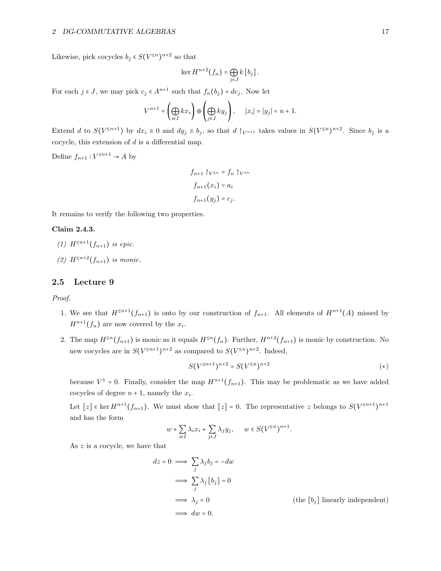### 2 DG-COMMUTATIVE ALGEBRAS 17

Likewise, pick cocycles  $b_j \in S(V^{\leq n})^{n+2}$  so that

$$
\ker H^{n+2}(f_n) = \bigoplus_{j \in J} k [b_j].
$$

For each  $j \in J$ , we may pick  $c_j \in A^{n+1}$  such that  $f_n(b_j) = dc_j$ . Now let

$$
V^{n+1} = \left(\bigoplus_{i \in I} kx_i\right) \oplus \left(\bigoplus_{j \in J} ky_j\right), \qquad |x_i| = |y_j| = n+1.
$$

Extend d to  $S(V^{\leq n+1})$  by  $dx_i \equiv 0$  and  $dy_j \equiv b_j$ , so that  $d \upharpoonright_{V^{n+1}}$  takes values in  $S(V^{\leq n})^{n+2}$ . Since  $b_j$  is a cocycle, this extension of  $d$  is a differential map.

Define  $f_{n+1}: V^{\leq n+1} \to A$  by

$$
f_{n+1} \upharpoonright_{V \le n} = f_n \upharpoonright_{V \le n}
$$

$$
f_{n+1}(x_i) = a_i
$$

$$
f_{n+1}(y_j) = c_j.
$$

It remains to verify the following two properties.

## Claim 2.4.3.

(1) 
$$
H^{\leq n+1}(f_{n+1})
$$
 is epic.

(2)  $H^{\leq n+2}(f_{n+1})$  is monic.

## <span id="page-16-0"></span>2.5 Lecture 9

Proof.

- 1. We see that  $H^{\leq n+1}(f_{n+1})$  is onto by our construction of  $f_{n+1}$ . All elements of  $H^{n+1}(A)$  missed by  $H^{n+1}(f_n)$  are now covered by the  $x_i$ .
- 2. The map  $H^{\leq n}(f_{n+1})$  is monic as it equals  $H^{\leq n}(f_n)$ . Further,  $H^{n+2}(f_{n+1})$  is monic by construction. No new cocycles are in  $S(V^{\leq n+1})^{n+2}$  as compared to  $S(V^{\leq n})^{n+2}$ . Indeed,

<span id="page-16-1"></span>
$$
S(V^{\leq n+1})^{n+2} = S(V^{\leq n})^{n+2}
$$
 (\*)

because  $V^1 = 0$ . Finally, consider the map  $H^{n+1}(f_{n+1})$ . This may be problematic as we have added cocycles of degree  $n + 1$ , namely the  $x_i$ .

Let  $[z] \in \text{ker } H^{n+1}(f_{n+1})$ . We must show that  $[z] = 0$ . The representative z belongs to  $S(V^{\leq n+1})^{n+1}$ and has the form

$$
w + \sum_{i \in I} \lambda_i x_i + \sum_{j \in J} \lambda_j y_j, \quad w \in S(V^{\leq n})^{n+1}.
$$

As z is a cocycle, we have that

$$
dz = 0 \implies \sum_{j} \lambda_j b_j = -dw
$$
  
\n
$$
\implies \sum_{j} \lambda_j [b_j] = 0
$$
  
\n
$$
\implies \lambda_j = 0
$$
  
\n
$$
\implies dw = 0.
$$
  
\n(the [b<sub>j</sub>] linearly independent)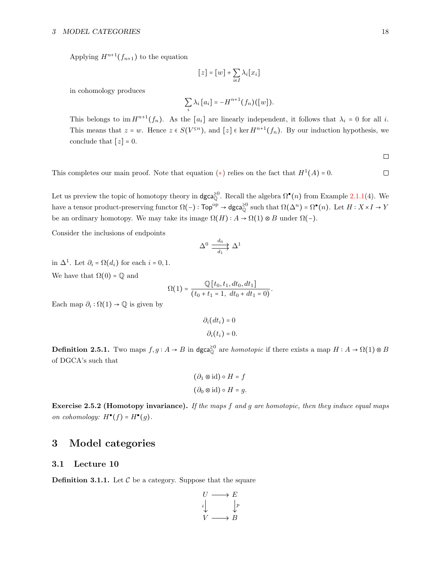Applying  $H^{n+1}(f_{n+1})$  to the equation

$$
[z] = [w] + \sum_{i \in I} \lambda_i [x_i]
$$

in cohomology produces

$$
\sum_i \lambda_i [a_i] = -H^{n+1}(f_n)([w]).
$$

This belongs to  $\text{im } H^{n+1}(f_n)$ . As the  $[a_i]$  are linearly independent, it follows that  $\lambda_i = 0$  for all *i*. This means that  $z = w$ . Hence  $z \in S(V^{\leq n})$ , and  $[z] \in \text{ker } H^{n+1}(f_n)$ . By our induction hypothesis, we conclude that  $[z] = 0$ .

 $\Box$ 

 $\Box$ 

This completes our main proof. Note that equation  $(*)$  relies on the fact that  $H^1(A) = 0$ .

Let us preview the topic of homotopy theory in  $\text{dgca}_{\mathbb{Q}}^{\geq 0}$ . Recall the algebra  $\Omega^{\bullet}(n)$  from Example [2.1.1\(](#page-9-2)4). We have a tensor product-preserving functor  $\Omega(-)$ :  $\text{Top}^{\text{op}} \to \text{dgca}_{\mathbb{Q}}^{\geq 0}$  such that  $\Omega(\Delta^n) = \Omega^{\bullet}(n)$ . Let  $H : X \times I \to Y$ be an ordinary homotopy. We may take its image  $\Omega(H)$ :  $A \to \Omega(1) \otimes B$  under  $\Omega(-)$ .

Consider the inclusions of endpoints

$$
\Delta^0 \xrightarrow[d_1]{d_0} \Delta^1
$$

in  $\Delta^1$ . Let  $\partial_i = \Omega(d_i)$  for each  $i = 0, 1$ .

We have that  $\Omega(0) = \mathbb{O}$  and

$$
\Omega(1) = \frac{\mathbb{Q}[t_0, t_1, dt_0, dt_1]}{(t_0 + t_1 = 1, dt_0 + dt_1 = 0)}.
$$

Each map  $\partial_i : \Omega(1) \to \mathbb{Q}$  is given by

$$
\partial_i (dt_i) = 0
$$

$$
\partial_i (t_i) = 0
$$

**Definition 2.5.1.** Two maps  $f, g: A \to B$  in dgca<sup>20</sup> are *homotopic* if there exists a map  $H: A \to \Omega(1) \otimes B$ of DGCA's such that

$$
(\partial_1 \otimes id) \circ H = f
$$

$$
(\partial_0 \otimes id) \circ H = g.
$$

**Exercise 2.5.2 (Homotopy invariance).** If the maps f and g are homotopic, then they induce equal maps on cohomology:  $H^{\bullet}(f) = H^{\bullet}(g)$ .

# <span id="page-17-0"></span>3 Model categories

## <span id="page-17-1"></span>3.1 Lecture 10

**Definition 3.1.1.** Let  $\mathcal{C}$  be a category. Suppose that the square

$$
\begin{array}{ccc}\nU & \longrightarrow & E \\
i & \downarrow & \\
V & \longrightarrow & B\n\end{array}
$$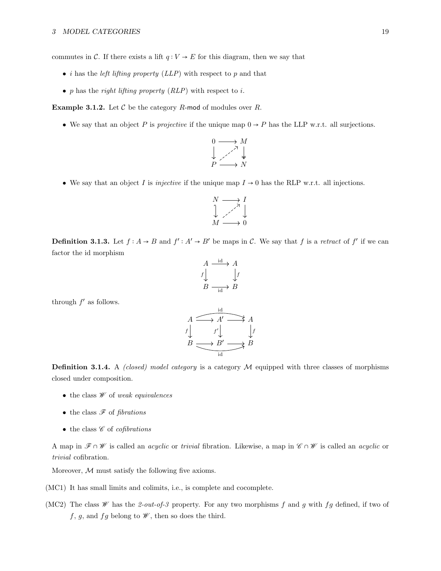commutes in C. If there exists a lift  $q: V \to E$  for this diagram, then we say that

- *i* has the *left lifting property (* $LLP$ *)* with respect to p and that
- p has the right lifting property  $(RLP)$  with respect to i.

**Example 3.1.2.** Let  $C$  be the category  $R$ -mod of modules over  $R$ .

• We say that an object P is projective if the unique map  $0 \rightarrow P$  has the LLP w.r.t. all surjections.

$$
\begin{array}{ccc}\n0 & \longrightarrow & M \\
\downarrow & \nearrow & \downarrow \\
P & \longrightarrow & N\n\end{array}
$$

• We say that an object I is *injective* if the unique map  $I \rightarrow 0$  has the RLP w.r.t. all injections.

$$
\begin{array}{ccc}\nN & \longrightarrow & I \\
\downarrow & \nearrow & \downarrow \\
M & \longrightarrow & 0\n\end{array}
$$

**Definition 3.1.3.** Let  $f : A \rightarrow B$  and  $f' : A' \rightarrow B'$  be maps in C. We say that f is a retract of f' if we can factor the id morphism

$$
A \xrightarrow{id} A
$$
  
\n
$$
f \downarrow \qquad \qquad \downarrow f
$$
  
\n
$$
B \xrightarrow{id} B
$$

through  $f'$  as follows.

$$
A \xrightarrow{\text{id} A'} A
$$
\n
$$
f \downarrow \qquad f' \downarrow \qquad f' \downarrow
$$
\n
$$
B \xrightarrow{\text{id} A} B
$$
\n
$$
B \xrightarrow{\text{id} B'} B
$$

**Definition 3.1.4.** A *(closed) model category* is a category  $M$  equipped with three classes of morphisms closed under composition.

- the class  $W$  of weak equivalences
- the class  $\mathscr F$  of fibrations
- the class  $\mathscr C$  of *cofibrations*

A map in  $\mathscr{F} \cap \mathscr{W}$  is called an *acyclic* or trivial fibration. Likewise, a map in  $\mathscr{C} \cap \mathscr{W}$  is called an *acyclic* or trivial cofibration.

Moreover,  $M$  must satisfy the following five axioms.

- (MC1) It has small limits and colimits, i.e., is complete and cocomplete.
- (MC2) The class  $W$  has the 2-out-of-3 property. For any two morphisms f and g with fg defined, if two of f, g, and fg belong to  $\mathscr{W}$ , then so does the third.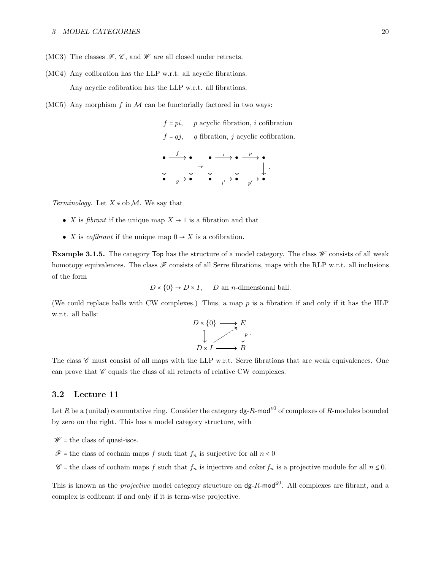- (MC3) The classes  $\mathscr{F}, \mathscr{C}$ , and  $\mathscr{W}$  are all closed under retracts.
- (MC4) Any cofibration has the LLP w.r.t. all acyclic fibrations. Any acyclic cofibration has the LLP w.r.t. all fibrations.
- (MC5) Any morphism  $f$  in  $M$  can be functorially factored in two ways:

 $f = pi$ , p acyclic fibration, i cofibration  $f = qj$ , q fibration, j acyclic cofibration.

$$
\begin{array}{ccccccc}\n\bullet & \xrightarrow{f} & \bullet & \bullet & \xrightarrow{i} & \bullet & \xrightarrow{p} & \bullet \\
\downarrow & & \downarrow & \rightarrow & & \downarrow & & \downarrow \\
\bullet & & \xrightarrow{g} & \bullet & & \bullet & \xrightarrow{i'} & \bullet & \xrightarrow{p'} & \bullet\n\end{array}
$$

Terminology. Let  $X \in ob \mathcal{M}$ . We say that

- X is *fibrant* if the unique map  $X \to 1$  is a fibration and that
- X is *cofibrant* if the unique map  $0 \rightarrow X$  is a cofibration.

**Example 3.1.5.** The category  $Top$  has the structure of a model category. The class  $W$  consists of all weak homotopy equivalences. The class  $\mathscr F$  consists of all Serre fibrations, maps with the RLP w.r.t. all inclusions of the form

 $D \times \{0\} \hookrightarrow D \times I$ , D an *n*-dimensional ball.

(We could replace balls with CW complexes.) Thus, a map  $p$  is a fibration if and only if it has the HLP w.r.t. all balls:

$$
D \times \{0\} \longrightarrow E
$$
  

$$
\downarrow \qquad P \times I \longrightarrow B
$$

The class  $\mathscr C$  must consist of all maps with the LLP w.r.t. Serre fibrations that are weak equivalences. One can prove that  $\mathscr C$  equals the class of all retracts of relative CW complexes.

#### <span id="page-19-0"></span>3.2 Lecture 11

Let R be a (unital) commutative ring. Consider the category  $dg$ -R-mod<sup>≤0</sup> of complexes of R-modules bounded by zero on the right. This has a model category structure, with

 $W =$  the class of quasi-isos.

 $\mathscr{F}$  = the class of cochain maps f such that  $f_n$  is surjective for all  $n < 0$ 

 $\mathscr{C}$  = the class of cochain maps f such that  $f_n$  is injective and coker  $f_n$  is a projective module for all  $n \leq 0$ .

This is known as the *projective* model category structure on  $dg-R-mod<sup>≤0</sup>$ . All complexes are fibrant, and a complex is cofibrant if and only if it is term-wise projective.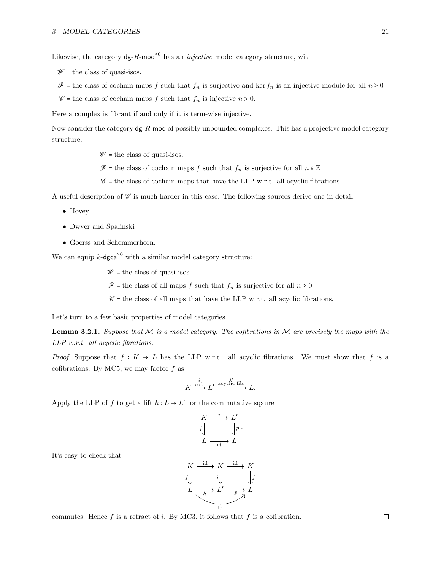Likewise, the category  $\deg-R$ -mod<sup>≥0</sup> has an *injective* model category structure, with

 $W =$  the class of quasi-isos.

 $\mathscr{F}$  = the class of cochain maps f such that  $f_n$  is surjective and ker  $f_n$  is an injective module for all  $n \geq 0$ 

 $\mathscr{C}$  = the class of cochain maps f such that  $f_n$  is injective  $n > 0$ .

Here a complex is fibrant if and only if it is term-wise injective.

Now consider the category  $dg-R-mod$  of possibly unbounded complexes. This has a projective model category structure:

 $W =$  the class of quasi-isos.

 $\mathscr{F}$  = the class of cochain maps f such that  $f_n$  is surjective for all  $n \in \mathbb{Z}$ 

 $\mathscr{C}$  = the class of cochain maps that have the LLP w.r.t. all acyclic fibrations.

A useful description of  $\mathscr C$  is much harder in this case. The following sources derive one in detail:

- Hovey
- Dwyer and Spalinski
- Goerss and Schemmerhorn.

We can equip k-dgca<sup> $\geq 0$ </sup> with a similar model category structure:

 $W =$  the class of quasi-isos.

 $\mathscr{F}$  = the class of all maps f such that  $f_n$  is surjective for all  $n \geq 0$ 

 $\mathscr{C}$  = the class of all maps that have the LLP w.r.t. all acyclic fibrations.

<span id="page-20-0"></span>Let's turn to a few basic properties of model categories.

**Lemma 3.2.1.** Suppose that M is a model category. The cofibrations in M are precisely the maps with the LLP w.r.t. all acyclic fibrations.

*Proof.* Suppose that  $f: K \to L$  has the LLP w.r.t. all acyclic fibrations. We must show that f is a cofibrations. By MC5, we may factor  $f$  as

$$
K \xrightarrow{\text{cof.}} L' \xrightarrow{\text{acyclic fib.}} L.
$$

Apply the LLP of  $f$  to get a lift  $h: L \to L'$  for the commutative sqaure

$$
\begin{array}{ccc}\nK & \xrightarrow{i} & L' \\
f & & \downarrow p \\
L & \xrightarrow{id} & L\n\end{array}
$$

It's easy to check that

$$
K \xrightarrow{\text{id}} K \xrightarrow{\text{id}} K
$$
\n
$$
f \downarrow \qquad i \downarrow \qquad f
$$
\n
$$
L \xrightarrow{\text{h}} L' \xrightarrow{\text{p}} L
$$
\n
$$
L \xrightarrow{\text{id}} L'
$$
\n
$$
L \xrightarrow{\text{id}} L'
$$

commutes. Hence  $f$  is a retract of i. By MC3, it follows that  $f$  is a cofibration.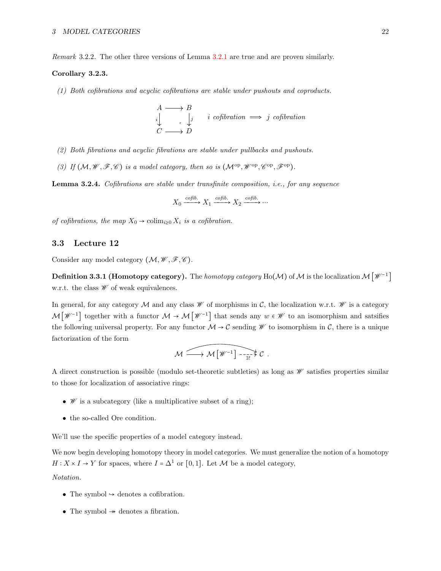Remark 3.2.2. The other three versions of Lemma [3.2.1](#page-20-0) are true and are proven similarly.

#### Corollary 3.2.3.

(1) Both cofibrations and acyclic cofibrations are stable under pushouts and coproducts.

$$
A \longrightarrow B
$$
  
\n
$$
\downarrow \qquad \qquad \downarrow \qquad i \text{ cofibration} \implies j \text{ cofibration}
$$
  
\n
$$
C \longrightarrow D
$$

- (2) Both fibrations and acyclic fibrations are stable under pullbacks and pushouts.
- (3) If  $(M, W, \mathcal{F}, \mathcal{C})$  is a model category, then so is  $(M^{op}, W^{op}, \mathcal{C}^{op}, \mathcal{F}^{op})$ .

Lemma 3.2.4. Cofibrations are stable under transfinite composition, i.e., for any sequence

$$
X_0 \xrightarrow{cofib.} X_1 \xrightarrow{cofib.} X_2 \xrightarrow{cofib.} \cdots
$$

of cofibrations, the map  $X_0 \to \mathrm{colim}_{i\geq 0} X_i$  is a cofibration.

## <span id="page-21-0"></span>3.3 Lecture 12

Consider any model category  $(\mathcal{M}, \mathcal{W}, \mathcal{F}, \mathcal{C})$ .

**Definition 3.3.1 (Homotopy category).** The *homotopy category* Ho( $\mathcal{M}$ ) of  $\mathcal{M}$  is the localization  $\mathcal{M}\big[\mathscr{W}^{-1}\big]$ w.r.t. the class  $\mathcal W$  of weak equivalences.

In general, for any category M and any class  $\mathscr W$  of morphisms in C, the localization w.r.t.  $\mathscr W$  is a category  $M[\mathscr{W}^{-1}]$  together with a functor  $M \to M[\mathscr{W}^{-1}]$  that sends any  $w \in \mathscr{W}$  to an isomorphism and satsifies the following universal property. For any functor  $\mathcal{M} \to \mathcal{C}$  sending  $\mathcal W$  to isomorphism in  $\mathcal{C}$ , there is a unique factorization of the form

$$
\mathcal{M} \xrightarrow{\text{min}} \mathcal{M} \left[ \mathscr{W}^{-1} \right] \xrightarrow{\text{max}} \mathcal{C}.
$$

A direct construction is possible (modulo set-theoretic subtleties) as long as  $\mathscr W$  satisfies properties similar to those for localization of associative rings:

- $W$  is a subcategory (like a multiplicative subset of a ring);
- the so-called Ore condition.

We'll use the specific properties of a model category instead.

We now begin developing homotopy theory in model categories. We must generalize the notion of a homotopy  $H: X \times I \to Y$  for spaces, where  $I = \Delta^1$  or [0,1]. Let  $\mathcal M$  be a model category, Notation.

- The symbol  $\rightarrow$  denotes a cofibration.
- The symbol  $\rightarrow$  denotes a fibration.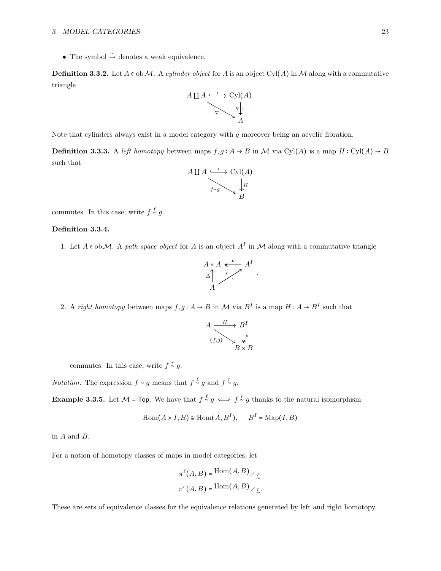• The symbol  $\stackrel{\sim}{\rightarrow}$  denotes a weak equivalence.

**Definition 3.3.2.** Let  $A \in ob \mathcal{M}$ . A cylinder object for A is an object Cyl(A) in M along with a commutative triangle



<span id="page-22-0"></span>Note that cylinders always exist in a model category with  $q$  moreover being an acyclic fibration.

**Definition 3.3.3.** A left homotopy between maps  $f, g : A \to B$  in M via Cyl(A) is a map  $H : Cyl(A) \to B$ such that



commutes. In this case, write  $f \stackrel{\ell}{\sim} g$ .

## Definition 3.3.4.

1. Let  $A \in ob \mathcal{M}$ . A path space object for A is an object  $A<sup>I</sup>$  in M along with a commutative triangle

$$
A \times A \xleftarrow{p} A^I
$$
  
\n
$$
\Delta \uparrow \qquad \qquad A
$$

.

2. A right homotopy between maps  $f, g: A \to B$  in M via  $B^I$  is a map  $H: A \to B^I$  such that

$$
A \xrightarrow{(f,g)} B^I
$$
  

$$
\downarrow_p
$$
  

$$
B \times B
$$

commutes. In this case, write  $f \stackrel{r}{\sim} g$ .

*Notation.* The expression  $f \sim g$  means that  $f \sim^g g$  and  $f \sim^g g$ .

**Example 3.3.5.** Let  $M = Top$ . We have that  $f \stackrel{\ell}{\sim} g \iff f \stackrel{\tau}{\sim} g$  thanks to the natural isomorphism

$$
\operatorname{Hom}(A \times I, B) \cong \operatorname{Hom}(A, B^I), \quad B^I = \operatorname{Map}(I, B)
$$

in A and B.

For a notion of homotopy classes of maps in model categories, let

$$
\pi^{\ell}(A, B) = \text{Hom}(A, B) \times \ell
$$

$$
\pi^r(A, B) = \text{Hom}(A, B) \times \ell
$$

These are sets of equivalence classes for the equivalence relations generated by left and right homotopy.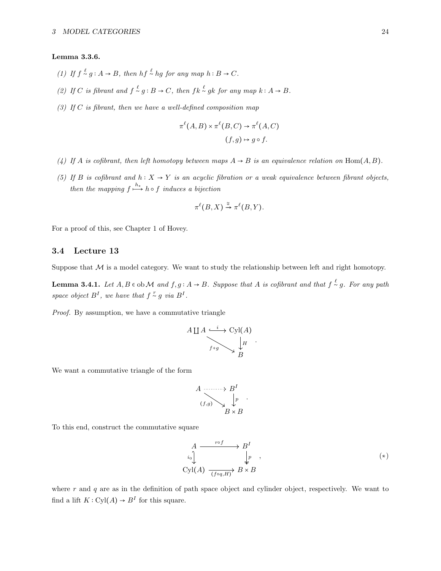#### <span id="page-23-2"></span>Lemma 3.3.6.

- (1) If  $f \stackrel{\ell}{\sim} g : A \to B$ , then  $hf \stackrel{\ell}{\sim} hg$  for any map  $h : B \to C$ .
- (2) If C is fibrant and  $f \stackrel{\ell}{\sim} g : B \to C$ , then  $fk \stackrel{\ell}{\sim} gk$  for any map  $k : A \to B$ .
- (3) If C is fibrant, then we have a well-defined composition map

$$
\pi^{\ell}(A, B) \times \pi^{\ell}(B, C) \to \pi^{\ell}(A, C)
$$
  

$$
(f, g) \mapsto g \circ f.
$$

- (4) If A is cofibrant, then left homotopy between maps  $A \rightarrow B$  is an equivalence relation on Hom $(A, B)$ .
- (5) If B is cofibrant and  $h: X \to Y$  is an acyclic fibration or a weak equivalence between fibrant objects, then the mapping  $f \xrightarrow{h_*} h \circ f$  induces a bijection

$$
\pi^{\ell}(B, X) \xrightarrow{\cong} \pi^{\ell}(B, Y).
$$

For a proof of this, see Chapter 1 of Hovey.

## <span id="page-23-0"></span>3.4 Lecture 13

Suppose that  $M$  is a model category. We want to study the relationship between left and right homotopy.

**Lemma 3.4.1.** Let  $A, B \in \text{ob } \mathcal{M}$  and  $f, g: A \to B$ . Suppose that  $A$  is cofibrant and that  $f \stackrel{\ell}{\sim} g$ . For any path space object  $B^I$ , we have that  $f \overset{r}{\sim} g$  via  $B^I$ .

Proof. By assumption, we have a commutative triangle

$$
A \coprod A \xrightarrow{t} CyI(A)
$$
  
 $f+g \searrow \downarrow H$   
 $B$ 

<span id="page-23-1"></span>.

We want a commutative triangle of the form

$$
A \xrightarrow{(f,g)} B^I
$$
  

$$
\downarrow p
$$
  

$$
B \times B
$$

To this end, construct the commutative square

$$
A \xrightarrow{r \circ f} B^I
$$
  
\n
$$
i_0 \downarrow \qquad \qquad \downarrow p \qquad ,
$$
  
\n
$$
\text{Cyl}(A) \xrightarrow{(f \circ q, H)} B \times B
$$
 (\*)

where r and q are as in the definition of path space object and cylinder object, respectively. We want to find a lift  $K: Cyl(A) \to B<sup>I</sup>$  for this square.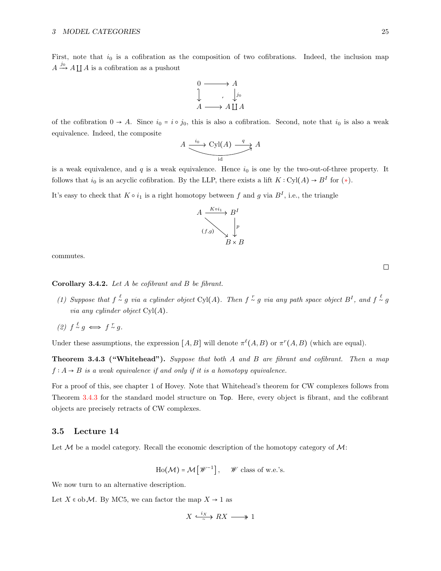First, note that  $i_0$  is a cofibration as the composition of two cofibrations. Indeed, the inclusion map  $A \xrightarrow{j_0} A \coprod A$  is a cofibration as a pushout

$$
\begin{array}{ccc}\n0 & \longrightarrow & A \\
\downarrow & & \downarrow_{j_0} \\
A & \longrightarrow & A \coprod A\n\end{array}
$$

of the cofibration  $0 \to A$ . Since  $i_0 = i \circ j_0$ , this is also a cofibration. Second, note that  $i_0$  is also a weak equivalence. Indeed, the composite

$$
A \xrightarrow{\phantom{a}i_0 \phantom{a}} \xrightarrow{\phantom{a}i_0 \phantom{a}} \xrightarrow{\phantom{a}i_1} A
$$

is a weak equivalence, and  $q$  is a weak equivalence. Hence  $i_0$  is one by the two-out-of-three property. It follows that  $i_0$  is an acyclic cofibration. By the LLP, there exists a lift  $K: Cyl(A) \to B^I$  for  $(*)$ .

It's easy to check that  $K \circ i_1$  is a right homotopy between f and g via  $B^I$ , i.e., the triangle



commutes.

#### Corollary 3.4.2. Let A be cofibrant and B be fibrant.

- (1) Suppose that  $f \stackrel{\ell}{\sim} g$  via a cylinder object Cyl(A). Then  $f \stackrel{\tau}{\sim} g$  via any path space object  $B^I$ , and  $f \stackrel{\ell}{\sim} g$ *via any cylinder object*  $Cyl(A)$ .
- (2)  $f \stackrel{\ell}{\sim} g \iff f \stackrel{\tau}{\sim} g$ .

<span id="page-24-1"></span>Under these assumptions, the expression  $[A, B]$  will denote  $\pi^{\ell}(A, B)$  or  $\pi^{r}(A, B)$  (which are equal).

Theorem 3.4.3 ("Whitehead"). Suppose that both A and B are fibrant and cofibrant. Then a map  $f: A \rightarrow B$  is a weak equivalence if and only if it is a homotopy equivalence.

For a proof of this, see chapter 1 of Hovey. Note that Whitehead's theorem for CW complexes follows from Theorem [3.4.3](#page-24-1) for the standard model structure on Top. Here, every object is fibrant, and the cofibrant objects are precisely retracts of CW complexes.

#### <span id="page-24-0"></span>3.5 Lecture 14

Let  $M$  be a model category. Recall the economic description of the homotopy category of  $M$ :

$$
\text{Ho}(\mathcal{M}) = \mathcal{M}\left[\mathcal{W}^{-1}\right], \quad \mathcal{W} \text{ class of w.e.'s.}
$$

We now turn to an alternative description.

Let  $X \in ob \mathcal{M}$ . By MC5, we can factor the map  $X \to 1$  as

$$
X \xrightarrow{\ i_X \ } RX \longrightarrow 1
$$

 $\Box$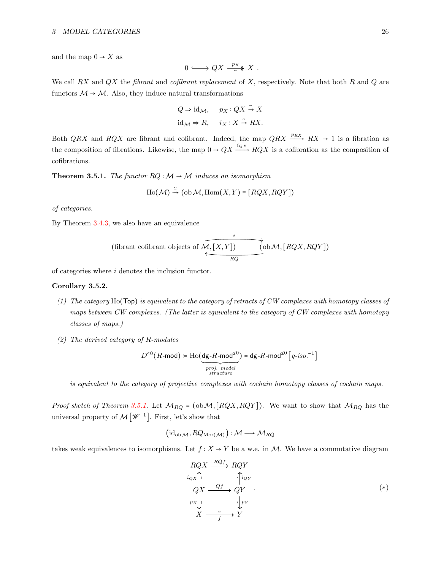and the map  $0 \rightarrow X$  as

$$
0 \longrightarrow QX \xrightarrow{\ p_X} X .
$$

We call RX and  $QX$  the fibrant and cofibrant replacement of X, respectively. Note that both R and  $Q$  are functors  $M \rightarrow M$ . Also, they induce natural transformations

$$
Q \Rightarrow id_{\mathcal{M}}, \quad p_X: QX \xrightarrow{\sim} X
$$

$$
id_{\mathcal{M}} \Rightarrow R, \quad i_X: X \xrightarrow{\sim} RX.
$$

Both QRX and RQX are fibrant and cofibrant. Indeed, the map  $QRX \xrightarrow{p_{RX}} RX \rightarrow 1$  is a fibration as the composition of fibrations. Likewise, the map  $0 \to QX \xrightarrow{i_{QX}} RQX$  is a cofibration as the composition of cofibrations.

<span id="page-25-0"></span>**Theorem 3.5.1.** The functor  $RQ : \mathcal{M} \to \mathcal{M}$  induces an isomorphism

$$
\mathrm{Ho}(\mathcal{M}) \xrightarrow{\simeq} (\mathrm{ob}\,\mathcal{M}, \mathrm{Hom}(X, Y) \equiv [RQX, RQY])
$$

of categories.

By Theorem [3.4.3,](#page-24-1) we also have an equivalence

(fibrant cofibrant objects of 
$$
\overbrace{M, [X, Y]}^{i}
$$
 (ob M, [RQX, RQY])

of categories where i denotes the inclusion functor.

### Corollary 3.5.2.

- (1) The category Ho(Top) is equivalent to the category of retracts of CW complexes with homotopy classes of maps between CW complexes. (The latter is equivalent to the category of CW complexes with homotopy classes of maps.)
- (2) The derived category of R-modules

$$
D^{\leq 0}(R\text{-mod}) \coloneqq \text{Ho}(\underbrace{\text{dg-}R\text{-mod}^{\leq 0}}_{proj.\ model}) = \text{dg-}R\text{-mod}^{\leq 0}\left[q\text{-}iso\text{-}1\right]
$$

is equivalent to the category of projective complexes with cochain homotopy classes of cochain maps.

*Proof sketch of Theorem [3.5.1.](#page-25-0)* Let  $M_{RQ} = (\text{ob }M, [RQX, RQY])$ . We want to show that  $M_{RQ}$  has the universal property of  $\mathcal{M}\left[\mathscr{W}^{-1}\right]$ . First, let's show that

$$
(\mathrm{id}_{\mathrm{ob}\,\mathcal{M}}, RQ_{\mathrm{Mor}(\mathcal{M})}): \mathcal{M} \longrightarrow \mathcal{M}_{RQ}
$$

takes weak equivalences to isomorphisms. Let  $f : X \to Y$  be a w.e. in M. We have a commutative diagram

<span id="page-25-1"></span>
$$
RQX \xrightarrow{i_{Q}X} RQY
$$
  
\n
$$
i_{Q}X \xrightarrow{i_{Q}Y} QY
$$
  
\n
$$
p_{X} \downarrow \qquad \qquad \downarrow \qquad \downarrow p_{Y}
$$
  
\n
$$
X \xrightarrow{r} Y
$$
  
\n
$$
(*)
$$
  
\n
$$
(*)
$$
  
\n
$$
Y
$$
  
\n
$$
(*)
$$
  
\n
$$
Y
$$
  
\n
$$
(*)
$$
  
\n
$$
Y
$$
  
\n
$$
(*)
$$
  
\n
$$
Y
$$
  
\n
$$
(*)
$$
  
\n
$$
Y
$$
  
\n
$$
(*)
$$
  
\n
$$
Y
$$
  
\n
$$
(*)
$$
  
\n
$$
Y
$$
  
\n
$$
(*)
$$
  
\n
$$
Y
$$
  
\n
$$
(*)
$$
  
\n
$$
Y
$$
  
\n
$$
(*)
$$
  
\n
$$
Y
$$
  
\n
$$
(*)
$$
  
\n
$$
Y
$$
  
\n
$$
(*)
$$
  
\n
$$
Y
$$
  
\n
$$
(*)
$$
  
\n
$$
Y
$$
  
\n
$$
(*)
$$
  
\n
$$
Y
$$
  
\n
$$
(*)
$$
  
\n
$$
Y
$$
  
\n
$$
(*)
$$
  
\n
$$
Y
$$
  
\n
$$
(*)
$$
  
\n
$$
Y
$$
  
\n
$$
(*)
$$
  
\n
$$
Y
$$
  
\n
$$
(*)
$$
  
\n
$$
Y
$$
  
\n
$$
(*)
$$
  
\n
$$
Y
$$
  
\n
$$
(*)
$$
  
\n
$$
(*)
$$
  
\n
$$
(*)
$$
  
\n
$$
(*)
$$
  
\n
$$
(*)
$$
  
\n
$$
(*)
$$
  
\n
$$
(*)
$$
  
\n
$$
(*)
$$
  
\n
$$
(*)
$$
  
\n $$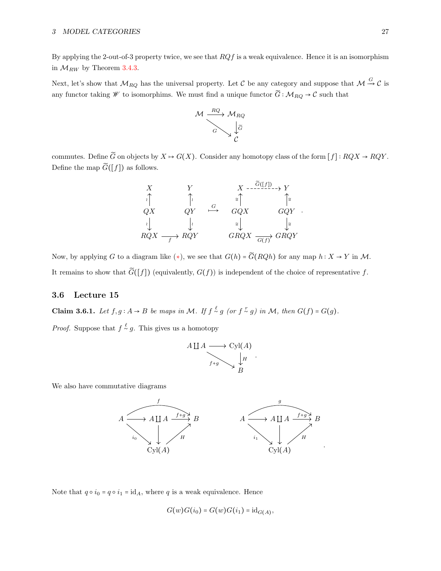By applying the 2-out-of-3 property twice, we see that  $RQf$  is a weak equivalence. Hence it is an isomorphism in  $\mathcal{M}_{RW}$  by Theorem [3.4.3.](#page-24-1)

Next, let's show that  $\mathcal{M}_{RQ}$  has the universal property. Let C be any category and suppose that  $\mathcal{M} \stackrel{G}{\rightarrow} C$  is any functor taking  $\mathscr W$  to isomorphims. We must find a unique functor  $\widetilde G$  ∶  $\mathcal M_{RQ}\to \mathcal C$  such that



commutes. Define  $\widetilde{G}$  on objects by  $X \mapsto G(X)$ . Consider any homotopy class of the form  $[f] : RQX \to RQY$ . Define the map  $\widetilde{G}([f])$  as follows.



Now, by applying G to a diagram like  $(*)$ , we see that  $G(h) = \widetilde{G}(RQh)$  for any map  $h: X \to Y$  in M. It remains to show that  $\widetilde{G}([f])$  (equivalently,  $G(f)$ ) is independent of the choice of representative f.

### <span id="page-26-0"></span>3.6 Lecture 15

Claim 3.6.1. Let  $f, g: A \rightarrow B$  be maps in M. If  $f \stackrel{\ell}{\sim} g$  (or  $f \stackrel{\tau}{\sim} g$ ) in M, then  $G(f) = G(g)$ .

*Proof.* Suppose that  $f \stackrel{\ell}{\sim} g$ . This gives us a homotopy

$$
A \coprod A \longrightarrow \text{Cyl}(A)
$$
  
 $f+g \longrightarrow \downarrow H$   
 $B$ 

.

We also have commutative diagrams



Note that  $q \circ i_0 = q \circ i_1 = id_A$ , where q is a weak equivalence. Hence

$$
G(w)G(i_0) = G(w)G(i_1) = id_{G(A)},
$$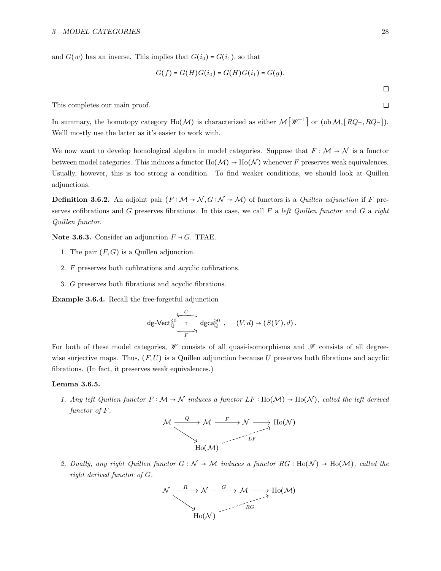and  $G(w)$  has an inverse. This implies that  $G(i_0) = G(i_1)$ , so that

$$
G(f) = G(H)G(i_0) = G(H)G(i_1) = G(g).
$$

This completes our main proof.

In summary, the homotopy category Ho( $M$ ) is characterized as either  $M[\mathscr{W}^{-1}]$  or  $(\text{ob }M, [RQ-, RQ-])$ . We'll mostly use the latter as it's easier to work with.

We now want to develop homological algebra in model categories. Suppose that  $F : \mathcal{M} \to \mathcal{N}$  is a functor between model categories. This induces a functor  $Ho(M) \to Ho(N)$  whenever F preserves weak equivalences. Usually, however, this is too strong a condition. To find weaker conditions, we should look at Quillen adjunctions.

**Definition 3.6.2.** An adjoint pair  $(F : \mathcal{M} \to \mathcal{N}, G : \mathcal{N} \to \mathcal{M})$  of functors is a *Quillen adjunction* if F preserves cofibrations and G preserves fibrations. In this case, we call  $F$  a left Quillen functor and  $G$  a right Quillen functor.

Note 3.6.3. Consider an adjunction  $F \dashv G$ . TFAE.

- 1. The pair  $(F, G)$  is a Quillen adjunction.
- 2. F preserves both cofibrations and acyclic cofibrations.
- 3. G preserves both fibrations and acyclic fibrations.

Example 3.6.4. Recall the free-forgetful adjunction

$$
\mathsf{dg}\text{-}\mathsf{Vect}_{\mathbb{Q}}^{\leq 0} \xrightarrow[\text{F}]{U} \mathsf{dgca}_{\mathbb{Q}}^{\geq 0} , \quad (V,d) \mapsto (S(V),d) \, .
$$

For both of these model categories,  $\mathscr W$  consists of all quasi-isomorphisms and  $\mathscr F$  consists of all degreewise surjective maps. Thus,  $(F, U)$  is a Quillen adjunction because U preserves both fibrations and acyclic fibrations. (In fact, it preserves weak equivalences.)

#### <span id="page-27-0"></span>Lemma 3.6.5.

1. Any left Quillen functor  $F : \mathcal{M} \to \mathcal{N}$  induces a functor  $LF : Ho(\mathcal{M}) \to Ho(\mathcal{N})$ , called the left derived functor of F.



2. Dually, any right Quillen functor  $G : \mathcal{N} \to \mathcal{M}$  induces a functor  $RG : Ho(\mathcal{N}) \to Ho(\mathcal{M})$ , called the right derived functor of G.



 $\Box$  $\Box$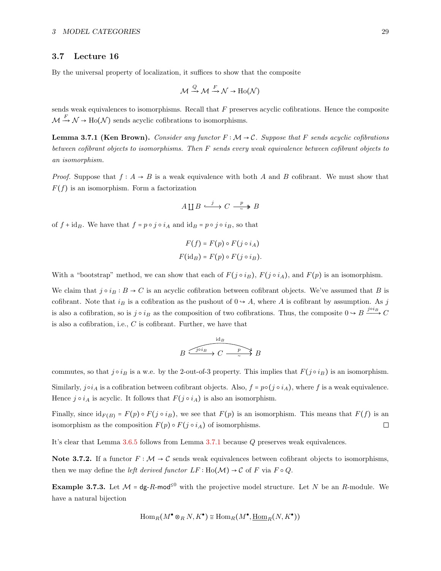#### <span id="page-28-0"></span>3.7 Lecture 16

By the universal property of localization, it suffices to show that the composite

$$
\mathcal{M} \xrightarrow{Q} \mathcal{M} \xrightarrow{F} \mathcal{N} \to \text{Ho}(\mathcal{N})
$$

sends weak equivalences to isomorphisms. Recall that  $F$  preserves acyclic cofibrations. Hence the composite  $\sqrt{2}$  $\stackrel{F}{\longrightarrow} \mathcal{N} \to \text{Ho}(\mathcal{N})$  sends acyclic cofibrations to isomorphisms.

<span id="page-28-1"></span>**Lemma 3.7.1 (Ken Brown).** Consider any functor  $F : \mathcal{M} \to \mathcal{C}$ . Suppose that F sends acyclic cofibrations between cofibrant objects to isomorphisms. Then F sends every weak equivalence between cofibrant objects to an isomorphism.

*Proof.* Suppose that  $f : A \to B$  is a weak equivalence with both A and B cofibrant. We must show that  $F(f)$  is an isomorphism. Form a factorization

$$
A \coprod B \stackrel{j}{\longrightarrow} C \stackrel{p}{\longrightarrow} B
$$

of  $f + id_B$ . We have that  $f = p \circ j \circ i_A$  and  $id_B = p \circ j \circ i_B$ , so that

$$
F(f) = F(p) \circ F(j \circ i_A)
$$

$$
F(\mathrm{id}_B) = F(p) \circ F(j \circ i_B).
$$

With a "bootstrap" method, we can show that each of  $F(j \circ i_B)$ ,  $F(j \circ i_A)$ , and  $F(p)$  is an isomorphism.

We claim that  $j \circ i_B : B \to C$  is an acyclic cofibration between cofibrant objects. We've assumed that B is cofibrant. Note that  $i_B$  is a cofibration as the pushout of  $0 \rightarrow A$ , where A is cofibrant by assumption. As j is also a cofibration, so is  $j \circ i_B$  as the composition of two cofibrations. Thus, the composite  $0 \to B \frac{j \circ i_B}{\sim} C$ is also a cofibration, i.e.,  $C$  is cofibrant. Further, we have that

$$
B \xrightarrow{j \circ i_B} C \xrightarrow{p} B
$$

commutes, so that  $j \circ i_B$  is a w.e. by the 2-out-of-3 property. This implies that  $F(j \circ i_B)$  is an isomorphism. Similarly,  $j \circ i_A$  is a cofibration between cofibrant objects. Also,  $f = p \circ (j \circ i_A)$ , where f is a weak equivalence. Hence  $j \circ i_A$  is acyclic. It follows that  $F(j \circ i_A)$  is also an isomorphism.

Finally, since  $id_{F(B)} = F(p) \circ F(j \circ i_B)$ , we see that  $F(p)$  is an isomorphism. This means that  $F(f)$  is an isomorphism as the composition  $F(p) \circ F(j \circ i_A)$  of isomorphisms. isomorphism as the composition  $F(p) \circ F(j \circ i_A)$  of isomorphisms.

It's clear that Lemma [3.6.5](#page-27-0) follows from Lemma [3.7.1](#page-28-1) because Q preserves weak equivalences.

Note 3.7.2. If a functor  $F : \mathcal{M} \to \mathcal{C}$  sends weak equivalences between cofibrant objects to isomorphisms, then we may define the *left derived functor*  $LF : Ho(\mathcal{M}) \rightarrow C$  of F via  $F \circ Q$ .

**Example 3.7.3.** Let  $M = dg-R-mod<sup>≤0</sup>$  with the projective model structure. Let N be an R-module. We have a natural bijection

$$
\operatorname{Hom}_R(M^{\bullet} \otimes_R N, K^{\bullet}) \cong \operatorname{Hom}_R(M^{\bullet}, \underline{\operatorname{Hom}}_R(N, K^{\bullet}))
$$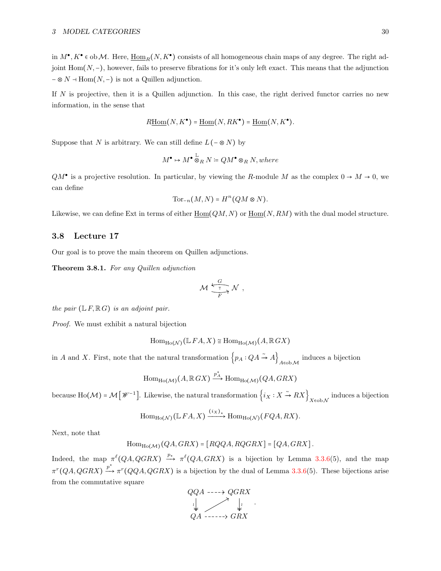in  $M^{\bullet}, K^{\bullet} \in ob \mathcal{M}$ . Here,  $\underline{\text{Hom}}_R(N, K^{\bullet})$  consists of all homogeneous chain maps of any degree. The right adjoint Hom(N,−), however, fails to preserve fibrations for it's only left exact. This means that the adjunction  $- \otimes N \dashv \text{Hom}(N, -)$  is not a Quillen adjunction.

If  $N$  is projective, then it is a Quillen adjunction. In this case, the right derived functor carries no new information, in the sense that

$$
R\underline{\mathrm{Hom}}(N, K^{\bullet}) = \underline{\mathrm{Hom}}(N, RK^{\bullet}) = \underline{\mathrm{Hom}}(N, K^{\bullet}).
$$

Suppose that N is arbitrary. We can still define  $L(- \otimes N)$  by

$$
M^{\bullet} \mapsto M^{\bullet} \overset{\mathbb{L}}{\otimes}_R N \coloneqq QM^{\bullet} \otimes_R N, where
$$

 $QM^{\bullet}$  is a projective resolution. In particular, by viewing the R-module M as the complex  $0 \to M \to 0$ , we can define

$$
\operatorname{Tor}_{-n}(M,N) = H^n(QM \otimes N).
$$

Likewise, we can define Ext in terms of either  $Hom(QM, N)$  or  $Hom(N, RM)$  with the dual model structure.

## <span id="page-29-0"></span>3.8 Lecture 17

Our goal is to prove the main theorem on Quillen adjunctions.

Theorem 3.8.1. For any Quillen adjunction

$$
\mathcal{M} \xrightarrow[\frac{G}{F}]{} \mathcal{N} ,
$$

the pair  $(\mathbb{L} F, \mathbb{R} G)$  is an adjoint pair.

Proof. We must exhibit a natural bijection

$$
\operatorname{Hom}_{\operatorname{Ho}(\mathcal{N})}(\mathbb{L} \, FA, X) \cong \operatorname{Hom}_{\operatorname{Ho}(\mathcal{M})}(A, \mathbb{R} \, GX)
$$

in A and X. First, note that the natural transformation  $\{p_A:QA \stackrel{\sim}{\rightarrow} A\}_{A\in ob\mathcal{M}}$  induces a bijection

$$
\operatorname{Hom}_{\operatorname{Ho}(\mathcal{M})}(A, \mathbb{R} G X) \xrightarrow{p_A^*} \operatorname{Hom}_{\operatorname{Ho}(\mathcal{M})}(QA, GRX)
$$

because Ho( $\mathcal{M}$ ) =  $\mathcal{M}\left[\mathscr{W}^{-1}\right]$ . Likewise, the natural transformation  $\left\{i_X:X \stackrel{\sim}{\rightarrow} RX\right\}_{X \in \text{ob}\mathcal{N}}$  induces a bijection

$$
\operatorname{Hom}_{\operatorname{Ho}(\mathcal{N})}(\mathbb{L}FA, X) \xrightarrow{(i_X)_*} \operatorname{Hom}_{\operatorname{Ho}(\mathcal{N})}(FQA, RX).
$$

Next, note that

$$
\mathrm{Hom}_{\mathrm{Ho}(\mathcal{M})}(QA,GRX) = [RQQA, RQGRX] = [QA, GRX].
$$

Indeed, the map  $\pi^{\ell}(QA, QGRX) \stackrel{p_{*}}{\longrightarrow} \pi^{\ell}(QA, GRX)$  is a bijection by Lemma [3.3.6\(](#page-23-2)5), and the map  $\pi^r(QA, QGRX) \xrightarrow{p^*} \pi^r(QQA, QGRX)$  is a bijection by the dual of Lemma [3.3.6\(](#page-23-2)5). These bijections arise from the commutative square

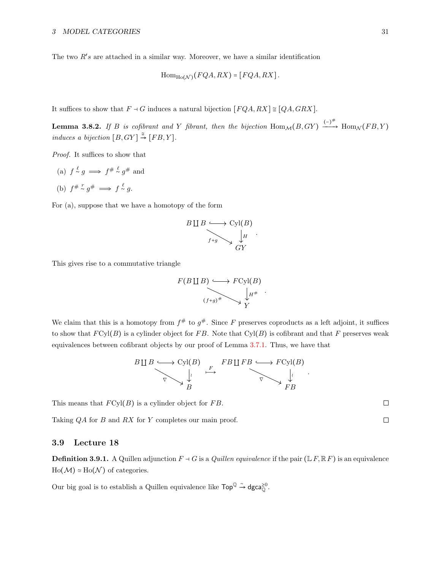The two  $R's$  are attached in a similar way. Moreover, we have a similar identification

$$
\mathrm{Hom}_{\mathrm{Ho}(\mathcal{N})}(FQA, RX) = [FQA, RX].
$$

It suffices to show that  $F \dashv G$  induces a natural bijection  $[FQA, RX] \cong [QA, GRX]$ .

<span id="page-30-1"></span>**Lemma 3.8.2.** If B is cofibrant and Y fibrant, then the bijection  $\text{Hom}_{\mathcal{M}}(B, GY) \xrightarrow{(-)^{\#}} \text{Hom}_{\mathcal{N}}(FB, Y)$ induces a bijection  $[B, GY] \stackrel{\cong}{\rightarrow} [FB, Y]$ .

Proof. It suffices to show that

- (a)  $f \stackrel{\ell}{\sim} g \implies f^{\#} \stackrel{\ell}{\sim} g^{\#}$  and
- (b)  $f^{\#} \stackrel{r}{\sim} g^{\#} \implies f \stackrel{\ell}{\sim} g.$

For (a), suppose that we have a homotopy of the form



This gives rise to a commutative triangle



We claim that this is a homotopy from  $f^{\#}$  to  $g^{\#}$ . Since F preserves coproducts as a left adjoint, it suffices to show that  $FCyl(B)$  is a cylinder object for FB. Note that  $Cyl(B)$  is cofibrant and that F preserves weak equivalences between cofibrant objects by our proof of Lemma [3.7.1.](#page-28-1) Thus, we have that

$$
B \amalg B \longrightarrow \text{Cyl}(B) \longrightarrow F \amalg F B \longrightarrow F \text{Cyl}(B)
$$
\n
$$
\downarrow \qquad \qquad \downarrow \qquad \qquad \downarrow
$$
\n
$$
B \longrightarrow B
$$
\n
$$
B
$$

This means that  $FCyl(B)$  is a cylinder object for FB.

Taking QA for B and RX for Y completes our main proof.

#### <span id="page-30-0"></span>3.9 Lecture 18

**Definition 3.9.1.** A Quillen adjunction  $F \dashv G$  is a *Quillen equivalence* if the pair ( $\mathbb{L}F, \mathbb{R}F$ ) is an equivalence  $Ho(M) \simeq Ho(N)$  of categories.

Our big goal is to establish a Quillen equivalence like  $\mathsf{Top}^{\mathbb{Q}} \xrightarrow{\sim} \mathsf{dgca}_{\mathbb{Q}}^{\geq 0}$ .

 $\Box$  $\Box$ 

.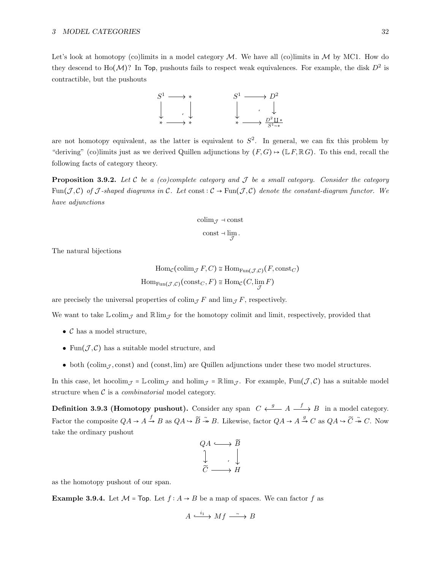Let's look at homotopy (co)limits in a model category  $\mathcal M$ . We have all (co)limits in  $\mathcal M$  by MC1. How do they descend to Ho $(M)$ ? In Top, pushouts fails to respect weak equivalences. For example, the disk  $D^2$  is contractible, but the pushouts



are not homotopy equivalent, as the latter is equivalent to  $S^2$ . In general, we can fix this problem by "deriving" (co)limits just as we derived Quillen adjunctions by  $(F, G) \mapsto (\mathbb{L} F, \mathbb{R} G)$ . To this end, recall the following facts of category theory.

**Proposition 3.9.2.** Let C be a (co)complete category and  $J$  be a small category. Consider the category Fun(J,C) of J-shaped diagrams in C. Let const:  $C \rightarrow \text{Fun}(\mathcal{J}, \mathcal{C})$  denote the constant-diagram functor. We have adjunctions

$$
\text{colim}_{\mathcal{J}} \dashv \text{const}
$$

$$
\mathrm{const} \dashv \lim_{\mathcal{J}}
$$

.

The natural bijections

$$
\text{Hom}_{\mathcal{C}}(\text{colim}_{\mathcal{J}} F, C) \cong \text{Hom}_{\text{Fun}(\mathcal{J}, \mathcal{C})}(F, \text{const}_C)
$$
\n
$$
\text{Hom}_{\text{Fun}(\mathcal{J}, \mathcal{C})}(\text{const}_C, F) \cong \text{Hom}_{\mathcal{C}}(C, \lim_{\mathcal{J}} F)
$$

are precisely the universal properties of  $\text{colim}_{\mathcal{J}} F$  and  $\text{lim}_{\mathcal{J}} F$ , respectively.

We want to take  $\mathbb{L}\text{colim}_{\mathcal{J}}$  and  $\mathbb{R}\lim_{\mathcal{J}}$  for the homotopy colimit and limit, respectively, provided that

- $\mathcal C$  has a model structure,
- Fun $(\mathcal{J}, \mathcal{C})$  has a suitable model structure, and
- both (colim<sub>J</sub>, const) and (const, lim) are Quillen adjunctions under these two model structures.

In this case, let hocolim<sub>J</sub> = L colim<sub>J</sub> and holim<sub>J</sub> = R lim<sub>J</sub>. For example, Fun(J,C) has a suitable model structure when  $C$  is a *combinatorial* model category.

**Definition 3.9.3 (Homotopy pushout).** Consider any span  $C \leftarrow g$   $A \longrightarrow g$  in a model category. Factor the composite  $QA \to A \to B$  as  $QA \to \widetilde{B} \to B$ . Likewise, factor  $QA \to A \to C$  as  $QA \to \widetilde{C} \to C$ . Now take the ordinary pushout

$$
\begin{array}{ccc}\nQA & \longrightarrow & \widetilde{B} \\
\downarrow & & \downarrow \\
\widetilde{C} & \longrightarrow & H\n\end{array}
$$

as the homotopy pushout of our span.

**Example 3.9.4.** Let  $\mathcal{M} = Top$ . Let  $f : A \rightarrow B$  be a map of spaces. We can factor f as

$$
A \xrightarrow{i_1} Mf \xrightarrow{\sim} B
$$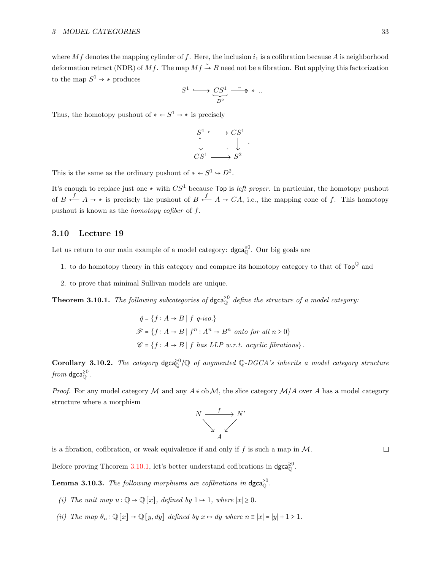where Mf denotes the mapping cylinder of f. Here, the inclusion  $i_1$  is a cofibration because A is neighborhood deformation retract (NDR) of Mf. The map  $Mf \stackrel{\sim}{\rightarrow} B$  need not be a fibration. But applying this factorization to the map  $S^1 \rightarrow *$  produces

$$
S^1 \xrightarrow{\qquad \qquad } \underline{CS^1} \xrightarrow{\sim} \ast \; .
$$

Thus, the homotopy pushout of  $* \leftarrow S^1 \rightarrow *$  is precisely

$$
\begin{array}{ccc}\nS^1 & \longrightarrow & CS^1 \\
\downarrow & & \downarrow \\
CS^1 & \longrightarrow & S^2\n\end{array}
$$

.

This is the same as the ordinary pushout of  $* \leftarrow S^1 \hookrightarrow D^2$ .

It's enough to replace just one  $*$  with  $CS^1$  because Top is *left proper*. In particular, the homotopy pushout of  $B \stackrel{f}{\leftarrow} A \rightarrow *$  is precisely the pushout of  $B \stackrel{f}{\leftarrow} A \rightarrow CA$ , i.e., the mapping cone of f. This homotopy pushout is known as the homotopy cofiber of f.

## <span id="page-32-0"></span>3.10 Lecture 19

Let us return to our main example of a model category:  $\text{dgca}_{\mathbb{O}}^{\geq 0}$ . Our big goals are

- 1. to do homotopy theory in this category and compare its homotopy category to that of  $\mathsf{Top}^{\mathbb{Q}}$  and
- 2. to prove that minimal Sullivan models are unique.

<span id="page-32-1"></span>**Theorem 3.10.1.** The following subcategories of  $\text{dgca}^{\geq 0}$  define the structure of a model category:

$$
\begin{aligned}\n\vec{q} &= \{f : A \to B \mid f \ q\text{-}iso.\} \\
\mathcal{F} &= \{f : A \to B \mid f^n : A^n \to B^n \text{ onto for all } n \ge 0\} \\
\mathcal{C} &= \{f : A \to B \mid f \text{ has } LLP \ w.r.t. \ acyclic \text{ fibrations}\}.\n\end{aligned}
$$

Corollary 3.10.2. The category  $\text{dgca}^{\geq 0}_{\mathbb{Q}}/\mathbb{Q}$  of augmented  $\mathbb{Q}\text{-}DGCA$ 's inherits a model category structure from dgca $_{\mathbb{O}}^{\geq 0}$ .

*Proof.* For any model category M and any  $A \in \text{ob } \mathcal{M}$ , the slice category  $\mathcal{M}/A$  over A has a model category structure where a morphism



is a fibration, cofibration, or weak equivalence if and only if f is such a map in  $\mathcal M$ .

 $\Box$ 

Before proving Theorem [3.10.1,](#page-32-1) let's better understand cofibrations in  $\text{dgca}_{0}^{\geq 0}$ .

<span id="page-32-2"></span>**Lemma 3.10.3.** The following morphisms are cofibrations in  $\text{dgca}_{\mathbb{O}}^{\geq 0}$ .

- (i) The unit map  $u : \mathbb{Q} \to \mathbb{Q}[x]$ , defined by  $1 \mapsto 1$ , where  $|x| \geq 0$ .
- (ii) The map  $\theta_n : \mathbb{Q}[x] \to \mathbb{Q}[y, dy]$  defined by  $x \mapsto dy$  where  $n \equiv |x| = |y| + 1 \ge 1$ .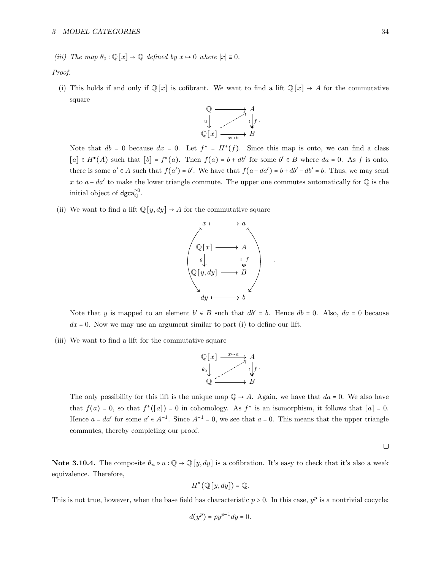(iii) The map  $\theta_0$ :  $\mathbb{Q}[x] \to \mathbb{Q}$  defined by  $x \mapsto 0$  where  $|x| \equiv 0$ .

Proof.

(i) This holds if and only if  $\mathbb{Q}[x]$  is cofibrant. We want to find a lift  $\mathbb{Q}[x] \to A$  for the commutative square



Note that  $db = 0$  because  $dx = 0$ . Let  $f^* = H^*(f)$ . Since this map is onto, we can find a class  $[a] \in H^{\bullet}(A)$  such that  $[b] = f^*(a)$ . Then  $f(a) = b + db'$  for some  $b' \in B$  where  $da = 0$ . As f is onto, there is some  $a' \in A$  such that  $f(a') = b'$ . We have that  $f(a - da') = b + db' - db' = b$ . Thus, we may send x to  $a - da'$  to make the lower triangle commute. The upper one commutes automatically for  $\mathbb Q$  is the initial object of  $\text{dgca}_{\mathbb{O}}^{\geq 0}$ .

(ii) We want to find a lift  $\mathbb{Q}[y, dy] \rightarrow A$  for the commutative square



Note that y is mapped to an element  $b' \in B$  such that  $db' = b$ . Hence  $db = 0$ . Also,  $da = 0$  because  $dx = 0$ . Now we may use an argument similar to part (i) to define our lift.

(iii) We want to find a lift for the commutative square

$$
\begin{array}{ccc}\n\mathbb{Q}[x] & \xrightarrow{x \mapsto a} A \\
\theta_0 & \downarrow \\
\mathbb{Q} & \xrightarrow{\qquad \qquad \downarrow} f \\
\end{array}
$$

The only possibility for this lift is the unique map  $\mathbb{Q} \to A$ . Again, we have that  $da = 0$ . We also have that  $f(a) = 0$ , so that  $f^*([a]) = 0$  in cohomology. As  $f^*$  is an isomorphism, it follows that  $[a] = 0$ . Hence  $a = da'$  for some  $a' \in A^{-1}$ . Since  $A^{-1} = 0$ , we see that  $a = 0$ . This means that the upper triangle commutes, thereby completing our proof.

 $\Box$ 

Note 3.10.4. The composite  $\theta_n \circ u : \mathbb{Q} \to \mathbb{Q}[y, dy]$  is a cofibration. It's easy to check that it's also a weak equivalence. Therefore,

$$
H^*(\mathbb{Q}[y,dy]) = \mathbb{Q}.
$$

This is not true, however, when the base field has characteristic  $p > 0$ . In this case,  $y^p$  is a nontrivial cocycle:

$$
d(y^p) = py^{p-1} dy = 0.
$$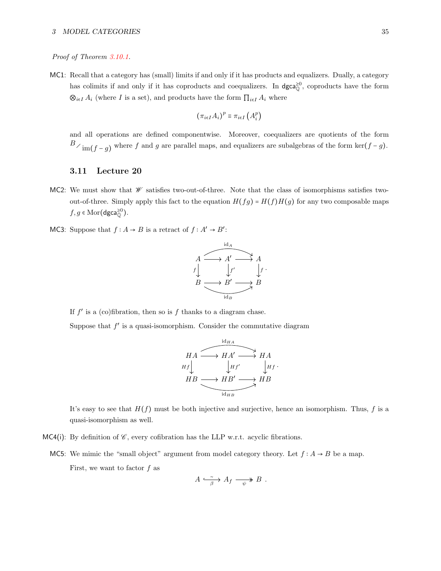## Proof of Theorem [3.10.1.](#page-32-1)

MC1: Recall that a category has (small) limits if and only if it has products and equalizers. Dually, a category has colimits if and only if it has coproducts and coequalizers. In  $\text{dgca}^{\geq 0}_{\mathbb{Q}}$ , coproducts have the form ⊗<sub>*i*∈I</sub>  $A_i$  (where I is a set), and products have the form  $\prod_{i \in I} A_i$  where

$$
(\pi_{i\in I}A_i)^p\equiv\pi_{i\in I}\left(A_i^p\right)
$$

and all operations are defined componentwise. Moreover, coequalizers are quotients of the form  $B\diagup_{\text{im}}(f-g)$  where f and g are parallel maps, and equalizers are subalgebras of the form ker $(f-g)$ .

## <span id="page-34-0"></span>3.11 Lecture 20

- MC2: We must show that  $\mathscr W$  satisfies two-out-of-three. Note that the class of isomorphisms satisfies twoout-of-three. Simply apply this fact to the equation  $H(fg) = H(f)H(g)$  for any two composable maps  $f, g \in \text{Mor}(\text{dgca}_{\mathbb{Q}}^{\geq 0}).$
- MC3: Suppose that  $f : A \to B$  is a retract of  $f : A' \to B'$ :



If  $f'$  is a (co)fibration, then so is f thanks to a diagram chase.

Suppose that  $f'$  is a quasi-isomorphism. Consider the commutative diagram

$$
HA \xrightarrow{\text{id}_{HA}} HA'
$$
  
\n
$$
HA'
$$
  
\n
$$
HA'
$$
  
\n
$$
H A'
$$
  
\n
$$
H H'
$$
  
\n
$$
H H'
$$
  
\n
$$
H H H'
$$
  
\n
$$
H H H'
$$
  
\n
$$
H H H'
$$
  
\n
$$
H H H'
$$
  
\n
$$
H H H'
$$
  
\n
$$
H H H'
$$
  
\n
$$
H H H'
$$
  
\n
$$
H H H'
$$
  
\n
$$
H H H'
$$
  
\n
$$
H H H'
$$

It's easy to see that  $H(f)$  must be both injective and surjective, hence an isomorphism. Thus, f is a quasi-isomorphism as well.

- MC4(i): By definition of  $\mathscr{C}$ , every cofibration has the LLP w.r.t. acyclic fibrations.
	- MC5: We mimic the "small object" argument from model category theory. Let  $f : A \rightarrow B$  be a map. First, we want to factor  $f$  as

$$
A \xrightarrow{\sim} A_f \xrightarrow{\sim} B.
$$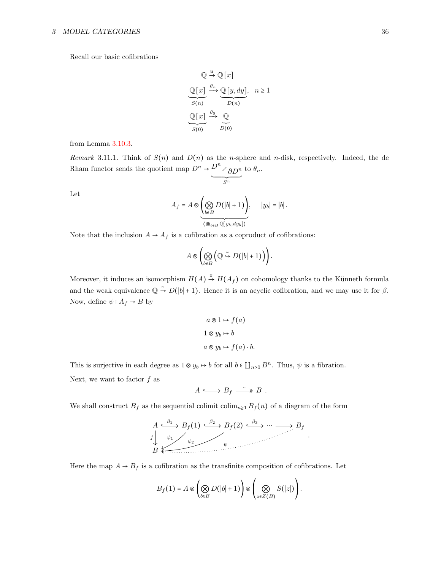Recall our basic cofibrations

$$
\mathbb{Q} \stackrel{u}{\longrightarrow} \mathbb{Q}[x]
$$
  
\n
$$
\underbrace{\mathbb{Q}[x]}_{S(n)} \stackrel{\theta_n}{\longrightarrow} \underbrace{\mathbb{Q}[y, dy]}_{D(n)}, \quad n \ge 1
$$
  
\n
$$
\underbrace{\mathbb{Q}[x]}_{S(0)} \stackrel{\theta_0}{\longrightarrow} \underbrace{\mathbb{Q}}_{D(0)}
$$

from Lemma [3.10.3.](#page-32-2)

Remark 3.11.1. Think of  $S(n)$  and  $D(n)$  as the n-sphere and n-disk, respectively. Indeed, the de Rham functor sends the quotient map  $D^n \rightarrow \frac{D^n}{\delta D^n}$ to  $\theta_n$ .

 $\sum^n$ 

Let

$$
A_f = A \otimes \underbrace{\left(\bigotimes_{b \in B} D(|b|+1)\right)}_{(\bigotimes_{b \in B} \mathbb{Q}[y_b, dy_b])}, \qquad |y_b| = |b|.
$$

Note that the inclusion  $A \rightarrow A_f$  is a cofibration as a coproduct of cofibrations:

$$
A\otimes\left(\bigotimes_{b\in B}\left(\mathbb{Q}\stackrel{\sim}{\hookrightarrow} D(|b|+1)\right)\right).
$$

Moreover, it induces an isomorphism  $H(A) \stackrel{\cong}{\rightarrow} H(A_f)$  on cohomology thanks to the Künneth formula and the weak equivalence  $\mathbb{Q} \stackrel{\sim}{\rightarrow} D(|b|+1)$ . Hence it is an acyclic cofibration, and we may use it for  $\beta$ . Now, define  $\psi: A_f \to B$  by

$$
a \otimes 1 \mapsto f(a)
$$
  

$$
1 \otimes y_b \mapsto b
$$
  

$$
a \otimes y_b \mapsto f(a) \cdot b.
$$

This is surjective in each degree as  $1 \otimes y_b \mapsto b$  for all  $b \in \prod_{n\geq 0} B^n$ . Thus,  $\psi$  is a fibration.

Next, we want to factor  $f$  as

$$
A \longrightarrow B_f \stackrel{\sim}{\longrightarrow} B .
$$

We shall construct  $B_f$  as the sequential colimit colim<sub>n≥1</sub>  $B_f(n)$  of a diagram of the form



Here the map  $A \rightarrow B_f$  is a cofibration as the transfinite composition of cofibrations. Let

$$
B_f(1) = A \otimes \left(\bigotimes_{b \in B} D(|b|+1)\right) \otimes \left(\bigotimes_{z \in Z(B)} S(|z|)\right).
$$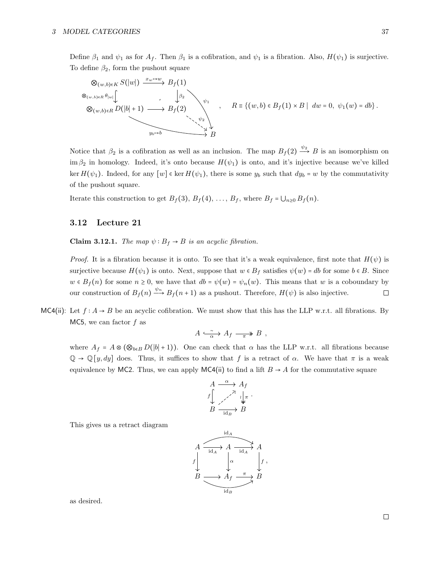Define  $\beta_1$  and  $\psi_1$  as for  $A_f$ . Then  $\beta_1$  is a cofibration, and  $\psi_1$  is a fibration. Also,  $H(\psi_1)$  is surjective. To define  $\beta_2$ , form the pushout square

$$
\otimes_{(w,b)\in K} S(|w|) \xrightarrow{x_w \mapsto w} B_f(1)
$$
  
\n
$$
\otimes_{(w,b)\in R} D(|b|+1) \longrightarrow B_f(2)
$$
  
\n
$$
\otimes_{(w,b)\in R} D(|b|+1) \longrightarrow B_f(2)
$$
  
\n
$$
\downarrow^{\psi_1}
$$
  
\n
$$
R = \{(w,b) \in B_f(1) \times B \mid dw = 0, \psi_1(w) = db\}.
$$

Notice that  $\beta_2$  is a cofibration as well as an inclusion. The map  $B_f(2) \xrightarrow{\psi_2} B$  is an isomorphism on im  $\beta_2$  in homology. Indeed, it's onto because  $H(\psi_1)$  is onto, and it's injective because we've killed ker  $H(\psi_1)$ . Indeed, for any  $[w] \in \ker H(\psi_1)$ , there is some  $y_b$  such that  $dy_b = w$  by the commutativity of the pushout square.

Iterate this construction to get  $B_f(3)$ ,  $B_f(4)$ , ...,  $B_f$ , where  $B_f = \bigcup_{n\geq 0} B_f(n)$ .

## <span id="page-36-0"></span>3.12 Lecture 21

Claim 3.12.1. The map  $\psi : B_f \to B$  is an acyclic fibration.

*Proof.* It is a fibration because it is onto. To see that it's a weak equivalence, first note that  $H(\psi)$  is surjective because  $H(\psi_1)$  is onto. Next, suppose that  $w \in B_f$  satisfies  $\psi(w) = db$  for some  $b \in B$ . Since  $w \in B_f(n)$  for some  $n \ge 0$ , we have that  $db = \psi(w) = \psi_n(w)$ . This means that w is a coboundary by our construction of  $B_f(n) \xrightarrow{\psi_n} B_f(n+1)$  as a pushout. Therefore,  $H(\psi)$  is also injective. our construction of  $B_f(n) \xrightarrow{\psi_n} B_f(n+1)$  as a pushout. Therefore,  $H(\psi)$  is also injective.

MC4(ii): Let  $f : A \rightarrow B$  be an acyclic cofibration. We must show that this has the LLP w.r.t. all fibrations. By MC5, we can factor  $f$  as

$$
A \xrightarrow{\sim} A_f \longrightarrow B ,
$$

where  $A_f = A \otimes (\otimes_{b \in B} D(|b|+1))$ . One can check that  $\alpha$  has the LLP w.r.t. all fibrations because  $\mathbb{Q} \to \mathbb{Q}[y, dy]$  does. Thus, it suffices to show that f is a retract of  $\alpha$ . We have that  $\pi$  is a weak equivalence by MC2. Thus, we can apply MC4(ii) to find a lift  $B \to A$  for the commutative square

$$
A \xrightarrow{\alpha} A_f
$$
  
\n
$$
f \downarrow \xrightarrow{\gamma} \downarrow_{\pi}
$$
  
\n
$$
B \xrightarrow{\gamma} B
$$
  
\n
$$
B \xrightarrow{\text{id}_B} B
$$

.

,

This gives us a retract diagram

$$
A \xrightarrow{\text{id}_A} A \xrightarrow{\text{id}_A} A
$$
\n
$$
B \xrightarrow{\text{id}_A} A_f \xrightarrow{\pi} B
$$
\n
$$
B \xrightarrow{\text{id}_B} B
$$

as desired.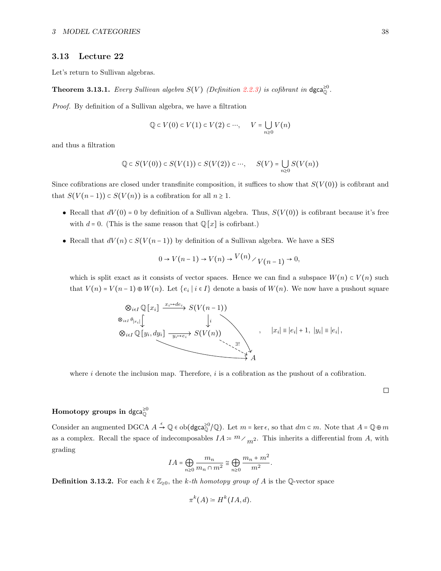## <span id="page-37-0"></span>3.13 Lecture 22

<span id="page-37-1"></span>Let's return to Sullivan algebras.

**Theorem 3.13.1.** Every Sullivan algebra  $S(V)$  (Definition [2.2.3\)](#page-12-1) is cofibrant in  $\text{dgca}_{\mathbb{Q}}^{\geq 0}$ .

Proof. By definition of a Sullivan algebra, we have a filtration

$$
\mathbb{Q} \subset V(0) \subset V(1) \subset V(2) \subset \cdots, \qquad V = \bigcup_{n \geq 0} V(n)
$$

and thus a filtration

$$
\mathbb{Q} \subset S(V(0)) \subset S(V(1)) \subset S(V(2)) \subset \cdots, \quad S(V) = \bigcup_{n \geq 0} S(V(n))
$$

Since cofibrations are closed under transfinite composition, it suffices to show that  $S(V(0))$  is cofibrant and that  $S(V(n-1)) \subset S(V(n))$  is a cofibration for all  $n \geq 1$ .

- Recall that  $dV(0) = 0$  by definition of a Sullivan algebra. Thus,  $S(V(0))$  is cofibrant because it's free with  $d = 0$ . (This is the same reason that  $\mathbb{Q}[x]$  is cofirbant.)
- Recall that  $dV(n) \subset S(V(n-1))$  by definition of a Sullivan algebra. We have a SES

$$
0 \to V(n-1) \to V(n) \to \frac{V(n)}{V(n-1)} \to 0,
$$

which is split exact as it consists of vector spaces. Hence we can find a subspace  $W(n) \subset V(n)$  such that  $V(n) = V(n-1) \oplus W(n)$ . Let  $\{e_i \mid i \in I\}$  denote a basis of  $W(n)$ . We now have a pushout square

$$
\otimes_{i\in I}\mathbb{Q}[x_i] \xrightarrow{x_i \mapsto de_i} S(V(n-1))
$$
  
\n
$$
\otimes_{i\in I}\mathbb{Q}[y_i, dy_i] \xrightarrow{y_i \mapsto e_i} S(V(n))
$$
  
\n
$$
\otimes_{i\in I}\mathbb{Q}[y_i, dy_i] \xrightarrow{y_i \mapsto e_i} S(V(n))
$$
  
\n
$$
\otimes_{i\in I}\mathbb{Q}[y_i, dy_i] \xrightarrow{y_i \mapsto e_i} S(V(n))
$$
  
\n
$$
\otimes_{i\in I}\mathbb{Q}[y_i, dy_i] \xrightarrow{y_i \mapsto e_i} S(V(n))
$$

where  $i$  denote the inclusion map. Therefore,  $i$  is a cofibration as the pushout of a cofibration.

 $\Box$ 

## Homotopy groups in dgca ${}^{\geq 0}_{{\mathbb O}}$

Consider an augmented DGCA  $A \xrightarrow{\epsilon} \mathbb{Q} \in ob(\text{dgca}_{\mathbb{Q}}^{\geq 0}/\mathbb{Q})$ . Let  $m = \ker \epsilon$ , so that  $dm \subset m$ . Note that  $A = \mathbb{Q} \oplus m$ as a complex. Recall the space of indecomposables  $IA = m \nwarrow m^2$ . This inherits a differential from A, with grading

$$
IA = \bigoplus_{n\geq 0} \frac{m_n}{m_n \cap m^2} \cong \bigoplus_{n\geq 0} \frac{m_n + m^2}{m^2}.
$$

**Definition 3.13.2.** For each  $k \in \mathbb{Z}_{\geq 0}$ , the k-th homotopy group of A is the Q-vector space

$$
\pi^k(A) \coloneqq H^k(IA, d).
$$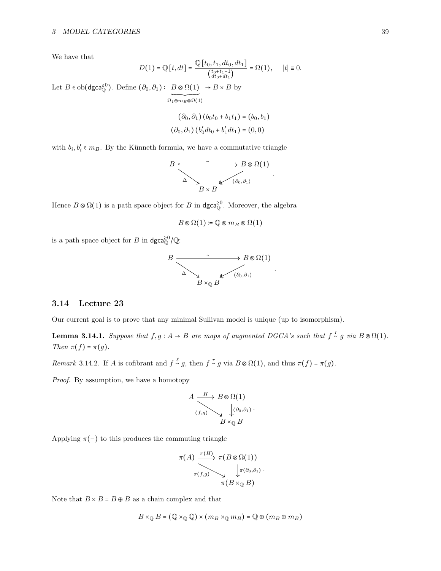We have that

$$
D(1) = \mathbb{Q}[t, dt] = \frac{\mathbb{Q}[t_0, t_1, dt_0, dt_1]}{\binom{t_0 + t_1 - 1}{dt_0 + dt_1}} = \Omega(1), \quad |t| \equiv 0.
$$

Let  $B \in ob(\text{dgca}_{\mathbb{Q}}^{\geq 0})$ . Define  $(\partial_0, \partial_1) : B \otimes \Omega(1)$  $\Omega_1\overline{\oplus m_B\otimes\Omega(1)}$  $\rightarrow$  B  $\times$  B by

$$
(\partial_0, \partial_1) (b_0t_0 + b_1t_1) = (b_0, b_1)
$$
  

$$
(\partial_0, \partial_1) (b'_0dt_0 + b'_1dt_1) = (0, 0)
$$

with  $b_i, b'_i \in m_B$ . By the Künneth formula, we have a commutative triangle

$$
B \xrightarrow{\sim} B \otimes \Omega(1)
$$
  

$$
\Delta \searrow B \times B
$$
  

$$
(a_0, a_1)
$$

.

Hence  $B \otimes \Omega(1)$  is a path space object for  $B$  in  $\text{dgca}_{\mathbb{Q}}^{\geq 0}$ . Moreover, the algebra

$$
B\otimes\Omega(1)\coloneqq\mathbb{Q}\otimes m_B\otimes\Omega(1)
$$

is a path space object for B in  $\text{dgca}_{\mathbb{Q}}^{\geq 0}/\mathbb{Q}$ :



#### <span id="page-38-0"></span>3.14 Lecture 23

<span id="page-38-1"></span>Our current goal is to prove that any minimal Sullivan model is unique (up to isomorphism).

**Lemma 3.14.1.** Suppose that  $f, g: A \to B$  are maps of augmented DGCA's such that  $f \sim g$  via  $B \otimes \Omega(1)$ . Then  $\pi(f) = \pi(g)$ .

Remark 3.14.2. If A is cofibrant and  $f \stackrel{\ell}{\sim} g$ , then  $f \stackrel{r}{\sim} g$  via  $B \otimes \Omega(1)$ , and thus  $\pi(f) = \pi(g)$ .

Proof. By assumption, we have a homotopy

$$
A \xrightarrow{(H)} B \otimes \Omega(1)
$$
  

$$
(f,g) \searrow \downarrow (a_0, a_1) \cdot B \times_{\mathbb{Q}} B
$$

Applying  $\pi(-)$  to this produces the commuting triangle

$$
\pi(A) \xrightarrow{\pi(H)} \pi(B \otimes \Omega(1))
$$
  

$$
\pi(f,g) \searrow \downarrow \pi(\partial_0, \partial_1) \cdot
$$
  

$$
\pi(B \times_{\mathbb{Q}} B)
$$

Note that  $B \times B = B \oplus B$  as a chain complex and that

$$
B \times_{\mathbb{Q}} B = (\mathbb{Q} \times_{\mathbb{Q}} \mathbb{Q}) \times (m_B \times_{\mathbb{Q}} m_B) = \mathbb{Q} \oplus (m_B \oplus m_B)
$$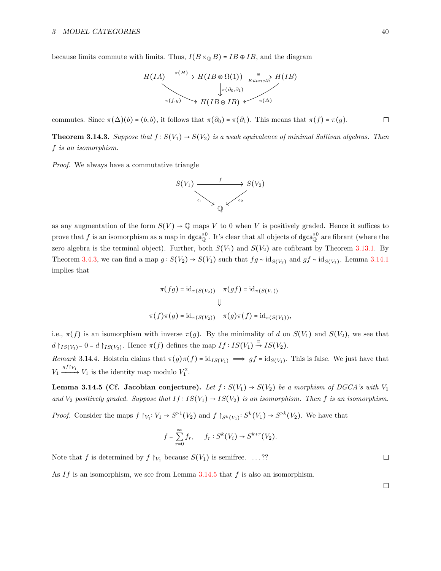because limits commute with limits. Thus,  $I(B \times_{\mathbb{Q}} B) = IB \oplus IB$ , and the diagram

$$
H(IA) \xrightarrow{\pi(H)} H(IB \otimes \Omega(1)) \xrightarrow[K\text{ünneth}\ H(IB)
$$
\n
$$
\downarrow \pi(\partial_0, \partial_1)
$$
\n
$$
H(IB \oplus IB) \longleftarrow \pi(\Delta)
$$

commutes. Since  $\pi(\Delta)(b) = (b, b)$ , it follows that  $\pi(\partial_0) = \pi(\partial_1)$ . This means that  $\pi(f) = \pi(g)$ .  $\Box$ 

<span id="page-39-1"></span>**Theorem 3.14.3.** Suppose that  $f : S(V_1) \to S(V_2)$  is a weak equivalence of minimal Sullivan algebras. Then f is an isomorphism.

Proof. We always have a commutative triangle



as any augmentation of the form  $S(V) \to \mathbb{Q}$  maps V to 0 when V is positively graded. Hence it suffices to prove that f is an isomorphism as a map in dgca<sup>20</sup>. It's clear that all objects of dgca<sup>20</sup> are fibrant (where the zero algebra is the terminal object). Further, both  $S(V_1)$  and  $S(V_2)$  are cofibrant by Theorem [3.13.1.](#page-37-1) By Theorem [3.4.3,](#page-24-1) we can find a map  $g : S(V_2) \to S(V_1)$  such that  $fg \sim id_{S(V_2)}$  and  $gf \sim id_{S(V_1)}$ . Lemma [3.14.1](#page-38-1) implies that

$$
\pi(fg) = id_{\pi(S(V_2))} \quad \pi(gf) = id_{\pi(S(V_1))}
$$

$$
\Downarrow
$$

$$
\pi(f)\pi(g) = id_{\pi(S(V_2))} \quad \pi(g)\pi(f) = id_{\pi(S(V_1))},
$$

i.e.,  $\pi(f)$  is an isomorphism with inverse  $\pi(g)$ . By the minimality of d on  $S(V_1)$  and  $S(V_2)$ , we see that  $d \upharpoonright_{IS(V_1)}=0=d \upharpoonright_{IS(V_2)}$ . Hence  $\pi(f)$  defines the map  $If: IS(V_1) \stackrel{\simeq}{\rightarrow} IS(V_2)$ .

Remark 3.14.4. Holstein claims that  $\pi(g)\pi(f) = id_{IS(V_1)} \implies gf = id_{S(V_1)}$ . This is false. We just have that  $V_1 \xrightarrow{gf|_{V_1}} V_1$  is the identity map modulo  $V_1^2$ .

<span id="page-39-0"></span>Lemma 3.14.5 (Cf. Jacobian conjecture). Let  $f : S(V_1) \to S(V_2)$  be a morphism of DGCA's with  $V_1$ and  $V_2$  positively graded. Suppose that  $If: IS(V_1) \to IS(V_2)$  is an isomorphism. Then f is an isomorphism.

*Proof.* Consider the maps  $f \upharpoonright_{V_1}: V_1 \to S^{\geq 1}(V_2)$  and  $f \upharpoonright_{S^k(V_1)}: S^k(V_1) \to S^{\geq k}(V_2)$ . We have that

$$
f = \sum_{r=0}^{\infty} f_r, \quad f_r : S^k(V_i) \to S^{k+r}(V_2).
$$

Note that f is determined by  $f \upharpoonright_{V_1}$  because  $S(V_1)$  is semifree. ...??

As If is an isomorphism, we see from Lemma [3.14.5](#page-39-0) that  $f$  is also an isomorphism.

 $\Box$ 

 $\Box$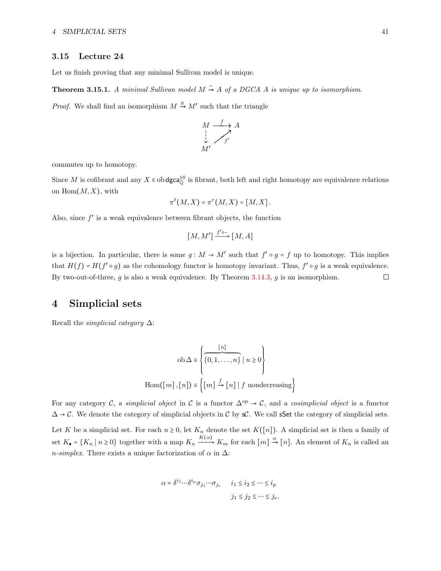#### <span id="page-40-0"></span>3.15 Lecture 24

Let us finish proving that any minimal Sullivan model is unique.

**Theorem 3.15.1.** A minimal Sullivan model  $M \rightarrow A$  of a DGCA A is unique up to isomorphism.

*Proof.* We shall find an isomorphism  $M \stackrel{g}{\rightarrow} M'$  such that the triangle

$$
\begin{array}{ccc}\nM & \xrightarrow{f} & A \\
\downarrow & & \nearrow \\
M' & & & \n\end{array}
$$

commutes up to homotopy.

Since M is cofibrant and any  $X \in ob \text{dgca}_{\mathbb{Q}}^{\geq 0}$  is fibrant, both left and right homotopy are equivalence relations on  $\text{Hom}(M, X)$ , with

$$
\pi^{\ell}(M,X)=\pi^r(M,X)=[M,X].
$$

Also, since  $f'$  is a weak equivalence between fibrant objects, the function

$$
[M,M'] \xrightarrow{f' \circ -} [M,A]
$$

is a bijection. In particular, there is some  $g : M \to M'$  such that  $f' \circ g = f$  up to homotopy. This implies that  $H(f) = H(f' \circ g)$  as the cohomology functor is homotopy invariant. Thus,  $f' \circ g$  is a weak equivalence. By two-out-of-three,  $g$  is also a weak equivalence. By Theorem [3.14.3,](#page-39-1)  $g$  is an isomorphism.  $\Box$ 

## <span id="page-40-1"></span>4 Simplicial sets

Recall the *simplicial category*  $\Delta$ :

$$
ob \Delta \equiv \left\{ \frac{[n]}{\{0, 1, ..., n\}} \mid n \ge 0 \right\}
$$
  
Hom([m], [n])  $\equiv \left\{ [m] \stackrel{f}{\rightarrow} [n] \mid f \text{ nondecreasing} \right\}$ 

For any category C, a simplicial object in C is a functor  $\Delta^{op} \to \mathcal{C}$ , and a cosimplicial object is a functor  $\Delta \rightarrow C$ . We denote the category of simplicial objects in C by sC. We call sSet the category of simplicial sets. Let K be a simplicial set. For each  $n \geq 0$ , let  $K_n$  denote the set  $K([n])$ . A simplicial set is then a family of set  $K_{\bullet} = \{K_n \mid n \geq 0\}$  together with a map  $K_n \xrightarrow{K(\alpha)} K_m$  for each  $[m] \xrightarrow{\alpha} [n]$ . An element of  $K_n$  is called an n-simplex. There exists a unique factorization of  $\alpha$  in  $\Delta$ :

$$
\alpha = \delta^{i_1} \cdots \delta^{i_p} \sigma_{j_1} \cdots \sigma_{j_e} \qquad i_1 \le i_2 \le \cdots \le i_p
$$

$$
j_1 \le j_2 \le \cdots \le j_e.
$$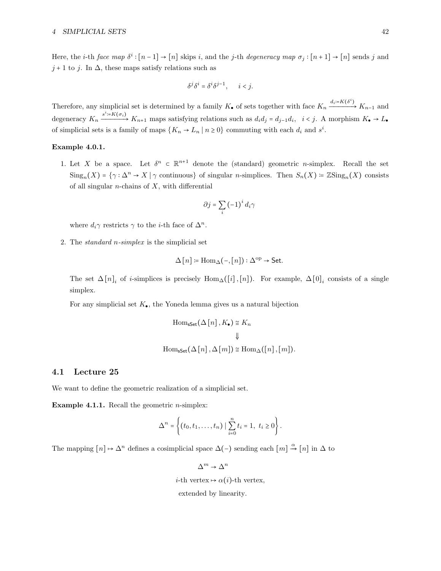Here, the *i*-th *face map*  $\delta^i$ :  $[n-1] \rightarrow [n]$  skips *i*, and the *j*-th *degeneracy map*  $\sigma_j$ :  $[n+1] \rightarrow [n]$  sends *j* and  $j + 1$  to j. In  $\Delta$ , these maps satisfy relations such as

$$
\delta^j \delta^i = \delta^i \delta^{j-1}, \qquad i < j.
$$

Therefore, any simplicial set is determined by a family  $K_{\bullet}$  of sets together with face  $K_n \xrightarrow{d_i=K(\delta^i)} K_{n-1}$  and degeneracy  $K_n \xrightarrow{s^i=K(\sigma_i)} K_{n+1}$  maps satisfying relations such as  $d_i d_j = d_{j-1} d_i$ ,  $i < j$ . A morphism  $K_{\bullet} \to L_{\bullet}$ of simplicial sets is a family of maps  $\{K_n \to L_n \mid n \geq 0\}$  commuting with each  $d_i$  and  $s^i$ .

#### Example 4.0.1.

1. Let X be a space. Let  $\delta^n \subset \mathbb{R}^{n+1}$  denote the (standard) geometric *n*-simplex. Recall the set  $\text{Sing}_n(X) = \{ \gamma : \Delta^n \to X \mid \gamma \text{ continuous} \}$  of singular *n*-simplices. Then  $S_n(X) = \mathbb{Z} \text{Sing}_n(X)$  consists of all singular  $n$ -chains of  $X$ , with differential

$$
\partial j = \sum_{i} \left( -1 \right)^{i} d_{i} \gamma
$$

where  $d_i \gamma$  restricts  $\gamma$  to the *i*-th face of  $\Delta^n$ .

2. The standard n-simplex is the simplicial set

$$
\Delta[n] \coloneqq \text{Hom}_{\Delta}(-,[n]) : \Delta^{\text{op}} \to \text{Set}.
$$

The set  $\Delta[n]_i$  of *i*-simplices is precisely  $Hom_{\Delta}([i], [n])$ . For example,  $\Delta[0]_i$  consists of a single simplex.

For any simplicial set  $K_{\bullet}$ , the Yoneda lemma gives us a natural bijection

$$
\text{Hom}_{\text{sSet}}(\Delta[n], K_{\bullet}) \cong K_n
$$
  

$$
\Downarrow
$$
  

$$
\text{Hom}_{\text{sSet}}(\Delta[n], \Delta[m]) \cong \text{Hom}_{\Delta}([n], [m]).
$$

#### <span id="page-41-0"></span>4.1 Lecture 25

We want to define the geometric realization of a simplicial set.

**Example 4.1.1.** Recall the geometric *n*-simplex:

$$
\Delta^{n} = \left\{ (t_0, t_1, \ldots, t_n) \mid \sum_{i=0}^{n} t_i = 1, t_i \ge 0 \right\}.
$$

The mapping  $[n] \mapsto \Delta^n$  defines a cosimplicial space  $\Delta(-)$  sending each  $[m] \stackrel{\alpha}{\rightarrow} [n]$  in  $\Delta$  to

 $\Delta^m \to \Delta^n$ 

*i*-th vertex  $\mapsto \alpha(i)$ -th vertex,

extended by linearity.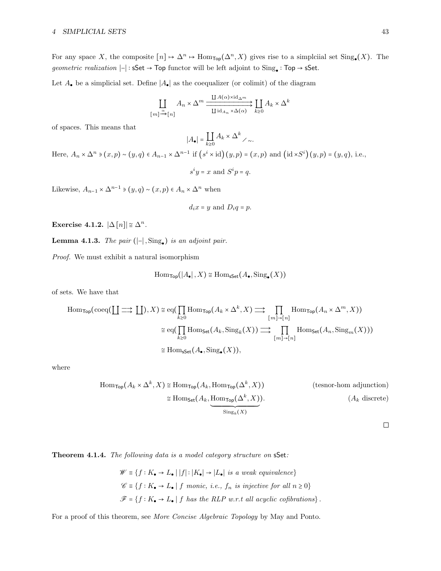For any space X, the composite  $[n] \mapsto \Delta^n \mapsto \text{Hom}_{\text{Top}}(\Delta^n, X)$  gives rise to a simplciial set  $\text{Sing}_{\bullet}(X)$ . The geometric realization  $|-|: \mathsf{sSet} \to \mathsf{Top}$  functor will be left adjoint to  $\mathsf{Sing}_\bullet : \mathsf{Top} \to \mathsf{sSet}.$ 

Let  $A_{\bullet}$  be a simplicial set. Define  $|A_{\bullet}|$  as the coequalizer (or colimit) of the diagram

$$
\underset{[m] \xrightarrow{\alpha} [n]}{\coprod} A_n \times \Delta^m \xrightarrow{\coprod A(\alpha) \times \text{id}_{\Delta^m}} \underset{k \ge 0}{\underbrace{\coprod} A_k \times \Delta^k}
$$

of spaces. This means that

$$
|A_{\bullet}| = \coprod_{k \ge 0} A_k \times \Delta^k \nearrow \dots
$$

Here,  $A_n \times \Delta^n$  ∍  $(x, p) \sim (y, q) \in A_{n-1} \times \Delta^{n-1}$  if  $(s^i \times id)(y, p) = (x, p)$  and  $(id \times S^i)(y, p) = (y, q)$ , i.e.,  $s^i y = x$  and  $S^i p = q$ .

Likewise,  $A_{n-1} \times \Delta^{n-1} \ni (y, q) \sim (x, p) \in A_n \times \Delta^n$  when

$$
d_ix = y \text{ and } D_iq = p.
$$

Exercise 4.1.2.  $|\Delta[n]| \approx \Delta^n$ .

**Lemma 4.1.3.** The pair  $(|-|, \text{Sing}_\bullet)$  is an adjoint pair.

Proof. We must exhibit a natural isomorphism

$$
\mathrm{Hom}_{\mathsf{Top}}(|A_{\bullet}|, X) \cong \mathrm{Hom}_{\mathsf{sSet}}(A_{\bullet}, \mathrm{Sing}_{\bullet}(X))
$$

of sets. We have that

$$
\text{Hom}_{\text{Top}}(\text{coeq}(\coprod \implies \coprod), X) \cong \text{eq}(\prod_{k \geq 0} \text{Hom}_{\text{Top}}(A_k \times \Delta^k, X) \implies \prod_{[m] \to [n]} \text{Hom}_{\text{Top}}(A_n \times \Delta^m, X))
$$

$$
\cong \text{eq}(\prod_{k \geq 0} \text{Hom}_{\text{Set}}(A_k, \text{Sing}_k(X)) \implies \prod_{[m] \to [n]} \text{Hom}_{\text{Set}}(A_n, \text{Sing}_m(X)))
$$

$$
\cong \text{Hom}_{\text{Sset}}(A_{\bullet}, \text{Sing}_{\bullet}(X)),
$$

where

$$
\text{Hom}_{\text{Top}}(A_k \times \Delta^k, X) \cong \text{Hom}_{\text{Top}}(A_k, \text{Hom}_{\text{Top}}(\Delta^k, X)) \qquad \text{(tensor-hom adjunction)}
$$
\n
$$
\cong \text{Hom}_{\text{Set}}(A_k, \underbrace{\text{Hom}_{\text{Top}}(\Delta^k, X)}_{\text{Sing}_k(X)}). \qquad (A_k \text{ discrete})
$$

 $\Box$ 

Theorem 4.1.4. The following data is a model category structure on sSet:

$$
\mathscr{W} \equiv \{f : K_{\bullet} \to L_{\bullet} \mid |f| : |K_{\bullet}| \to |L_{\bullet}| \text{ is a weak equivalence} \}
$$
  

$$
\mathscr{C} \equiv \{f : K_{\bullet} \to L_{\bullet} \mid f \text{ monic, i.e., } f_n \text{ is injective for all } n \ge 0 \}
$$
  

$$
\mathscr{F} = \{f : K_{\bullet} \to L_{\bullet} \mid f \text{ has the RLP w.r.t all acyclic cofibrations} \}.
$$

For a proof of this theorem, see More Concise Algebraic Topology by May and Ponto.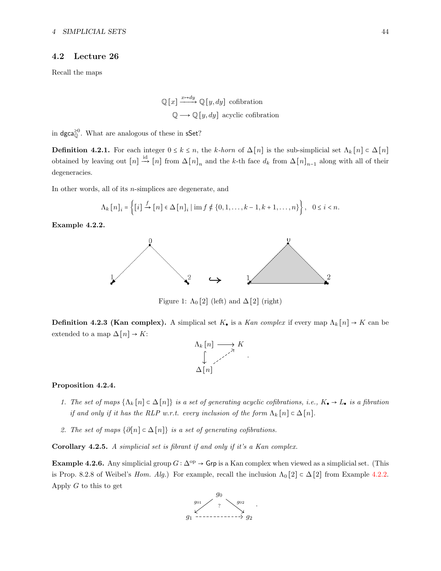## <span id="page-43-0"></span>4.2 Lecture 26

Recall the maps

 $\mathbb{Q}[x] \xrightarrow{x \mapsto dy} \mathbb{Q}[y, dy]$  cofibration  $\mathbb{Q} \longrightarrow \mathbb{Q}[y, dy]$  acyclic cofibration

in dgca $_{\mathbb{O}}^{\geq 0}$ . What are analogous of these in sSet?

**Definition 4.2.1.** For each integer  $0 \le k \le n$ , the k-horn of  $\Delta[n]$  is the sub-simplicial set  $\Lambda_k[n] \subset \Delta[n]$ obtained by leaving out  $[n] \stackrel{\text{id}}{\rightarrow} [n]$  from  $\Delta [n]_n$  and the k-th face  $d_k$  from  $\Delta [n]_{n-1}$  along with all of their degeneracies.

In other words, all of its n-simplices are degenerate, and

$$
\Lambda_k [n]_i = \left\{ [i] \stackrel{f}{\to} [n] \in \Delta [n]_i \mid \text{im } f \notin \{0, 1, \dots, k-1, k+1, \dots, n\} \right\}, \quad 0 \leq i < n.
$$

<span id="page-43-1"></span>Example 4.2.2.



Figure 1:  $\Lambda_0$  [2] (left) and  $\Delta$  [2] (right)

**Definition 4.2.3 (Kan complex).** A simplical set  $K_{\bullet}$  is a Kan complex if every map  $\Lambda_k[n] \to K$  can be extended to a map  $\Delta[n] \rightarrow K$ :



#### Proposition 4.2.4.

- 1. The set of maps  $\{\Lambda_k[n]\subset \Delta[n]\}\$ is a set of generating acyclic cofibrations, i.e.,  $K_{\bullet}\to L_{\bullet}$  is a fibration if and only if it has the RLP w.r.t. every inclusion of the form  $\Lambda_k[n] \subset \Delta[n]$ .
- 2. The set of maps  $\{\partial[n] \subset \Delta[n]\}$  is a set of generating cofibrations.

Corollary 4.2.5. A simplicial set is fibrant if and only if it's a Kan complex.

<span id="page-43-2"></span>Example 4.2.6. Any simplicial group  $G : \Delta^{op} \to \mathsf{Grp}$  is a Kan complex when viewed as a simplicial set. (This is Prop. 8.2.8 of Weibel's Hom. Alg.) For example, recall the inclusion  $\Lambda_0[2] \subset \Delta[2]$  from Example [4.2.2.](#page-43-1) Apply  $G$  to this to get

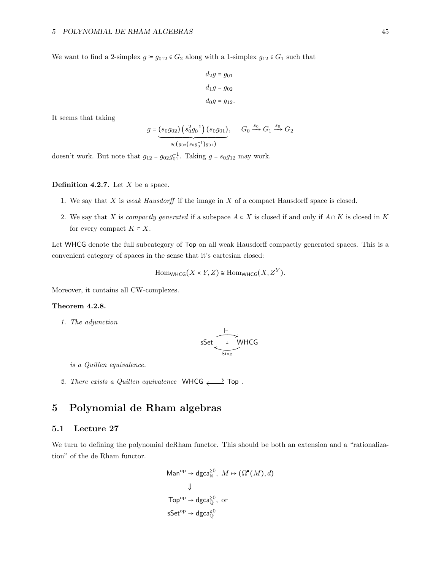We want to find a 2-simplex  $g = g_{012} \in G_2$  along with a 1-simplex  $g_{12} \in G_1$  such that

$$
d_2g = g_{01}
$$

$$
d_1g = g_{02}
$$

$$
d_0g = g_{12}.
$$

It seems that taking

$$
g = (s_0 g_{02}) (s_0^2 g_0^{-1}) (s_0 g_{01}), \quad G_0 \xrightarrow{s_0} G_1 \xrightarrow{s_0} G_2
$$
  

$$
s_0 (g_{02} (s_0 g_0^{-1}) g_{01})
$$

doesn't work. But note that  $g_{12} = g_{02}g_{01}^{-1}$ . Taking  $g = s_0g_{12}$  may work.

#### **Definition 4.2.7.** Let  $X$  be a space.

- 1. We say that  $X$  is *weak Hausdorff* if the image in  $X$  of a compact Hausdorff space is closed.
- 2. We say that X is compactly generated if a subspace  $A \subset X$  is closed if and only if  $A \cap K$  is closed in K for every compact  $K \subset X$ .

Let WHCG denote the full subcategory of Top on all weak Hausdorff compactly generated spaces. This is a convenient category of spaces in the sense that it's cartesian closed:

 $\text{Hom}_{\text{WHCG}}(X \times Y, Z) \cong \text{Hom}_{\text{WHCG}}(X, Z^Y).$ 

Moreover, it contains all CW-complexes.

#### Theorem 4.2.8.

1. The adjunction

$$
\mathsf{sSet} \overbrace{\underset{\mathsf{Sing}}{\underbrace{\leftarrow}}^{\left\vert -\right\vert}}^{\left\vert -\right\vert} \mathsf{WHCG}
$$

is a Quillen equivalence.

2. There exists a Quillen equivalence WHCG  $\overrightarrow{c}$  Top.

# <span id="page-44-0"></span>5 Polynomial de Rham algebras

## <span id="page-44-1"></span>5.1 Lecture 27

We turn to defining the polynomial deRham functor. This should be both an extension and a "rationalization" of the de Rham functor.

$$
\begin{aligned} \text{Man}^{\text{op}} &\rightarrow \text{dgca}_{\mathbb{R}}^{\geq 0}, \ M \mapsto (\Omega^{\bullet}(M), d) \\ &\Downarrow \\ \text{Top}^{\text{op}} &\rightarrow \text{dgca}_{\mathbb{Q}}^{\geq 0}, \text{ or} \\ \text{sSet}^{\text{op}} &\rightarrow \text{dgca}_{\mathbb{Q}}^{\geq 0} \end{aligned}
$$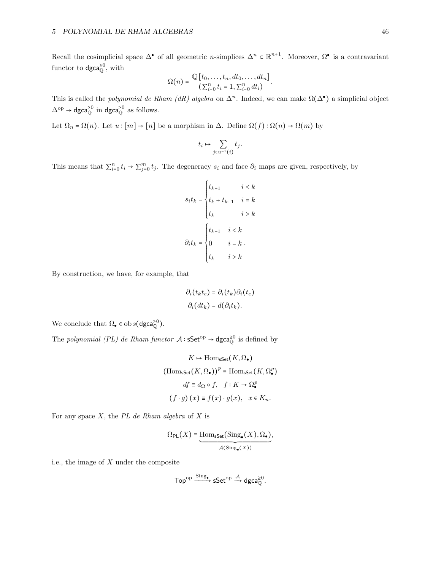Recall the cosimplicial space  $\Delta^{\bullet}$  of all geometric *n*-simplices  $\Delta^n \subset \mathbb{R}^{n+1}$ . Moreover,  $\Omega^{\bullet}$  is a contravariant functor to  $\mathsf{dgca}^{\geq 0}_\mathbb{O},$  with

$$
\Omega(n) = \frac{\mathbb{Q}\left[t_0,\ldots,t_n,dt_0,\ldots,dt_n\right]}{\left(\sum_{i=0}^n t_i = 1,\sum_{i=0}^n dt_i\right)}.
$$

This is called the *polynomial de Rham* (*dR)* algebra on  $\Delta^n$ . Indeed, we can make  $\Omega(\Delta^{\bullet})$  a simplicial object  $\Delta^{\rm op} \rightarrow$  dgca $_{\mathbb{Q}}^{\geq 0}$  in dgca $_{\mathbb{Q}}^{\geq 0}$  as follows.

Let  $\Omega_n = \Omega(n)$ . Let  $u : [m] \to [n]$  be a morphism in  $\Delta$ . Define  $\Omega(f) : \Omega(n) \to \Omega(m)$  by

$$
t_i \mapsto \sum_{j \in u^{-1}(i)} t_j.
$$

This means that  $\sum_{i=0}^{n} t_i \mapsto \sum_{j=0}^{m} t_j$ . The degeneracy  $s_i$  and face  $\partial_i$  maps are given, respectively, by

$$
s_i t_k = \begin{cases} t_{k+1} & i < k \\ t_k + t_{k+1} & i = k \\ t_k & i > k \end{cases}
$$
\n
$$
\partial_i t_k = \begin{cases} t_{k-1} & i < k \\ 0 & i = k \\ t_k & i > k \end{cases}
$$

By construction, we have, for example, that

$$
\partial_i(t_k t_e) = \partial_i(t_k) \partial_i(t_e)
$$

$$
\partial_i(dt_k) = d(\partial_i t_k).
$$

We conclude that  $\Omega_{\bullet} \in \text{ob } s(\text{dgca}_{\mathbb{Q}}^{\geq 0}).$ 

The *polynomial (PL) de Rham functor*  $A : sSet^{\text{op}} \to dgca_{\mathbb{Q}}^{\geq 0}$  is defined by

$$
K \mapsto \text{Hom}_{\textsf{sSet}}(K, \Omega_{\bullet})
$$
  
(
$$
\text{Hom}_{\textsf{sSet}}(K, \Omega_{\bullet})
$$
)<sup>*p*</sup>  $\equiv$  
$$
\text{Hom}_{\textsf{sSet}}(K, \Omega_{\bullet}^{p})
$$
  

$$
df \equiv d_{\Omega} \circ f, \quad f : K \to \Omega_{\bullet}^{p}
$$
  

$$
(f \cdot g)(x) \equiv f(x) \cdot g(x), \quad x \in K_{n}.
$$

For any space  $X$ , the PL de Rham algebra of  $X$  is

$$
\Omega_{\mathsf{PL}}(X) \equiv \underbrace{\mathrm{Hom}_{\mathsf{sSet}}(\mathrm{Sing}_{\bullet}(X), \Omega_{\bullet})}_{\mathcal{A}(\mathrm{Sing}_{\bullet}(X))},
$$

i.e., the image of  $X$  under the composite

$$
\text{Top}^{\text{op}} \xrightarrow{\text{Sing}_{\bullet}} \text{sSet}^{\text{op}} \xrightarrow{\mathcal{A}} \text{dgca}_{\mathbb{Q}}^{\geq 0}.
$$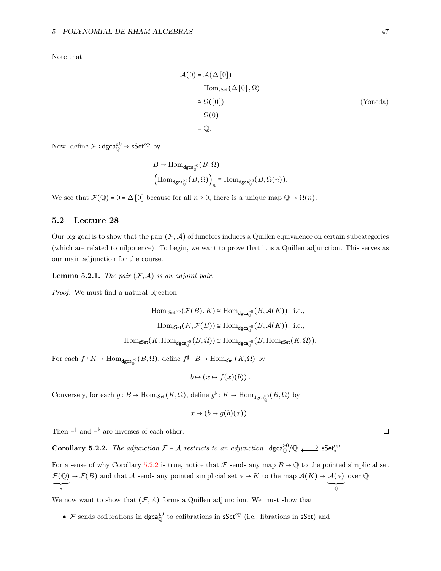Note that

$$
\mathcal{A}(0) = \mathcal{A}(\Delta[0])
$$
  
= Hom<sub>sSet</sub>(\Delta[0], \Omega)  

$$
\cong \Omega([0])
$$
 (Yoneda)  
= \Omega(0)  
= Q.

Now, define  $\mathcal{F}$  : dgca $_{\mathbb{Q}}^{\geq 0}$   $\rightarrow$  sSet<sup>op</sup> by

$$
B \mapsto \text{Hom}_{\text{dgca}_{\mathbb{Q}}^{\geq 0}}(B, \Omega)
$$
  

$$
\left(\text{Hom}_{\text{dgca}_{\mathbb{Q}}^{\geq 0}}(B, \Omega)\right)_n \equiv \text{Hom}_{\text{dgca}_{\mathbb{Q}}^{\geq 0}}(B, \Omega(n)).
$$

We see that  $\mathcal{F}(\mathbb{Q}) = 0 = \Delta[0]$  because for all  $n \geq 0$ , there is a unique map  $\mathbb{Q} \to \Omega(n)$ .

## <span id="page-46-0"></span>5.2 Lecture 28

Our big goal is to show that the pair  $(\mathcal{F},\mathcal{A})$  of functors induces a Quillen equivalence on certain subcategories (which are related to nilpotence). To begin, we want to prove that it is a Quillen adjunction. This serves as our main adjunction for the course.

<span id="page-46-2"></span>**Lemma 5.2.1.** The pair  $(\mathcal{F}, \mathcal{A})$  is an adjoint pair.

Proof. We must find a natural bijection

$$
\text{Hom}_{\mathsf{sSet}^{\mathrm{op}}}(\mathcal{F}(B), K) \cong \text{Hom}_{\mathsf{dgca}^{\geq 0}_{\mathbb{Q}}}(B, \mathcal{A}(K)), \text{ i.e.,}
$$
\n
$$
\text{Hom}_{\mathsf{sSet}}(K, \mathcal{F}(B)) \cong \text{Hom}_{\mathsf{dgca}^{\geq 0}_{\mathbb{Q}}}(B, \mathcal{A}(K)), \text{ i.e.,}
$$
\n
$$
\text{Hom}_{\mathsf{sSet}}(K, \text{Hom}_{\mathsf{dgca}^{\geq 0}_{\mathbb{Q}}}(B, \Omega)) \cong \text{Hom}_{\mathsf{dgca}^{\geq 0}_{\mathbb{Q}}}(B, \text{Hom}_{\mathsf{sSet}}(K, \Omega)).
$$

For each  $f: K \to \text{Hom}_{\text{dgca}_{\mathbb{Q}}^{\geq 0}}(B, \Omega)$ , define  $f^{\sharp}: B \to \text{Hom}_{\text{sSet}}(K, \Omega)$  by

$$
b \mapsto (x \mapsto f(x)(b)).
$$

Conversely, for each  $g: B \to \text{Hom}_{\textsf{sSet}}(K, \Omega)$ , define  $g^{\flat}: K \to \text{Hom}_{\textsf{dgca}_Q^{\geq 0}}(B, \Omega)$  by

$$
x \mapsto (b \mapsto g(b)(x))\,.
$$

Then  $-\nparallel$  and  $-\nparallel$  are inverses of each other.

<span id="page-46-1"></span>Corollary 5.2.2. The adjunction  $\mathcal{F} \dashv \mathcal{A}$  restricts to an adjunction  $\deg_{\mathbb{Q}}^{\geq 0}(\mathbb{Q} \rightleftarrows \leq \mathsf{Set}^{op}_*$ .

For a sense of why Corollary [5.2.2](#page-46-1) is true, notice that F sends any map  $B \to \mathbb{Q}$  to the pointed simplicial set  $\mathcal{F}(\mathbb{Q}) \to \mathcal{F}(B)$  and that A sends any pointed simplicial set  $* \to K$  to the map  $\mathcal{A}(K) \to \mathcal{A}(*)$ over Q.

We now want to show that  $(\mathcal{F}, \mathcal{A})$  forms a Quillen adjunction. We must show that

• F sends cofibrations in  $dgca_{\mathbb{Q}}^{\geq 0}$  to cofibrations in  $sfet^{op}$  (i.e., fibrations in  $sfset$ ) and

 $\Box$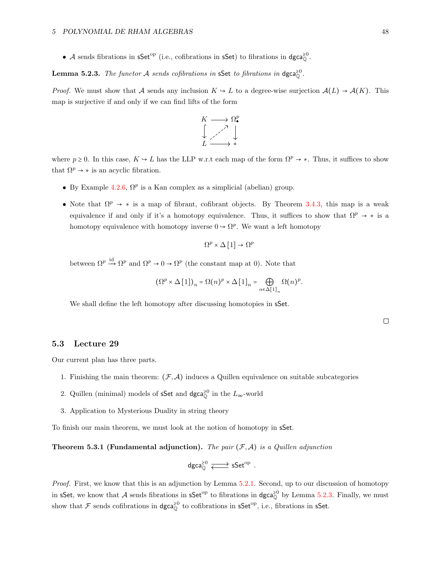• A sends fibrations in  $\mathsf{sSet}^{\mathrm{op}}$  (i.e., cofibrations in  $\mathsf{sSet}$ ) to fibrations in  $\mathsf{dgca}^{\geq 0}_\mathbb{Q}$ .

# <span id="page-47-1"></span>**Lemma 5.2.3.** The functor A sends cofibrations in sSet to fibrations in  $\text{dgca}_{\mathbb{Q}}^{\geq 0}$ .

*Proof.* We must show that A sends any inclusion  $K \hookrightarrow L$  to a degree-wise surjection  $\mathcal{A}(L) \to \mathcal{A}(K)$ . This map is surjective if and only if we can find lifts of the form



where  $p \ge 0$ . In this case,  $K \hookrightarrow L$  has the LLP w.r.t each map of the form  $\Omega^p \to *$ . Thus, it suffices to show that  $\Omega^p \to *$  is an acyclic fibration.

- By Example [4.2.6,](#page-43-2)  $\Omega^p$  is a Kan complex as a simplicial (abelian) group.
- Note that  $\Omega^p \to *$  is a map of fibrant, cofibrant objects. By Theorem [3.4.3,](#page-24-1) this map is a weak equivalence if and only if it's a homotopy equivalence. Thus, it suffices to show that  $\Omega^p \to *$  is a homotopy equivalence with homotopy inverse  $0 \to \Omega^p$ . We want a left homotopy

$$
\Omega^p\times \Delta\left[1\right]\to \Omega^p
$$

between  $\Omega^p \stackrel{\text{id}}{\longrightarrow} \Omega^p$  and  $\Omega^p \to 0 \to \Omega^p$  (the constant map at 0). Note that

$$
(\Omega^p \times \Delta [1])_n = \Omega(n)^p \times \Delta [1]_n = \bigoplus_{\alpha \in \Delta [1]_n} \Omega(n)^p.
$$

We shall define the left homotopy after discussing homotopies in sSet.

 $\Box$ 

#### <span id="page-47-0"></span>5.3 Lecture 29

Our current plan has three parts.

- 1. Finishing the main theorem:  $(\mathcal{F}, \mathcal{A})$  induces a Quillen equivalence on suitable subcategories
- 2. Quillen (minimal) models of s $\mathsf{Set}$  and  $\mathsf{dgca}^{\geq 0}_\mathbb Q$  in the  $L_\infty\text{-world}$
- 3. Application to Mysterious Duality in string theory

To finish our main theorem, we must look at the notion of homotopy in sSet.

**Theorem 5.3.1 (Fundamental adjunction).** The pair  $(F, A)$  is a Quillen adjunction

$$
\mathsf{dgca}^{\geq 0}_\mathbb{Q} \xrightarrow{\hspace*{1.5cm}} \mathsf{sSet}^{\mathrm{op}}\;.
$$

Proof. First, we know that this is an adjunction by Lemma [5.2.1.](#page-46-2) Second, up to our discussion of homotopy in sSet, we know that A sends fibrations in  $\mathsf{sSet}^{\mathrm{op}}$  to fibrations in  $\mathsf{dgca}^{\geq 0}_{\mathbb{Q}}$  by Lemma [5.2.3.](#page-47-1) Finally, we must show that  $\mathcal F$  sends cofibrations in  $\mathsf{dgca}^{\geq 0}_\mathbb Q$  to cofibrations in  $\mathsf{sSet}^\mathrm{op}$ , i.e., fibrations in  $\mathsf{sSet}$ .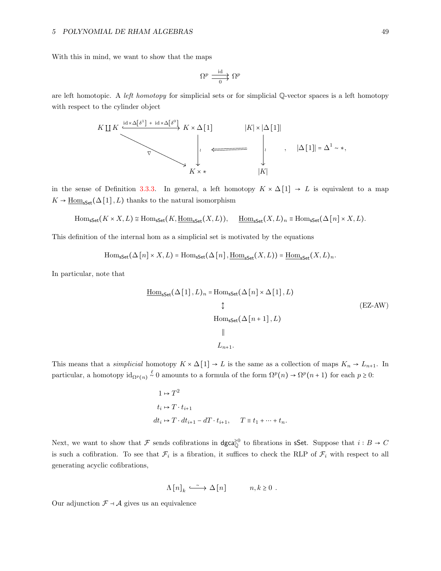With this in mind, we want to show that the maps

$$
\Omega^p \xrightarrow{\mathrm{id}}_{0} \Omega^p
$$

are left homotopic. A left homotopy for simplicial sets or for simplicial  $\mathbb{Q}$ -vector spaces is a left homotopy with respect to the cylinder object



in the sense of Definition [3.3.3.](#page-22-0) In general, a left homotopy  $K \times \Delta[1] \rightarrow L$  is equivalent to a map  $K \to \underline{\text{Hom}}_{\text{sSet}}(\Delta [1], L)$  thanks to the natural isomorphism

$$
\mathrm{Hom}_{\mathsf{sSet}}(K \times X, L) \cong \mathrm{Hom}_{\mathsf{sSet}}(K, \underline{\mathrm{Hom}}_{\mathsf{sSet}}(X, L)), \quad \underline{\mathrm{Hom}}_{\mathsf{sSet}}(X, L)_n \equiv \mathrm{Hom}_{\mathsf{sSet}}(\Delta[n] \times X, L).
$$

This definition of the internal hom as a simplicial set is motivated by the equations

$$
\mathrm{Hom}_{\mathsf{sSet}}(\Delta[n] \times X, L) = \mathrm{Hom}_{\mathsf{sSet}}(\Delta[n], \underline{\mathrm{Hom}}_{\mathsf{sSet}}(X, L)) = \underline{\mathrm{Hom}}_{\mathsf{sSet}}(X, L)_n.
$$

In particular, note that

$$
\underline{\text{Hom}}_{\text{sSet}}(\Delta [1], L)_n = \text{Hom}_{\text{sSet}}(\Delta [n] \times \Delta [1], L)
$$
  
\n
$$
\updownarrow
$$
  
\n
$$
\text{Hom}_{\text{sSet}}(\Delta [n+1], L)
$$
  
\n
$$
\parallel
$$
  
\n
$$
L_{n+1}.
$$
  
\n(EZ-AW)

This means that a *simplicial* homotopy  $K \times \Delta[1] \to L$  is the same as a collection of maps  $K_n \to L_{n+1}$ . In particular, a homotopy  $\mathrm{id}_{\Omega^p(n)} \stackrel{\ell}{\sim} 0$  amounts to a formula of the form  $\Omega^p(n) \to \Omega^p(n+1)$  for each  $p \geq 0$ :

$$
1 \mapsto T^2
$$
  
\n
$$
t_i \mapsto T \cdot t_{i+1}
$$
  
\n
$$
dt_i \mapsto T \cdot dt_{i+1} - dT \cdot t_{i+1}, \qquad T \equiv t_1 + \dots + t_n.
$$

Next, we want to show that  $\mathcal F$  sends cofibrations in dgca<sup>20</sup> to fibrations in sSet. Suppose that  $i : B \to C$ is such a cofibration. To see that  $\mathcal{F}_i$  is a fibration, it suffices to check the RLP of  $\mathcal{F}_i$  with respect to all generating acyclic cofibrations,

$$
\Lambda [n]_k \stackrel{\sim}{\longrightarrow} \Delta [n] \qquad n, k \ge 0 .
$$

Our adjunction  $\mathcal{F} \dashv \mathcal{A}$  gives us an equivalence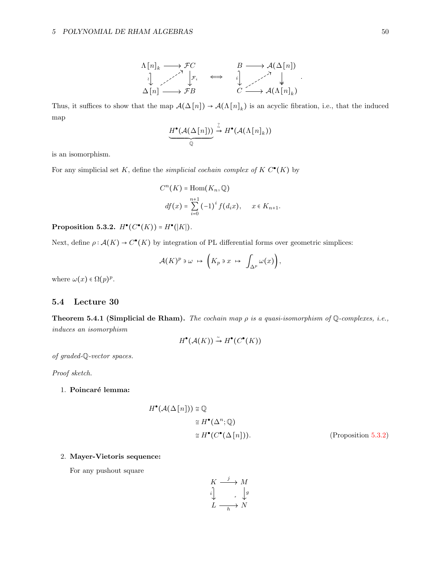$$
\begin{array}{ccc}\n\Lambda[n]_k & \longrightarrow \mathcal{F}C & B \longrightarrow \mathcal{A}(\Delta[n]) \\
\downarrow & \nearrow & \downarrow \mathcal{F}_i & \Longleftrightarrow & \downarrow \downarrow \\
\Delta[n] & \longrightarrow \mathcal{F}B & & C \longrightarrow \mathcal{A}(\Lambda[n]_k)\n\end{array}.
$$

Thus, it suffices to show that the map  $\mathcal{A}(\Delta[n]) \to \mathcal{A}(\Lambda[n]_k)$  is an acyclic fibration, i.e., that the induced map

$$
\underbrace{H^{\bullet}(\mathcal{A}(\Delta[n]))}_{\mathbb{Q}} \xrightarrow{\mathbb{Z}} H^{\bullet}(\mathcal{A}(\Lambda[n]_k))
$$

is an isomorphism.

For any simplicial set K, define the *simplicial cochain complex of*  $K C^{\bullet}(K)$  by

$$
C^{n}(K) = \text{Hom}(K_{n}, \mathbb{Q})
$$
  

$$
df(x) = \sum_{i=0}^{n+1} (-1)^{i} f(d_{i}x), \quad x \in K_{n+1}.
$$

<span id="page-49-1"></span>Proposition 5.3.2.  $H^{\bullet}(C^{\bullet}(K)) = H^{\bullet}(|K|)$ .

Next, define  $\rho: \mathcal{A}(K) \to C^{\bullet}(K)$  by integration of PL differential forms over geometric simplices:

$$
\mathcal{A}(K)^p \ni \omega \mapsto \left( K_p \ni x \mapsto \int_{\Delta^p} \omega(x) \right),
$$

where  $\omega(x) \in \Omega(p)^p$ .

## <span id="page-49-0"></span>5.4 Lecture 30

<span id="page-49-2"></span>Theorem 5.4.1 (Simplicial de Rham). The cochain map  $\rho$  is a quasi-isomorphism of  $\mathbb Q$ -complexes, i.e., induces an isomorphism

$$
H^{\bullet}(\mathcal{A}(K)) \stackrel{\sim}{\to} H^{\bullet}(C^{\bullet}(K))
$$

of graded-Q-vector spaces.

Proof sketch.

## 1. Poincaré lemma:

$$
H^{\bullet}(\mathcal{A}(\Delta[n])) \cong \mathbb{Q}
$$
  
\n
$$
\cong H^{\bullet}(\Delta^n; \mathbb{Q})
$$
  
\n
$$
\cong H^{\bullet}(C^{\bullet}(\Delta[n])). \qquad \text{(Proposition 5.3.2)}
$$

### 2. Mayer-Vietoris sequence:

For any pushout square

$$
\begin{array}{ccc}\nK & \xrightarrow{j} & M \\
\downarrow{i} & & \downarrow{g} \\
L & \xrightarrow[h]{\longrightarrow} N\n\end{array}
$$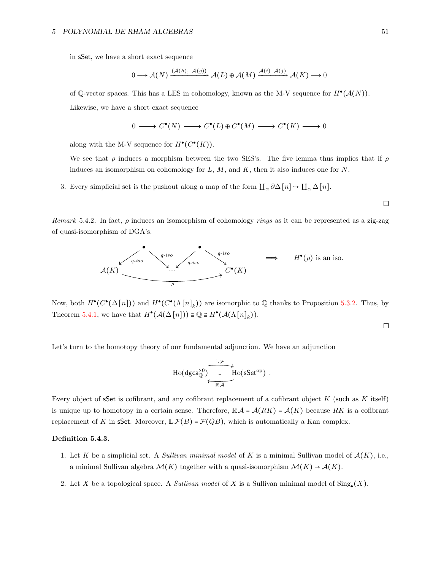in sSet, we have a short exact sequence

$$
0 \longrightarrow \mathcal{A}(N) \xrightarrow{(\mathcal{A}(h), -\mathcal{A}(g))} \mathcal{A}(L) \oplus \mathcal{A}(M) \xrightarrow{\mathcal{A}(i) + \mathcal{A}(j)} \mathcal{A}(K) \longrightarrow 0
$$

of Q-vector spaces. This has a LES in cohomology, known as the M-V sequence for  $H^{\bullet}(A(N))$ . Likewise, we have a short exact sequence

$$
0 \longrightarrow C^{\bullet}(N) \longrightarrow C^{\bullet}(L) \oplus C^{\bullet}(M) \longrightarrow C^{\bullet}(K) \longrightarrow 0
$$

along with the M-V sequence for  $H^{\bullet}(C^{\bullet}(K))$ .

We see that  $\rho$  induces a morphism between the two SES's. The five lemma thus implies that if  $\rho$ induces an isomorphism on cohomology for  $L, M$ , and  $K$ , then it also induces one for  $N$ .

3. Every simplicial set is the pushout along a map of the form  $\coprod_{\alpha} \partial \Delta[n] \rightarrow \coprod_{\alpha} \Delta[n]$ .

Remark 5.4.2. In fact,  $\rho$  induces an isomorphism of cohomology rings as it can be represented as a zig-zag of quasi-isomorphism of DGA's.



Now, both  $H^{\bullet}(C^{\bullet}(\Delta[n]))$  and  $H^{\bullet}(C^{\bullet}(\Lambda[n]_k))$  are isomorphic to  $\mathbb Q$  thanks to Proposition [5.3.2.](#page-49-1) Thus, by Theorem [5.4.1,](#page-49-2) we have that  $H^{\bullet}(A(\Delta[n])) \cong \mathbb{Q} \cong H^{\bullet}(A(\Lambda[n]_k)).$ 

 $\Box$ 

 $\Box$ 

Let's turn to the homotopy theory of our fundamental adjunction. We have an adjunction

$$
\operatorname{Ho}(\text{\rm dgca}_{\mathbb Q}^{\geq 0})\overbrace{\phantom{\mathbb Z_{\mathbb Z}^{\oplus 0}}_{\mathbb R\mathcal A}}^{\mathbb L\mathcal F}\operatorname{Ho}(\text{\rm sSet}^{\operatorname{op}})\ .
$$

Every object of sSet is cofibrant, and any cofibrant replacement of a cofibrant object  $K$  (such as  $K$  itself) is unique up to homotopy in a certain sense. Therefore,  $\mathbb{R} \mathcal{A} = \mathcal{A}(RK) = \mathcal{A}(K)$  because RK is a cofibrant replacement of K in sSet. Moreover,  $\mathbb{L}\mathcal{F}(B) = \mathcal{F}(QB)$ , which is automatically a Kan complex.

#### Definition 5.4.3.

- 1. Let K be a simplicial set. A Sullivan minimal model of K is a minimal Sullivan model of  $\mathcal{A}(K)$ , i.e., a minimal Sullivan algebra  $\mathcal{M}(K)$  together with a quasi-isomorphism  $\mathcal{M}(K) \to \mathcal{A}(K)$ .
- 2. Let X be a topological space. A *Sullivan model* of X is a Sullivan minimal model of  $\text{Sing}_{\bullet}(X)$ .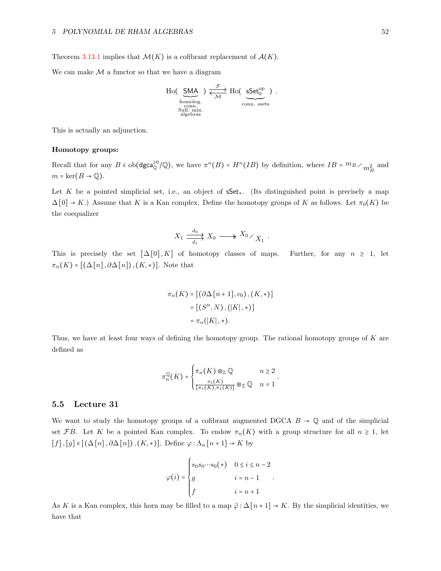Theorem [3.13.1](#page-37-1) implies that  $\mathcal{M}(K)$  is a cofibrant replacement of  $\mathcal{A}(K)$ .

We can make  $M$  a functor so that we have a diagram

Ho( 
$$
\underbrace{\text{SMA}}_{\text{homolog.}})
$$
  $\underbrace{\overbrace{\mathcal{H}}^{\mathcal{F}}}_{\text{com.} \text{Sets}}$   $\underbrace{\text{Sset}^{\text{op}}_{0}}_{\text{com.} \text{Sets}}$ ) .

This is actually an adjunction.

#### Homotopy groups:

Recall that for any  $B \in ob(\text{dgca}_{\mathbb{Q}}^{\geq 0}/\mathbb{Q})$ , we have  $\pi^{n}(B) = H^{n}(IB)$  by definition, where  $IB = {}^{m}B \times {}^{m}B_{B}$  and  $m = \ker(B \to \mathbb{Q}).$ 

Let K be a pointed simplicial set, i.e., an object of  $\mathsf{sSet}_*$ . (Its distinguished point is precisely a map  $\Delta[0] \rightarrow K$ .) Assume that K is a Kan complex. Define the homotopy groups of K as follows. Let  $\pi_0(K)$  be the coequalizer

$$
X_1 \xrightarrow[d_1]{d_0} X_0 \longrightarrow X_0 \times_{X_1} .
$$

This is precisely the set  $\lceil \Delta[0], K \rceil$  of homotopy classes of maps. Further, for any  $n \geq 1$ , let  $\pi_n(K) = [(\Delta[n], \partial \Delta[n]), (K, *)]$ . Note that

$$
\pi_n(K) = [(\partial \Delta[n+1], v_0), (K, *)]
$$

$$
= [(S^n, N), (|K|, *)]
$$

$$
= \pi_n(|K|, *).
$$

Thus, we have at least four ways of defining the homotopy group. The rational homotopy groups of K are defined as

$$
\pi_n^{\mathbb{Q}}(K) = \begin{cases} \pi_n(K) \otimes_{\mathbb{Z}} \mathbb{Q} & n \geq 2 \\ \frac{\pi_1(K)}{[\pi_1(K), \pi_1(K)]} \otimes_{\mathbb{Z}} \mathbb{Q} & n = 1 \end{cases}.
$$

## <span id="page-51-0"></span>5.5 Lecture 31

We want to study the homotopy groups of a cofibrant augmented DGCA  $B \to \mathbb{Q}$  and of the simplicial set FB. Let K be a pointed Kan complex. To endow  $\pi_n(K)$  with a group structure for all  $n \geq 1$ , let  $[f], [g] \in [(\Delta[n], \partial \Delta[n]), (K, *)]$ . Define  $\varphi : \Lambda_n[n+1] \to K$  by

$$
\varphi(i) = \begin{cases} s_0 s_0 \cdots s_0(*) & 0 \le i \le n-2 \\ g & i = n-1 \\ f & i = n+1 \end{cases}.
$$

As K is a Kan complex, this horn may be filled to a map  $\tilde{\varphi}$  :  $\Delta[n+1] \to K$ . By the simplicial identities, we have that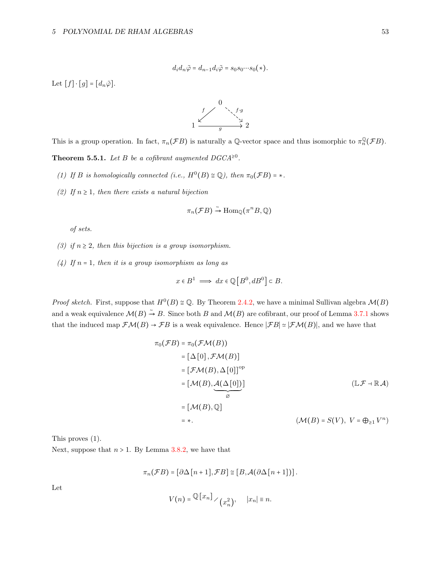$$
d_i d_n \tilde{\varphi} = d_{n-1} d_i \tilde{\varphi} = s_0 s_0 \cdots s_0 (*).
$$

Let  $[f] \cdot [g] = [d_n \tilde{\varphi}].$ 



This is a group operation. In fact,  $\pi_n(\mathcal{F}B)$  is naturally a Q-vector space and thus isomorphic to  $\pi_n^{\mathbb{Q}}(\mathcal{F}B)$ .

<span id="page-52-0"></span>**Theorem 5.5.1.** Let B be a cofibrant augmented  $DGCA^{\geq 0}$ .

- (1) If B is homologically connected (i.e.,  $H^0(B) \cong \mathbb{Q}$ ), then  $\pi_0(\mathcal{F}B) = *$ .
- (2) If  $n \geq 1$ , then there exists a natural bijection

$$
\pi_n(\mathcal{F}B) \stackrel{\sim}{\rightarrow} \text{Hom}_{\mathbb{Q}}(\pi^n B, \mathbb{Q})
$$

of sets.

- (3) if  $n \geq 2$ , then this bijection is a group isomorphism.
- (4) If  $n = 1$ , then it is a group isomorphism as long as

$$
x \in B^1 \implies dx \in \mathbb{Q}\left[B^0, dB^0\right] \subset B.
$$

*Proof sketch.* First, suppose that  $H^0(B) \cong \mathbb{Q}$ . By Theorem [2.4.2,](#page-15-1) we have a minimal Sullivan algebra  $\mathcal{M}(B)$ and a weak equivalence  $\mathcal{M}(B) \stackrel{\sim}{\rightarrow} B$ . Since both B and  $\mathcal{M}(B)$  are cofibrant, our proof of Lemma [3.7.1](#page-28-1) shows that the induced map  $\mathcal{F}\mathcal{M}(B) \to \mathcal{F}B$  is a weak equivalence. Hence  $|\mathcal{F}B| \simeq |\mathcal{F}\mathcal{M}(B)|$ , and we have that

$$
\pi_0(\mathcal{F}B) = \pi_0(\mathcal{F}M(B))
$$
\n
$$
= [\Delta[0], \mathcal{F}M(B)]
$$
\n
$$
= [\mathcal{F}M(B), \Delta[0]]^{\text{op}}
$$
\n
$$
= [\mathcal{M}(B), \mathcal{A}(\Delta[0])]
$$
\n
$$
= [\mathcal{M}(B), \mathbb{Q}]
$$
\n
$$
= *.
$$
\n
$$
(\mathcal{M}(B) = S(V), V = \bigoplus_{\geq 1} V^n)
$$

This proves (1).

Next, suppose that  $n > 1$ . By Lemma [3.8.2,](#page-30-1) we have that

$$
\pi_n(\mathcal{F}B) = [\partial \Delta[n+1], \mathcal{F}B] \cong [B, \mathcal{A}(\partial \Delta[n+1])].
$$

Let

$$
V(n) = \mathbb{Q}[x_n] \times (x_n^2), \quad |x_n| \equiv n.
$$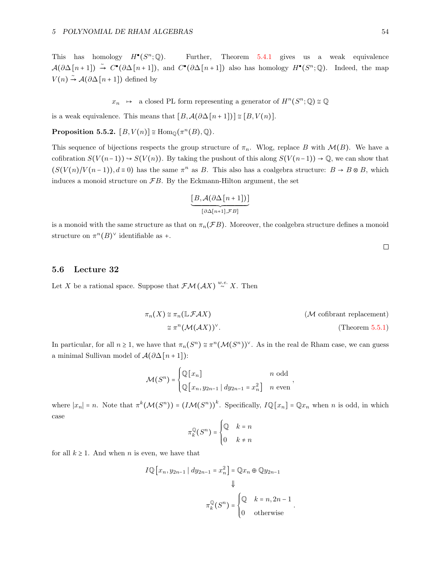This has homology  $H^{\bullet}(S^n)$ Further, Theorem  $5.4.1$  gives us a weak equivalence  $\mathcal{A}(\partial \Delta[n+1]) \stackrel{\sim}{\rightarrow} C^{\bullet}(\partial \Delta[n+1])$ , and  $C^{\bullet}(\partial \Delta[n+1])$  also has homology  $H^{\bullet}(S^n;\mathbb{Q})$ . Indeed, the map  $V(n) \stackrel{\sim}{\rightarrow} A(\partial \Delta[n+1])$  defined by

 $x_n \rightarrow$  a closed PL form representing a generator of  $H^n(S^n; \mathbb{Q}) \cong \mathbb{Q}$ 

is a weak equivalence. This means that  $[B, \mathcal{A}(\partial \Delta[n+1])] \cong [B, V(n)].$ 

**Proposition 5.5.2.**  $[B, V(n)] \cong \text{Hom}_{\mathbb{Q}}(\pi^n(B), \mathbb{Q})$ .

This sequence of bijections respects the group structure of  $\pi_n$ . Wlog, replace B with  $\mathcal{M}(B)$ . We have a cofibration  $S(V(n-1)) \to S(V(n))$ . By taking the pushout of this along  $S(V(n-1)) \to \mathbb{Q}$ , we can show that  $(S(V(n)/V(n-1)), d \equiv 0)$  has the same  $\pi^n$  as B. This also has a coalgebra structure:  $B \to B \otimes B$ , which induces a monoid structure on  $\mathcal{F}B$ . By the Eckmann-Hilton argument, the set

$$
\underbrace{[B, \mathcal{A}(\partial \Delta[n+1])]}_{[\partial \Delta[n+1], \mathcal{F}B]}
$$

is a monoid with the same structure as that on  $\pi_n(\mathcal{F}B)$ . Moreover, the coalgebra structure defines a monoid structure on  $\pi^{n}(B)^{\vee}$  identifiable as +.

# <span id="page-53-0"></span>5.6 Lecture 32

Let X be a rational space. Suppose that  $\mathcal{FM}(\mathcal{A}X) \stackrel{w.e.}{\sim} X$ . Then

$$
\pi_n(X) \cong \pi_n(\mathbb{L}\mathcal{F}AX)
$$
  
\n
$$
\cong \pi^n(\mathcal{M}(\mathcal{A}X))^{\vee}.
$$
  
\n
$$
(\mathcal{M} \text{ cofibrant replacement})
$$
  
\n
$$
(\mathcal{M} \text{cofibrant replacement})
$$
  
\n
$$
(\mathcal{M} \text{cofibrant replacement})
$$
  
\n
$$
(\mathcal{M} \text{cofibrant replacement})
$$

.

In particular, for all  $n \ge 1$ , we have that  $\pi_n(S^n) \cong \pi^n(\mathcal{M}(S^n))^{\vee}$ . As in the real de Rham case, we can guess a minimal Sullivan model of  $\mathcal{A}(\partial \Delta[n+1])$ :

$$
\mathcal{M}(S^n) = \begin{cases} \mathbb{Q}[x_n] & n \text{ odd} \\ \mathbb{Q}[x_n, y_{2n-1} | dy_{2n-1} = x_n^2] & n \text{ even} \end{cases}
$$

where  $|x_n| = n$ . Note that  $\pi^k(\mathcal{M}(S^n)) = (I\mathcal{M}(S^n))^k$ . Specifically,  $I\mathbb{Q}[x_n] = \mathbb{Q}x_n$  when n is odd, in which case

$$
\pi_k^{\mathbb{Q}}(S^n) = \begin{cases} \mathbb{Q} & k = n \\ 0 & k \neq n \end{cases}
$$

for all  $k \geq 1$ . And when *n* is even, we have that

$$
I \mathbb{Q} \left[ x_n, y_{2n-1} \mid dy_{2n-1} = x_n^2 \right] = \mathbb{Q} x_n \oplus \mathbb{Q} y_{2n-1}
$$

$$
\Downarrow
$$

$$
\pi_k^{\mathbb{Q}}(S^n) = \begin{cases} \mathbb{Q} & k = n, 2n - 1 \\ 0 & \text{otherwise} \end{cases}
$$

 $\Box$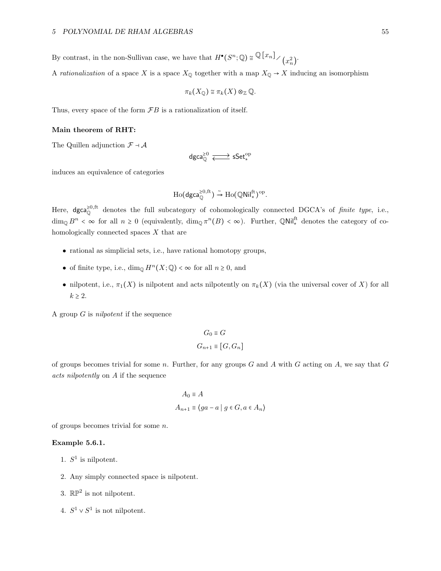By contrast, in the non-Sullivan case, we have that  $H^{\bullet}(S^n; \mathbb{Q}) \cong \mathbb{Q}[\![x_n]\!]_{\diagup (x)}$  $_{n}^{2}$ .

A rationalization of a space X is a space  $X_{\mathbb{Q}}$  together with a map  $X_{\mathbb{Q}} \to X$  inducing an isomorphism

$$
\pi_k(X_{\mathbb{Q}}) \cong \pi_k(X) \otimes_{\mathbb{Z}} \mathbb{Q}.
$$

Thus, every space of the form  $\mathcal{F}B$  is a rationalization of itself.

#### Main theorem of RHT:

The Quillen adjunction  $\mathcal{F} \dashv \mathcal{A}$ 

$$
\mathsf{dgca}_{\mathbb{Q}}^{\geq 0} \xrightarrow{\hspace*{1.5cm}} \mathsf{sSet}^{\mathrm{op}}_*
$$

induces an equivalence of categories

$$
\mathrm{Ho}(\mathrm{dgca}_{\mathbb{Q}}^{\geq 0,\mathrm{ft}}) \xrightarrow{\sim} \mathrm{Ho}(\mathbb{QNil}_{*}^{\mathrm{ft}})^{\mathrm{op}}.
$$

Here,  $\deg_{\mathbb{Q}}^{\geq 0}$ , the full subcategory of cohomologically connected DGCA's of finite type, i.e.,  $\dim_{\mathbb{Q}} B^n < \infty$  for all  $n \geq 0$  (equivalently,  $\dim_{\mathbb{Q}} \pi^n(B) < \infty$ ). Further,  $\mathbb{Q}$ Nil<sup>ft</sup> denotes the category of cohomologically connected spaces X that are

- rational as simplicial sets, i.e., have rational homotopy groups,
- of finite type, i.e.,  $\dim_{\mathbb{Q}} H^n(X; \mathbb{Q}) < \infty$  for all  $n \geq 0$ , and
- nilpotent, i.e.,  $\pi_1(X)$  is nilpotent and acts nilpotently on  $\pi_k(X)$  (via the universal cover of X) for all  $k \geq 2$ .

A group G is nilpotent if the sequence

$$
G_0 \equiv G
$$
  

$$
G_{n+1} \equiv [G, G_n]
$$

of groups becomes trivial for some n. Further, for any groups  $G$  and  $A$  with  $G$  acting on  $A$ , we say that  $G$ acts nilpotently on A if the sequence

$$
A_0 \equiv A
$$
  

$$
A_{n+1} \equiv \langle ga - a \mid g \in G, a \in A_n \rangle
$$

of groups becomes trivial for some n.

## Example 5.6.1.

- 1.  $S^1$  is nilpotent.
- 2. Any simply connected space is nilpotent.
- 3.  $\mathbb{RP}^2$  is not nilpotent.
- 4.  $S^1 \vee S^1$  is not nilpotent.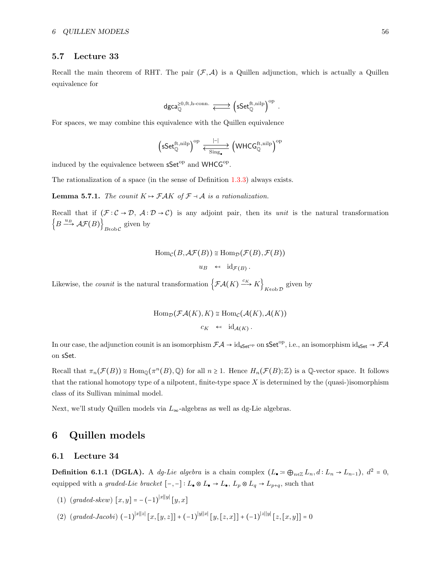## <span id="page-55-0"></span>5.7 Lecture 33

Recall the main theorem of RHT. The pair  $(\mathcal{F}, \mathcal{A})$  is a Quillen adjunction, which is actually a Quillen equivalence for

$$
\mathsf{dgca}_{\mathbb{Q}}^{\geq 0, \mathrm{ft}, \mathrm{h\text{-}conn.}} \xrightarrow{\longleftarrow} \left(\mathsf{sSet}_{\mathbb{Q}}^{\mathrm{ft}, \mathrm{nilp}}\right)^{\mathrm{op}}\,.
$$

For spaces, we may combine this equivalence with the Quillen equivalence

$$
\left(\mathsf{sSet}^{\mathrm{ft},\mathrm{nilp}}_{\mathbb{Q}}\right)^\mathrm{op} \stackrel{|{\textbf{--}}|}{\longleftrightarrow} \left(\mathsf{WHCG}^{\mathrm{ft},\mathrm{nilp}}_{\mathbb{Q}}\right)^\mathrm{op}
$$

induced by the equivalence between sSet<sup>op</sup> and WHCG<sup>op</sup>.

The rationalization of a space (in the sense of Definition [1.3.3\)](#page-6-0) always exists.

**Lemma 5.7.1.** The counit  $K \mapsto \mathcal{F}AK$  of  $\mathcal{F} \dashv \mathcal{A}$  is a rationalization.

Recall that if  $(\mathcal{F} : \mathcal{C} \to \mathcal{D}, \mathcal{A} : \mathcal{D} \to \mathcal{C})$  is any adjoint pair, then its unit is the natural transformation  $\left\{ B \xrightarrow{u_B} \mathcal{AF}(B) \right\}_{B \in \text{obC}}$  given by

$$
\text{Hom}_{\mathcal{C}}(B, \mathcal{AF}(B)) \cong \text{Hom}_{\mathcal{D}}(\mathcal{F}(B), \mathcal{F}(B))
$$

$$
u_B \leftarrow \text{id}_{\mathcal{F}(B)}.
$$

Likewise, the *counit* is the natural transformation  $\left\{\mathcal{FA}(K) \stackrel{c_K}{\longrightarrow} K\right\}_{K\infty b\mathcal{D}}$  given by

$$
Hom_{\mathcal{D}}(\mathcal{F}\mathcal{A}(K), K) \cong Hom_{\mathcal{C}}(\mathcal{A}(K), \mathcal{A}(K))
$$

$$
c_K \leftarrow id_{\mathcal{A}(K)}.
$$

In our case, the adjunction counit is an isomorphism  $\mathcal{FA} \to id_{\mathsf{sSet}^{\mathrm{op}}}$  on  $\mathsf{sSet}^{\mathrm{op}}$ , i.e., an isomorphism  $id_{\mathsf{sSet}} \to \mathcal{FA}$ on sSet.

Recall that  $\pi_n(\mathcal{F}(B)) \cong \text{Hom}_{\mathbb{Q}}(\pi^n(B), \mathbb{Q})$  for all  $n \geq 1$ . Hence  $H_n(\mathcal{F}(B); \mathbb{Z})$  is a Q-vector space. It follows that the rational homotopy type of a nilpotent, finite-type space  $X$  is determined by the (quasi-)isomorphism class of its Sullivan minimal model.

Next, we'll study Quillen models via  $L_{\infty}$ -algebras as well as dg-Lie algebras.

# <span id="page-55-1"></span>6 Quillen models

## <span id="page-55-2"></span>6.1 Lecture 34

**Definition 6.1.1 (DGLA).** A dg-Lie algebra is a chain complex  $(L_{\bullet} \coloneqq \bigoplus_{n \in \mathbb{Z}} L_n, d: L_n \to L_{n-1}), d^2 = 0$ , equipped with a graded-Lie bracket  $[-,-]: L_{\bullet} \otimes L_{\bullet} \to L_{\bullet}$ ,  $L_p \otimes L_q \to L_{p+q}$ , such that

- (1)  $(grad\text{-}skew) [x, y] = -(-1)^{|x||y|} [y, x]$
- (2)  $\left(\text{graded-Jacobi}\right) (-1)^{|x||z|} [x, [y, z]] + (-1)^{|y||x|} [y, [z, x]] + (-1)^{|z||y|} [z, [x, y]] = 0$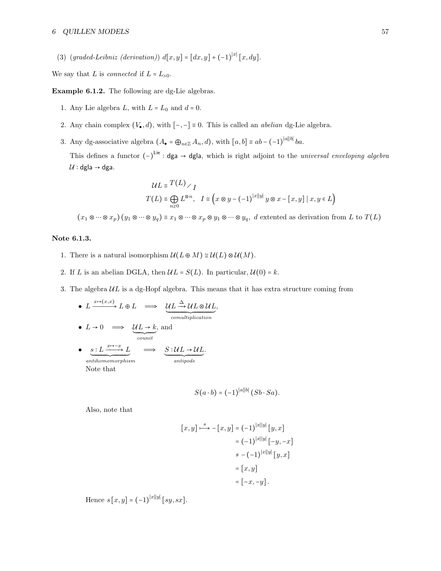(3)  $(grad\text{-}Leibniz (derivation)) d[x,y] = [dx,y] + (-1)^{|x|} [x, dy].$ 

We say that L is *connected* if  $L = L_{>0}$ .

Example 6.1.2. The following are dg-Lie algebras.

- 1. Any Lie algebra  $L$ , with  $L = L_0$  and  $d = 0$ .
- 2. Any chain complex  $(V_{\bullet}, d)$ , with  $[-,-] \equiv 0$ . This is called an *abelian* dg-Lie algebra.
- 3. Any dg-associative algebra  $(A_{\bullet} = \bigoplus_{n \in \mathbb{Z}} A_n, d)$ , with  $[a, b] \equiv ab (-1)^{|a||b|} ba$ .

This defines a functor  $(-)^{Lie}$  : dga → dgla, which is right adjoint to the *universal enveloping algebra*  $U : dg$ la → dga.

$$
\mathcal{U}L \equiv \frac{T(L)}{I}
$$
  

$$
T(L) \equiv \bigoplus_{n\geq 0} L^{\otimes n}, \quad I \equiv \left(x \otimes y - (-1)^{|x||y|} y \otimes x - [x, y] \mid x, y \in L\right)
$$

 $(x_1 \otimes \cdots \otimes x_p)(y_1 \otimes \cdots \otimes y_q) \equiv x_1 \otimes \cdots \otimes x_p \otimes y_1 \otimes \cdots \otimes y_q$ , d extented as derivation from L to  $T(L)$ 

## Note 6.1.3.

- 1. There is a natural isomorphism  $\mathcal{U}(L \oplus M) \cong \mathcal{U}(L) \otimes \mathcal{U}(M)$ .
- 2. If L is an abelian DGLA, then  $\mathcal{U}L = S(L)$ . In particular,  $\mathcal{U}(0) = k$ .
- 3. The algebra  $UL$  is a dg-Hopf algebra. This means that it has extra structure coming from

\n- \n
$$
L \xrightarrow{\text{m}\rightarrow(x,x)} L \oplus L \implies \underbrace{\mathcal{U}L \xrightarrow{\Delta} \mathcal{U}L \otimes \mathcal{U}L}_{comultiplication},
$$
\n
\n- \n
$$
L \rightarrow 0 \implies \underbrace{\mathcal{U}L \rightarrow k}_{count},
$$
\n
\n- \n
$$
\underbrace{s:L \xrightarrow{\text{m}\rightarrow\text{m}\times} L}_{antihomomorphism} \implies \underbrace{S:\mathcal{U}L \rightarrow \mathcal{U}L}_{antipode}.
$$
\n
\n

$$
S(a \cdot b) = (-1)^{|a||b|} (Sb \cdot Sa).
$$

Also, note that

$$
[x, y] \xrightarrow{s} -[x, y] = (-1)^{|x||y|} [y, x]
$$

$$
= (-1)^{|x||y|} [-y, -x]
$$

$$
+ -(-1)^{|x||y|} [y, x]
$$

$$
= [x, y]
$$

$$
= [-x, -y].
$$

Hence  $s[x, y] = (-1)^{|x||y|} [sy, sx].$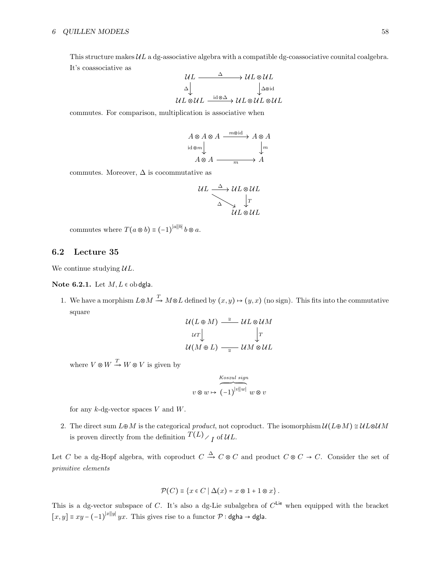This structure makes  $UL$  a dg-associative algebra with a compatible dg-coassociative counital coalgebra. It's coassociative as

$$
\begin{array}{ccc}\nUL & \xrightarrow{\Delta} & \wedge UL \otimes UL \\
\downarrow^{\Delta} & & \downarrow^{\Delta \otimes id} \\
UL \otimes UL & \xrightarrow{\text{id} \otimes \Delta} & \vee^{\text{id} \otimes UL} \otimes UL\n\end{array}
$$

commutes. For comparison, multiplication is associative when

$$
A \otimes A \otimes A \xrightarrow{m \otimes id} A \otimes A
$$
  
id \otimes m  

$$
A \otimes A \xrightarrow{m \otimes id} A
$$

commutes. Moreover,  $\Delta$  is cocommutative as

$$
UL \xrightarrow{\Delta} UL \otimes UL
$$
  

$$
\searrow \qquad \downarrow T
$$
  

$$
UL \otimes UL
$$
  

$$
UL \otimes UL
$$

commutes where  $T(a \otimes b) \equiv (-1)^{|a||b|} b \otimes a$ .

#### <span id="page-57-0"></span>6.2 Lecture 35

We continue studying  $UL$ .

Note 6.2.1. Let  $M, L \in \text{obdgla}$ .

1. We have a morphism  $L \otimes M \stackrel{T}{\to} M \otimes L$  defined by  $(x, y) \mapsto (y, x)$  (no sign). This fits into the commutative square

$$
\mathcal{U}(L \oplus M) \stackrel{\cong}{\longrightarrow} UL \otimes UM
$$
  

$$
u\tau \downarrow \qquad \qquad \downarrow T
$$
  

$$
\mathcal{U}(M \oplus L) \stackrel{\cong}{\longrightarrow} UM \otimes UL
$$

where  $V \otimes W \stackrel{T}{\rightarrow} W \otimes V$  is given by

$$
v \otimes w \mapsto \overbrace{(-1)}^{\text{Koszul sign}} w \otimes v
$$

for any  $k$ -dg-vector spaces  $V$  and  $W$ .

2. The direct sum  $L \oplus M$  is the categorical product, not coproduct. The isomorphism  $\mathcal{U}(L \oplus M) \cong \mathcal{U}L \otimes \mathcal{U}M$ is proven directly from the definition  $T(L)$ <sub>I</sub> of  $UL$ .

Let C be a dg-Hopf algebra, with coproduct  $C \stackrel{\Delta}{\to} C \otimes C$  and product  $C \otimes C \to C$ . Consider the set of primitive elements

$$
\mathcal{P}(C) \equiv \{x \in C \mid \Delta(x) = x \otimes 1 + 1 \otimes x\}.
$$

This is a dg-vector subspace of C. It's also a dg-Lie subalgebra of  $C^{\mathsf{Lie}}$  when equipped with the bracket  $[x, y] \equiv xy - (-1)^{|x||y|} yx$ . This gives rise to a functor  $\mathcal{P}$  : dgha  $\rightarrow$  dgla.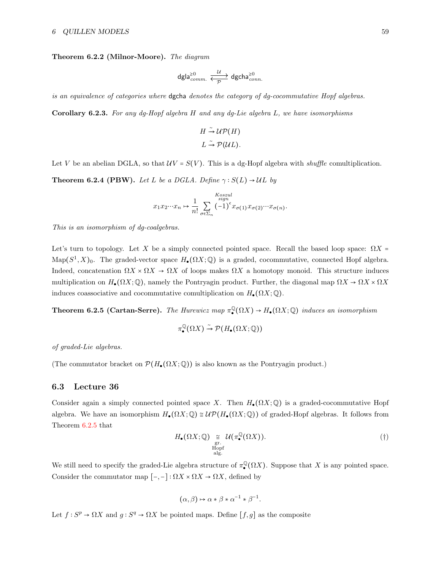Theorem 6.2.2 (Milnor-Moore). The diagram

$$
\mathsf{dgla}_{comm.}^{\geq 0} \xrightarrow[\mathcal{P}]{\mathcal{U}} \mathsf{dgcha}_{conn.}^{\geq 0}
$$

is an equivalence of categories where dgcha denotes the category of dg-cocommutative Hopf algebras.

Corollary 6.2.3. For any dg-Hopf algebra H and any dg-Lie algebra L, we have isomorphisms

$$
H \stackrel{\sim}{\rightarrow} \mathcal{UP}(H)
$$
  

$$
L \stackrel{\sim}{\rightarrow} \mathcal{P}(\mathcal{U}L).
$$

Let V be an abelian DGLA, so that  $\mathcal{U}V = S(V)$ . This is a dg-Hopf algebra with shuffle comultiplication.

**Theorem 6.2.4 (PBW).** Let L be a DGLA. Define  $\gamma : S(L) \rightarrow \mathcal{U}$  by

$$
x_1 x_2 \cdots x_n \mapsto \frac{1}{n!} \sum_{\sigma \in \Sigma_n} \left( -1 \right)^{\epsilon} x_{\sigma(1)} x_{\sigma(2)} \cdots x_{\sigma(n)}.
$$

This is an isomorphism of dg-coalgebras.

Let's turn to topology. Let X be a simply connected pointed space. Recall the based loop space:  $\Omega X =$ Map( $S^1$ , X)<sub>0</sub>. The graded-vector space  $H_{\bullet}(\Omega X; \mathbb{Q})$  is a graded, cocommutative, connected Hopf algebra. Indeed, concatenation  $\Omega X \times \Omega X \to \Omega X$  of loops makes  $\Omega X$  a homotopy monoid. This structure induces multiplication on  $H_{\bullet}(\Omega X;\mathbb{Q})$ , namely the Pontryagin product. Further, the diagonal map  $\Omega X \to \Omega X \times \Omega X$ induces coassociative and cocommutative comultiplication on  $H_{\bullet}(\Omega X;\mathbb{Q})$ .

<span id="page-58-1"></span>**Theorem 6.2.5 (Cartan-Serre).** The Hurewicz map  $\pi_{\bullet}^{\mathbb{Q}}$  $\mathcal{Q}(\Omega X) \to H_{\bullet}(\Omega X; \mathbb{Q})$  induces an isomorphism

$$
\pi^\mathbb{Q}_\bullet(\Omega X) \stackrel{\sim}{\to} \mathcal{P}(H_\bullet(\Omega X;\mathbb{Q}))
$$

of graded-Lie algebras.

(The commutator bracket on  $\mathcal{P}(H_{\bullet}(\Omega X;\mathbb{Q}))$  is also known as the Pontryagin product.)

## <span id="page-58-0"></span>6.3 Lecture 36

Consider again a simply connected pointed space X. Then  $H_{\bullet}(\Omega X; \mathbb{Q})$  is a graded-cocommutative Hopf algebra. We have an isomorphism  $H_{\bullet}(\Omega X; \mathbb{Q}) \cong \mathcal{UP}(H_{\bullet}(\Omega X; \mathbb{Q}))$  of graded-Hopf algebras. It follows from Theorem [6.2.5](#page-58-1) that

<span id="page-58-2"></span>
$$
H_{\bullet}(\Omega X; \mathbb{Q}) \underset{\text{Hopf} \text{alg.}}{\cong} \mathcal{U}(\pi_{\bullet}^{\mathbb{Q}}(\Omega X)).
$$
 (†)

We still need to specify the graded-Lie algebra structure of  $\pi_{\bullet}^{\mathbb{Q}}$  $\mathbb{Q}(\Omega X)$ . Suppose that X is any pointed space. Consider the commutator map  $[-,-]: \Omega X \times \Omega X \to \Omega X$ , defined by

$$
(\alpha, \beta) \mapsto \alpha * \beta * \alpha^{-1} * \beta^{-1}.
$$

Let  $f: S^p \to \Omega X$  and  $g: S^q \to \Omega X$  be pointed maps. Define  $[f, g]$  as the composite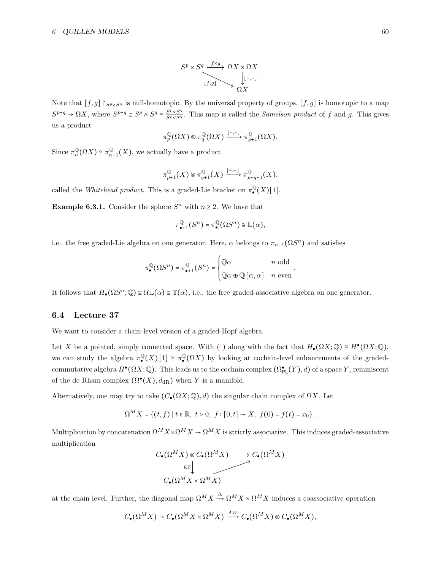$$
S^{p} \times S^{q} \xrightarrow{f \times g} \Omega X \times \Omega X
$$
  

$$
[f,g] \longrightarrow \bigcup_{\Omega X} [-,-] \cdot
$$

Note that  $[f,g] \upharpoonright_{S^p \vee S^q}$  is null-homotopic. By the universal property of groups,  $[f,g]$  is homotopic to a map  $S^{p+q} \to \Omega X$ , where  $S^{p+q} \cong S^p \wedge S^q \cong \frac{S^p \times S^q}{S^p \vee S^q}$ . This map is called the *Samelson product* of f and g. This gives us a product

$$
\pi_p^{\mathbb{Q}}(\Omega X) \otimes \pi_q^{\mathbb{Q}}(\Omega X) \xrightarrow{[-,-]} \pi_{p+1}^{\mathbb{Q}}(\Omega X).
$$

Since  $\pi_n^{\mathbb{Q}}(\Omega X) \cong \pi_n^{\mathbb{Q}}$  $\mathbb{Q}_{n+1}(X)$ , we actually have a product

$$
\pi_{p+1}^{\mathbb{Q}}(X) \otimes \pi_{q+1}^{\mathbb{Q}}(X) \xrightarrow{[-,-]} \pi_{p+q+1}^{\mathbb{Q}}(X),
$$

called the Whitehead product. This is a graded-Lie bracket on  $\pi^{\mathbb{Q}}$  $\binom{\mathbb{Q}}{\bullet}(X)[1].$ 

**Example 6.3.1.** Consider the sphere  $S<sup>n</sup>$  with  $n \ge 2$ . We have that

$$
\pi_{\bullet+1}^{\mathbb{Q}}(S^n)=\pi_{\bullet}^{\mathbb{Q}}(\Omega S^n)\cong \mathbb{L}(\alpha),
$$

i.e., the free graded-Lie algebra on one generator. Here,  $\alpha$  belongs to  $\pi_{n-1}(\Omega S^n)$  and satisfies

$$
\pi_{\bullet}^{\mathbb{Q}}(\Omega S^{n}) = \pi_{\bullet+1}^{\mathbb{Q}}(S^{n}) = \begin{cases} \mathbb{Q}\alpha & n \text{ odd} \\ \mathbb{Q}\alpha \oplus \mathbb{Q}[\alpha, \alpha] & n \text{ even} \end{cases}.
$$

It follows that  $H_{\bullet}(\Omega S^n; \mathbb{Q}) \cong \mathcal{U} \mathbb{L}(\alpha) \cong \mathbb{T}(\alpha)$ , i.e., the free graded-associative algebra on one generator.

## <span id="page-59-0"></span>6.4 Lecture 37

We want to consider a chain-level version of a graded-Hopf algebra.

Let X be a pointed, simply connected space. With ([†](#page-58-2)) along with the fact that  $H_{\bullet}(\Omega X; \mathbb{Q}) \cong H^{\bullet}(\Omega X; \mathbb{Q})$ , we can study the algebra  $\pi^{\mathbb{Q}}$  $\binom{Q}{\bullet}(X)$   $[1] \cong \pi_{\bullet}^{\mathbb{Q}}$  $\mathcal{Q}(\Omega X)$  by looking at cochain-level enhancements of the gradedcommutative algebra  $H^{\bullet}(\Omega X; \mathbb{Q})$ . This leads us to the cochain complex  $(\Omega_{\mathsf{PL}}^{\bullet}(Y), d)$  of a space Y, reminiscent of the de Rham complex  $(\Omega^{\bullet}(X), d_{\text{dR}})$  when Y is a manifold.

Alternatively, one may try to take  $(C_{\bullet}(\Omega X; \mathbb{Q}), d)$  the singular chain complex of  $\Omega X$ . Let

$$
\Omega^M X = \{(t, f) \mid t \in \mathbb{R}, t > 0, f : [0, t] \to X, f(0) = f(t) = x_0 \}.
$$

Multiplication by concatenation  $\Omega^M X \times \Omega^M X \to \Omega^M X$  is strictly associative. This induces graded-associative multiplication

$$
C_{\bullet}(\Omega^M X) \otimes C_{\bullet}(\Omega^M X) \longrightarrow C_{\bullet}(\Omega^M X)
$$
  
\n
$$
C_{\bullet}(\Omega^M X \times \Omega^M X)
$$

at the chain level. Further, the diagonal map  $\Omega^M X \xrightarrow{\Delta} \Omega^M X \times \Omega^M X$  induces a coassociative operation

$$
C_{\bullet}(\Omega^M X) \to C_{\bullet}(\Omega^M X \times \Omega^M X) \xrightarrow{AW} C_{\bullet}(\Omega^M X) \otimes C_{\bullet}(\Omega^M X),
$$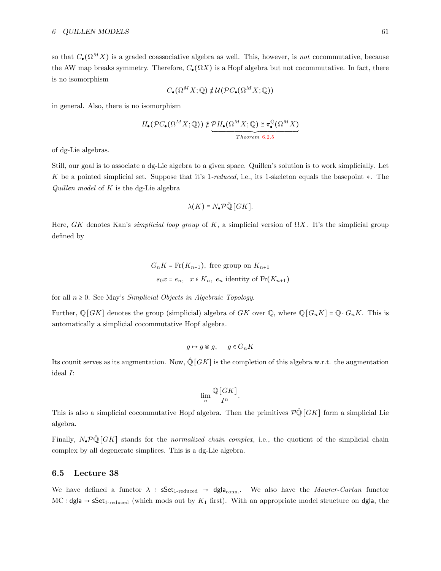so that  $C_{\bullet}(\Omega^M X)$  is a graded coassociative algebra as well. This, however, is *not* cocommutative, because the AW map breaks symmetry. Therefore,  $C_{\bullet}(\Omega X)$  is a Hopf algebra but not cocommutative. In fact, there is no isomorphism

$$
C_{\bullet}(\Omega^M X; \mathbb{Q}) \not\equiv \mathcal{U}(\mathcal{P}C_{\bullet}(\Omega^M X; \mathbb{Q}))
$$

in general. Also, there is no isomorphism

$$
H_{\bullet}(\mathcal{P}C_{\bullet}(\Omega^M X; \mathbb{Q})) \ncong \underbrace{\mathcal{P}H_{\bullet}(\Omega^M X; \mathbb{Q})}_{Theorem 6.2.5} \cong \pi_{\bullet}^{\mathbb{Q}}(\Omega^M X)
$$

of dg-Lie algebras.

Still, our goal is to associate a dg-Lie algebra to a given space. Quillen's solution is to work simplicially. Let K be a pointed simplicial set. Suppose that it's 1-reduced, i.e., its 1-skeleton equals the basepoint ∗. The *Quillen model* of  $K$  is the dg-Lie algebra

$$
\lambda(K) \equiv N_{\bullet} \mathcal{P} \hat{\mathbb{Q}} \left[ G K \right].
$$

Here, GK denotes Kan's *simplicial loop group* of K, a simplicial version of  $\Omega X$ . It's the simplicial group defined by

$$
G_n K = \text{Fr}(K_{n+1}), \text{ free group on } K_{n+1}
$$

$$
s_0 x = e_n, \quad x \in K_n, \ e_n \text{ identity of } \text{Fr}(K_{n+1})
$$

for all  $n \geq 0$ . See May's *Simplicial Objects in Algebraic Topology*.

Further,  $\mathbb{Q}[GK]$  denotes the group (simplicial) algebra of GK over  $\mathbb{Q}$ , where  $\mathbb{Q}[G_nK] = \mathbb{Q} \cdot G_nK$ . This is automatically a simplicial cocommutative Hopf algebra.

$$
g \mapsto g \otimes g, \quad g \in G_n K
$$

Its counit serves as its augmentation. Now,  $\hat{\mathbb{Q}}[GK]$  is the completion of this algebra w.r.t. the augmentation ideal I:

$$
\lim_{n} \frac{\mathbb{Q}[GK]}{I^n}.
$$

This is also a simplicial cocommutative Hopf algebra. Then the primitives  $\mathcal{P}\hat{\mathbb{Q}}[GK]$  form a simplicial Lie algebra.

Finally,  $N_{\bullet}P\hat{\mathbb{Q}}[GK]$  stands for the normalized chain complex, i.e., the quotient of the simplicial chain complex by all degenerate simplices. This is a dg-Lie algebra.

#### <span id="page-60-0"></span>6.5 Lecture 38

We have defined a functor  $\lambda$  :  $\mathsf{sSet}_{1\text{-reduced}} \to \mathsf{dgla}_{\text{conn}}$ . We also have the *Maurer-Cartan* functor MC : dgla  $\rightarrow$  sSet<sub>1-reduced</sub> (which mods out by  $K_1$  first). With an appropriate model structure on dgla, the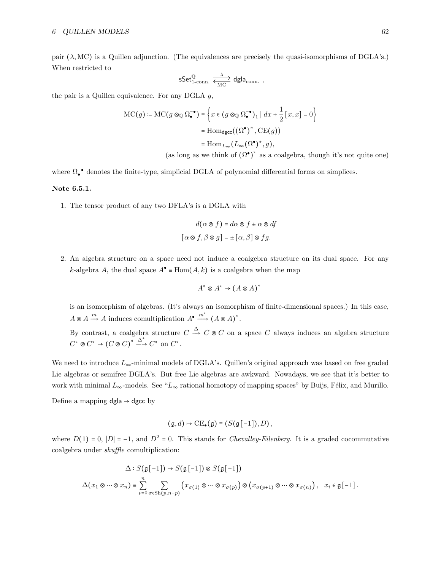pair  $(\lambda, MC)$  is a Quillen adjunction. (The equivalences are precisely the quasi-isomorphisms of DGLA's.) When restricted to

$$
\mathsf{sSet}_{\mathrm{1\text{-}conn.}}^{\mathbb{Q}} \xrightarrow[\text{MC}]{\lambda} \mathsf{dgla}_{\mathrm{conn.}} \ ,
$$

the pair is a Quillen equivalence. For any DGLA  $q$ ,

$$
MC(g) \coloneqq MC(g \otimes_{\mathbb{Q}} \Omega_{\bullet}^{-\bullet}) \equiv \left\{ x \in (g \otimes_{\mathbb{Q}} \Omega_{\bullet}^{-\bullet})_{1} \mid dx + \frac{1}{2} [x, x] = 0 \right\}
$$

$$
= Hom_{d\text{gcc}}((\Omega^{\bullet})^{*}, CE(g))
$$

$$
= Hom_{L_{\infty}}(L_{\infty}(\Omega^{\bullet})^{*}, g),
$$
(as long as we think of  $(\Omega^{\bullet})^{*}$  as a coalgebra, though it's not quite one)

where  $\Omega_{\bullet}^{-\bullet}$  denotes the finite-type, simplicial DGLA of polynomial differential forms on simplices.

#### Note 6.5.1.

1. The tensor product of any two DFLA's is a DGLA with

$$
d(\alpha \otimes f) = d\alpha \otimes f \pm \alpha \otimes df
$$

$$
[\alpha \otimes f, \beta \otimes g] = \pm [\alpha, \beta] \otimes fg.
$$

2. An algebra structure on a space need not induce a coalgebra structure on its dual space. For any k-algebra A, the dual space  $A^{\bullet} \equiv \text{Hom}(A, k)$  is a coalgebra when the map

$$
A^* \otimes A^* \to (A \otimes A)^*
$$

is an isomorphism of algebras. (It's always an isomorphism of finite-dimensional spaces.) In this case,  $A \otimes A \xrightarrow{m} A$  induces comultiplication  $A^{\bullet} \xrightarrow{m^*} (A \otimes A)^*$ .

By contrast, a coalgebra structure  $C \stackrel{\Delta}{\rightarrow} C \otimes C$  on a space C always induces an algebra structure  $C^* \otimes C^* \to (C \otimes C)^* \xrightarrow{\Delta^*} C^*$  on  $C^*$ .

We need to introduce  $L_{\infty}$ -minimal models of DGLA's. Quillen's original approach was based on free graded Lie algebras or semifree DGLA's. But free Lie algebras are awkward. Nowadays, we see that it's better to work with minimal  $L_{\infty}$ -models. See " $L_{\infty}$  rational homotopy of mapping spaces" by Buijs, Félix, and Murillo.

Define a mapping  $dgla \rightarrow dgcc$  by

$$
(\mathfrak{g},d)\mapsto \mathrm{CE}_{\bullet}(\mathfrak{g})\equiv (S(\mathfrak{g}[-1]),D)\,,
$$

where  $D(1) = 0$ ,  $|D| = -1$ , and  $D^2 = 0$ . This stands for *Chevalley-Eilenberg*. It is a graded cocommutative coalgebra under shuffle comultiplication:

$$
\Delta: S(\mathfrak{g}[-1]) \to S(\mathfrak{g}[-1]) \otimes S(\mathfrak{g}[-1])
$$
  

$$
\Delta(x_1 \otimes \cdots \otimes x_n) \equiv \sum_{p=0}^n \sum_{\sigma \in Sh(p,n-p)} (x_{\sigma(1)} \otimes \cdots \otimes x_{\sigma(p)}) \otimes (x_{\sigma(p+1)} \otimes \cdots \otimes x_{\sigma(n)}), \quad x_i \in \mathfrak{g}[-1].
$$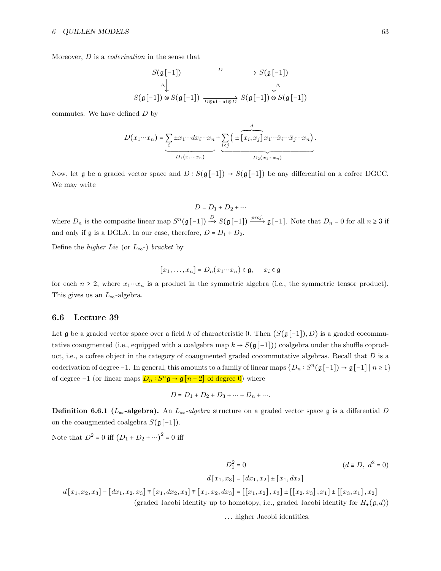Moreover, D is a coderivation in the sense that

$$
S(\mathfrak{g}[-1]) \xrightarrow{\qquad \qquad D} S(\mathfrak{g}[-1])
$$
  

$$
\Delta \downarrow \qquad \qquad \Delta
$$
  

$$
S(\mathfrak{g}[-1]) \otimes S(\mathfrak{g}[-1]) \xrightarrow{\qquad \qquad D \otimes \mathrm{id} + \mathrm{id} \otimes D} S(\mathfrak{g}[-1]) \otimes S(\mathfrak{g}[-1])
$$

commutes. We have defined  $D$  by

$$
D(x_1 \cdots x_n) = \underbrace{\sum_{i} \pm x_1 \cdots dx_i \cdots x_n}_{D_1(x_1 \cdots x_n)} + \underbrace{\sum_{i < j} \left( \pm \left[ x_i, x_j \right] x_1 \cdots \hat{x}_i \cdots \hat{x}_j \cdots x_n \right)}_{D_2(x_1 \cdots x_n)}.
$$

Now, let  $\mathfrak g$  be a graded vector space and  $D : S(\mathfrak g[-1]) \to S(\mathfrak g[-1])$  be any differential on a cofree DGCC. We may write

 $D = D_1 + D_2 + \cdots$ 

where  $D_n$  is the composite linear map  $S^n(\mathfrak{g}[-1]) \stackrel{D}{\longrightarrow} S(\mathfrak{g}[-1]) \stackrel{proj.}{\longrightarrow} \mathfrak{g}[-1]$ . Note that  $D_n = 0$  for all  $n \geq 3$  if and only if  $\mathfrak g$  is a DGLA. In our case, therefore,  $D = D_1 + D_2$ .

Define the *higher Lie* (or  $L_{\infty}$ -) bracket by

$$
[x_1,\ldots,x_n]=D_n(x_1\cdots x_n)\in\mathfrak{g},\qquad x_i\in\mathfrak{g}
$$

for each  $n \geq 2$ , where  $x_1 \cdots x_n$  is a product in the symmetric algebra (i.e., the symmetric tensor product). This gives us an  $L_{\infty}$ -algebra.

## <span id="page-62-0"></span>6.6 Lecture 39

Let g be a graded vector space over a field k of characteristic 0. Then  $(S(\mathfrak{g}[-1]), D)$  is a graded cocommutative coaugmented (i.e., equipped with a coalgebra map  $k \to S(\mathfrak{g}[-1])$ ) coalgebra under the shuffle coproduct, i.e., a cofree object in the category of coaugmented graded cocommutative algebras. Recall that  $D$  is a coderivation of degree -1. In general, this amounts to a family of linear maps  $\{D_n : S^n(\mathfrak{g}[-1]) \to \mathfrak{g}[-1] \mid n \geq 1\}$ of degree  $-1$  (or linear maps  $D_n : S^n \mathfrak{g} \to \mathfrak{g} [n-2]$  of degree  $0$ ) where

$$
D = D_1 + D_2 + D_3 + \dots + D_n + \dots
$$

**Definition 6.6.1** (L<sub>∞</sub>-algebra). An  $L_{\infty}$ -algebra structure on a graded vector space g is a differential D on the coaugmented coalgebra  $S(\mathfrak{g}[-1])$ .

Note that  $D^2 = 0$  iff  $(D_1 + D_2 + \cdots)^2 = 0$  iff

$$
D_1^2 = 0
$$
 ( $d \equiv D, d^2 = 0$ )  

$$
d[x_1, x_2] = [dx_1, x_2] \pm [x_1, dx_2]
$$

$$
d[x_1, x_2, x_3] - [dx_1, x_2, x_3] \mp [x_1, dx_2, x_3] \mp [x_1, x_2, dx_3] = [[x_1, x_2], x_3] \pm [[x_2, x_3], x_1] \pm [[x_3, x_1], x_2]
$$

(graded Jacobi identity up to homotopy, i.e., graded Jacobi identity for  $H_{\bullet}(\mathfrak{g}, d)$ )

. . . higher Jacobi identities.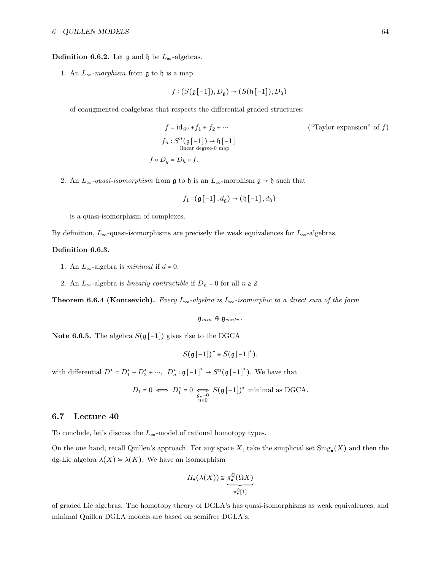#### **Definition 6.6.2.** Let  $\mathfrak{g}$  and  $\mathfrak{h}$  be  $L_{\infty}$ -algebras.

1. An  $L_{\infty}$ -morphism from  $\mathfrak g$  to  $\mathfrak h$  is a map

$$
f:(S(\mathfrak{g}[-1]),D_{\mathfrak{g}})\to (S(\mathfrak{h}[-1]),D_{\mathfrak{h}})
$$

of coaugmented coalgebras that respects the differential graded structures:

$$
f = id_{S^0} + f_1 + f_2 + \cdots
$$
 ("Taylor expansion" of  $f$ )  
\n
$$
f_n : S^n(\mathfrak{g}[-1]) \to \mathfrak{h}[-1]
$$
  
\nlinear degree-0 map  
\n
$$
f \circ D_g = D_h \circ f.
$$

2. An  $L_{\infty}$ -quasi-isomorphism from g to h is an  $L_{\infty}$ -morphism g  $\rightarrow$  h such that

$$
f_1: \left(\mathfrak{g}\left[-1\right], d_{\mathfrak{g}}\right) \to \left(\mathfrak{h}\left[-1\right], d_{\mathfrak{h}}\right)
$$

is a quasi-isomorphism of complexes.

By definition,  $L_{\infty}$ -quasi-isomorphisms are precisely the weak equivalences for  $L_{\infty}$ -algebras.

## Definition 6.6.3.

- 1. An  $L_{\infty}$ -algebra is *minimal* if  $d = 0$ .
- 2. An  $L_{\infty}$ -algebra is *linearly contractible* if  $D_n = 0$  for all  $n \geq 2$ .

<span id="page-63-1"></span>**Theorem 6.6.4 (Kontsevich).** Every  $L_{\infty}$ -algebra is  $L_{\infty}$ -isomorphic to a direct sum of the form

 $\mathfrak{g}_{min.} \oplus \mathfrak{g}_{contr.}$ .

Note 6.6.5. The algebra  $S(\mathfrak{g}[-1])$  gives rise to the DGCA

 $S(\mathfrak{g}[-1])^* \equiv \hat{S}(\mathfrak{g}[-1]^*),$ 

with differential  $D^* = D_1^* + D_2^* + \cdots$ ,  $D_n^* : \mathfrak{g}[-1]^* \to S^n(\mathfrak{g}[-1]^*)$ . We have that

$$
D_1 = 0 \iff D_1^* = 0 \iff \underset{n \leq 0}{\iff} S(\mathfrak{g}[-1])^* \text{ minimal as DGCA}.
$$

## <span id="page-63-0"></span>6.7 Lecture 40

To conclude, let's discuss the  $L_{\infty}$ -model of rational homotopy types.

On the one hand, recall Quillen's approach. For any space X, take the simplicial set  $\text{Sing}_{\bullet}(X)$  and then the dg-Lie algebra  $\lambda(X) = \lambda(K)$ . We have an isomorphism

$$
H_{\bullet}(\lambda(X)) \cong \underbrace{\pi_{\bullet}^{\mathbb{Q}}(\Omega X)}_{\pi_{\bullet}^{\mathbb{Q}}[1]}
$$

of graded Lie algebras. The homotopy theory of DGLA's has quasi-isomorphisms as weak equivalences, and minimal Quillen DGLA models are based on semifree DGLA's.